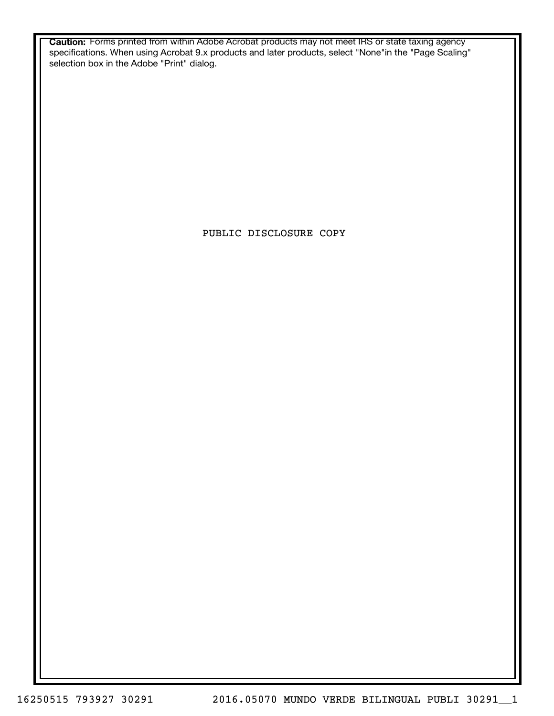**Caution:** Forms printed from within Adobe Acrobat products may not meet IRS or state taxing agency specifications. When using Acrobat 9.x products and later products, select "None"in the "Page Scaling" selection box in the Adobe "Print" dialog.

PUBLIC DISCLOSURE COPY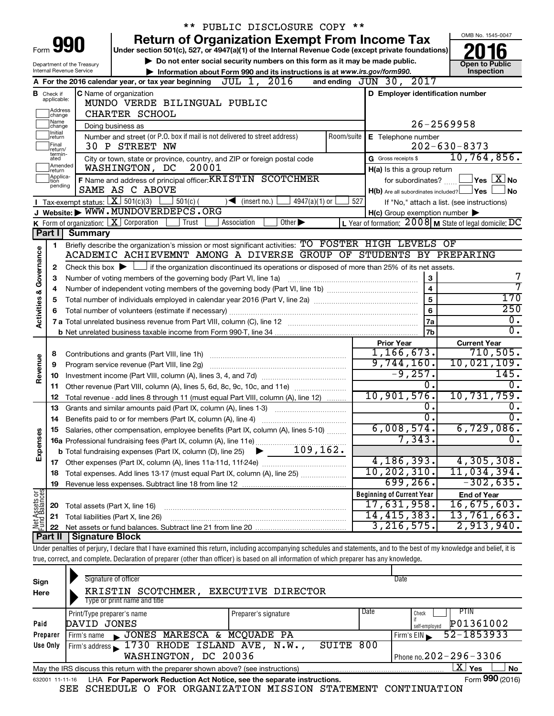|                         |                               |                                | ** PUBLIC DISCLOSURE COPY **                                                                                                                                                                                                                                                                                             |     |                                                     |                                                           |  |  |  |
|-------------------------|-------------------------------|--------------------------------|--------------------------------------------------------------------------------------------------------------------------------------------------------------------------------------------------------------------------------------------------------------------------------------------------------------------------|-----|-----------------------------------------------------|-----------------------------------------------------------|--|--|--|
|                         |                               |                                | <b>Return of Organization Exempt From Income Tax</b>                                                                                                                                                                                                                                                                     |     |                                                     | OMB No. 1545-0047                                         |  |  |  |
|                         |                               | Form 990                       | Under section 501(c), 527, or 4947(a)(1) of the Internal Revenue Code (except private foundations)                                                                                                                                                                                                                       |     |                                                     |                                                           |  |  |  |
|                         |                               | Department of the Treasury     | Do not enter social security numbers on this form as it may be made public.                                                                                                                                                                                                                                              |     |                                                     | <b>Open to Public</b>                                     |  |  |  |
|                         |                               | Internal Revenue Service       | Information about Form 990 and its instructions is at www.irs.gov/form990.                                                                                                                                                                                                                                               |     |                                                     | Inspection                                                |  |  |  |
|                         |                               |                                | A For the 2016 calendar year, or tax year beginning $JUL$ 1, $2016$                                                                                                                                                                                                                                                      |     | and ending JUN 30, 2017                             |                                                           |  |  |  |
|                         | <b>B</b> Check if applicable: |                                | <b>C</b> Name of organization                                                                                                                                                                                                                                                                                            |     | D Employer identification number                    |                                                           |  |  |  |
|                         | Address                       |                                | MUNDO VERDE BILINGUAL PUBLIC<br>CHARTER SCHOOL                                                                                                                                                                                                                                                                           |     |                                                     |                                                           |  |  |  |
|                         | change<br> Name               |                                |                                                                                                                                                                                                                                                                                                                          |     |                                                     | 26-2569958                                                |  |  |  |
|                         | change<br>Initial             |                                | Doing business as                                                                                                                                                                                                                                                                                                        |     |                                                     |                                                           |  |  |  |
|                         | return<br> Final              |                                | Number and street (or P.O. box if mail is not delivered to street address)<br>30 P STREET NW                                                                                                                                                                                                                             |     | Room/suite   E Telephone number                     | $202 - 630 - 8373$                                        |  |  |  |
|                         | return/<br>termin-            |                                | City or town, state or province, country, and ZIP or foreign postal code                                                                                                                                                                                                                                                 |     | G Gross receipts \$                                 | 10, 764, 856.                                             |  |  |  |
|                         | ated<br>Amended               |                                | 20001<br>WASHINGTON, DC                                                                                                                                                                                                                                                                                                  |     | H(a) Is this a group return                         |                                                           |  |  |  |
|                         | Ireturn<br>Applica-<br>tion   |                                | F Name and address of principal officer: KRISTIN SCOTCHMER                                                                                                                                                                                                                                                               |     | for subordinates?                                   | $\sqrt{}$ Yes $\left\lfloor \frac{X}{X} \right\rfloor$ No |  |  |  |
|                         | pending                       |                                | SAME AS C ABOVE                                                                                                                                                                                                                                                                                                          |     | H(b) Are all subordinates included? Ves             | <b>No</b>                                                 |  |  |  |
|                         |                               |                                | Tax-exempt status: $X \over 301(c)(3)$<br>$501(c)$ (<br>$\sqrt{\bullet}$ (insert no.)<br>$4947(a)(1)$ or                                                                                                                                                                                                                 | 527 |                                                     | If "No," attach a list. (see instructions)                |  |  |  |
|                         |                               |                                | J Website: WWW.MUNDOVERDEPCS.ORG                                                                                                                                                                                                                                                                                         |     | $H(c)$ Group exemption number $\blacktriangleright$ |                                                           |  |  |  |
|                         |                               |                                | K Form of organization: $X$ Corporation<br>Other $\blacktriangleright$<br>Association<br>Trust                                                                                                                                                                                                                           |     |                                                     | L Year of formation: $2008$ M State of legal domicile: DC |  |  |  |
|                         | Part I                        | <b>Summary</b>                 |                                                                                                                                                                                                                                                                                                                          |     |                                                     |                                                           |  |  |  |
|                         | 1                             |                                | Briefly describe the organization's mission or most significant activities: TO FOSTER HIGH LEVELS OF                                                                                                                                                                                                                     |     |                                                     |                                                           |  |  |  |
| Governance              |                               |                                | ACADEMIC ACHIEVEMNT AMONG A DIVERSE GROUP OF STUDENTS BY PREPARING                                                                                                                                                                                                                                                       |     |                                                     |                                                           |  |  |  |
|                         | 2                             |                                | Check this box $\blacktriangleright$ $\Box$ if the organization discontinued its operations or disposed of more than 25% of its net assets.                                                                                                                                                                              |     |                                                     |                                                           |  |  |  |
|                         | З                             |                                | Number of voting members of the governing body (Part VI, line 1a)                                                                                                                                                                                                                                                        |     | 3                                                   | 7<br>7                                                    |  |  |  |
|                         | 4                             | $\overline{\mathbf{4}}$        |                                                                                                                                                                                                                                                                                                                          |     |                                                     |                                                           |  |  |  |
|                         | 5                             |                                |                                                                                                                                                                                                                                                                                                                          |     | 5                                                   | 170                                                       |  |  |  |
| <b>Activities &amp;</b> | 6                             |                                |                                                                                                                                                                                                                                                                                                                          |     | 6                                                   | 250                                                       |  |  |  |
|                         |                               |                                |                                                                                                                                                                                                                                                                                                                          |     | 7a                                                  | $\overline{0}$ .                                          |  |  |  |
|                         |                               |                                |                                                                                                                                                                                                                                                                                                                          |     | 7b                                                  | $\overline{0}$ .                                          |  |  |  |
|                         |                               |                                |                                                                                                                                                                                                                                                                                                                          |     | <b>Prior Year</b><br>1, 166, 673.                   | <b>Current Year</b><br>710,505.                           |  |  |  |
|                         | 8                             |                                |                                                                                                                                                                                                                                                                                                                          |     | 9,744,160.                                          | 10,021,109.                                               |  |  |  |
| Revenue                 | 9                             |                                | Program service revenue (Part VIII, line 2g)                                                                                                                                                                                                                                                                             |     | $-9,257.$                                           | 145.                                                      |  |  |  |
|                         | 10<br>11                      |                                | Other revenue (Part VIII, column (A), lines 5, 6d, 8c, 9c, 10c, and 11e)                                                                                                                                                                                                                                                 |     | 0.                                                  | $\overline{0}$ .                                          |  |  |  |
|                         | 12                            |                                | Total revenue - add lines 8 through 11 (must equal Part VIII, column (A), line 12)                                                                                                                                                                                                                                       |     | 10,901,576.                                         | 10,731,759.                                               |  |  |  |
|                         | 13                            |                                | Grants and similar amounts paid (Part IX, column (A), lines 1-3)                                                                                                                                                                                                                                                         |     | о.                                                  | $0$ .                                                     |  |  |  |
|                         | 14                            |                                |                                                                                                                                                                                                                                                                                                                          |     | $\overline{0}$ .                                    | $\overline{0}$ .                                          |  |  |  |
|                         |                               |                                | Salaries, other compensation, employee benefits (Part IX, column (A), lines 5-10)                                                                                                                                                                                                                                        |     | 6,008,574.                                          | 6,729,086.                                                |  |  |  |
| Expenses                |                               |                                |                                                                                                                                                                                                                                                                                                                          |     | 7,343.                                              | $\overline{0}$ .                                          |  |  |  |
|                         |                               |                                |                                                                                                                                                                                                                                                                                                                          |     |                                                     |                                                           |  |  |  |
|                         |                               |                                |                                                                                                                                                                                                                                                                                                                          |     | 4,186,393.                                          | 4,305,308.                                                |  |  |  |
|                         | 18                            |                                | Total expenses. Add lines 13-17 (must equal Part IX, column (A), line 25)                                                                                                                                                                                                                                                |     | 10, 202, 310.                                       | 11,034,394.                                               |  |  |  |
|                         | 19                            |                                |                                                                                                                                                                                                                                                                                                                          |     | 699, 266.                                           | $-302,635.$                                               |  |  |  |
|                         |                               |                                |                                                                                                                                                                                                                                                                                                                          |     | <b>Beginning of Current Year</b>                    | <b>End of Year</b>                                        |  |  |  |
| Net Assets or           | 20                            | Total assets (Part X, line 16) |                                                                                                                                                                                                                                                                                                                          |     | 17,631,958.                                         | 16,675,603.                                               |  |  |  |
|                         | 21                            |                                | Total liabilities (Part X, line 26)                                                                                                                                                                                                                                                                                      |     | 14, 415, 383.                                       | 13,761,663.                                               |  |  |  |
|                         | 22                            |                                |                                                                                                                                                                                                                                                                                                                          |     | 3, 216, 575.                                        | 2,913,940.                                                |  |  |  |
|                         | Part II                       | <b>Signature Block</b>         |                                                                                                                                                                                                                                                                                                                          |     |                                                     |                                                           |  |  |  |
|                         |                               |                                | Under penalties of perjury, I declare that I have examined this return, including accompanying schedules and statements, and to the best of my knowledge and belief, it is<br>true, correct, and complete. Declaration of preparer (other than officer) is based on all information of which preparer has any knowledge. |     |                                                     |                                                           |  |  |  |
|                         |                               |                                |                                                                                                                                                                                                                                                                                                                          |     |                                                     |                                                           |  |  |  |
| Sign                    |                               |                                | Signature of officer                                                                                                                                                                                                                                                                                                     |     | Date                                                |                                                           |  |  |  |
|                         |                               |                                |                                                                                                                                                                                                                                                                                                                          |     |                                                     |                                                           |  |  |  |

| Sign     | <b>Signally OF OTIGER</b><br><b>DAIR</b>                                                                     |                      |      |                                                |  |  |  |  |  |  |
|----------|--------------------------------------------------------------------------------------------------------------|----------------------|------|------------------------------------------------|--|--|--|--|--|--|
| Here     | KRISTIN SCOTCHMER,<br><b>EXECUTIVE DIRECTOR</b>                                                              |                      |      |                                                |  |  |  |  |  |  |
|          | Type or print name and title                                                                                 |                      |      |                                                |  |  |  |  |  |  |
|          | Print/Type preparer's name                                                                                   | Preparer's signature | Date | PTIN<br>Check                                  |  |  |  |  |  |  |
| Paid     | DAVID JONES                                                                                                  |                      |      | P01361002<br>self-emploved                     |  |  |  |  |  |  |
| Preparer | JONES MARESCA & MCQUADE PA<br>Firm's name                                                                    |                      |      | 52-1853933<br>$Firm's EIN \blacktriangleright$ |  |  |  |  |  |  |
| Use Only | Firm's address 1730 RHODE ISLAND AVE, N.W.,                                                                  | SUITE 800            |      |                                                |  |  |  |  |  |  |
|          | WASHINGTON, DC 20036                                                                                         |                      |      | Phone no. $202 - 296 - 3306$                   |  |  |  |  |  |  |
|          | x.<br>Yes<br><b>No</b><br>May the IRS discuss this return with the preparer shown above? (see instructions)  |                      |      |                                                |  |  |  |  |  |  |
|          | Form 990 (2016)<br>LHA For Paperwork Reduction Act Notice, see the separate instructions.<br>632001 11-11-16 |                      |      |                                                |  |  |  |  |  |  |

SEE SCHEDULE O FOR ORGANIZATION MISSION STATEMENT CONTINUATION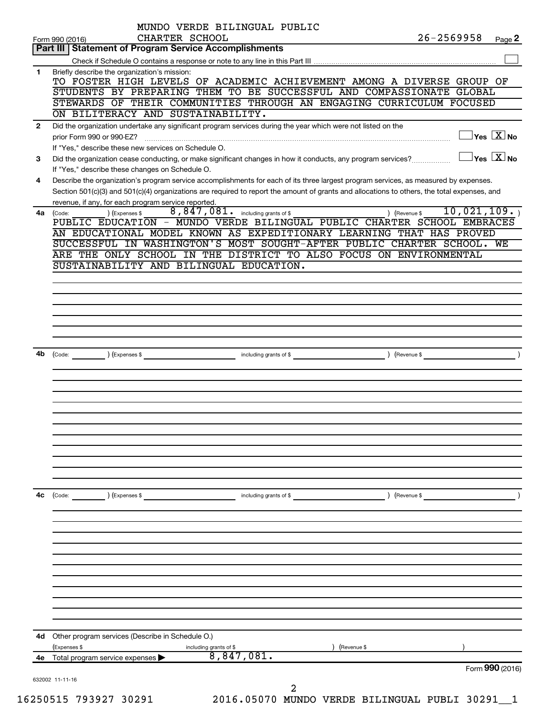|                | CHARTER SCHOOL<br>Form 990 (2016)<br>Part III   Statement of Program Service Accomplishments |                                                                                                              | $26 - 2569958$                                                                                                                               | Page 2                                  |
|----------------|----------------------------------------------------------------------------------------------|--------------------------------------------------------------------------------------------------------------|----------------------------------------------------------------------------------------------------------------------------------------------|-----------------------------------------|
|                |                                                                                              |                                                                                                              |                                                                                                                                              |                                         |
|                | Briefly describe the organization's mission:                                                 |                                                                                                              | TO FOSTER HIGH LEVELS OF ACADEMIC ACHIEVEMENT AMONG A DIVERSE GROUP OF                                                                       |                                         |
|                | ON BILITERACY AND SUSTAINABILITY.                                                            |                                                                                                              | STUDENTS BY PREPARING THEM TO BE SUCCESSFUL AND COMPASSIONATE GLOBAL<br>STEWARDS OF THEIR COMMUNITIES THROUGH AN ENGAGING CURRICULUM FOCUSED |                                         |
| $\overline{2}$ |                                                                                              | Did the organization undertake any significant program services during the year which were not listed on the |                                                                                                                                              |                                         |
|                | If "Yes." describe these new services on Schedule O.                                         |                                                                                                              |                                                                                                                                              | $\sqrt{}$ Yes $\sqrt{X}$ No             |
| 3              | If "Yes," describe these changes on Schedule O.                                              | Did the organization cease conducting, or make significant changes in how it conducts, any program services? |                                                                                                                                              | $\Box$ Yes $[\overline{\mathrm{X}}]$ No |
| 4              |                                                                                              |                                                                                                              | Describe the organization's program service accomplishments for each of its three largest program services, as measured by expenses.         |                                         |
|                | revenue, if any, for each program service reported.                                          |                                                                                                              | Section 501(c)(3) and 501(c)(4) organizations are required to report the amount of grants and allocations to others, the total expenses, and |                                         |
|                | ) (Expenses \$<br>4a (Code:                                                                  | 8,847,081. including grants of \$                                                                            | ) (Revenue \$                                                                                                                                | 10,021,109.                             |
|                |                                                                                              |                                                                                                              | PUBLIC EDUCATION - MUNDO VERDE BILINGUAL PUBLIC CHARTER SCHOOL EMBRACES                                                                      |                                         |
|                |                                                                                              |                                                                                                              | AN EDUCATIONAL MODEL KNOWN AS EXPEDITIONARY LEARNING THAT HAS PROVED                                                                         |                                         |
|                |                                                                                              |                                                                                                              | SUCCESSFUL IN WASHINGTON'S MOST SOUGHT-AFTER PUBLIC CHARTER SCHOOL. WE                                                                       |                                         |
|                |                                                                                              |                                                                                                              | ARE THE ONLY SCHOOL IN THE DISTRICT TO ALSO FOCUS ON ENVIRONMENTAL                                                                           |                                         |
|                | SUSTAINABILITY AND BILINGUAL EDUCATION.                                                      |                                                                                                              |                                                                                                                                              |                                         |
|                |                                                                                              |                                                                                                              |                                                                                                                                              |                                         |
|                |                                                                                              |                                                                                                              |                                                                                                                                              |                                         |
|                |                                                                                              |                                                                                                              |                                                                                                                                              |                                         |
|                |                                                                                              |                                                                                                              |                                                                                                                                              |                                         |
|                |                                                                                              |                                                                                                              |                                                                                                                                              |                                         |
|                |                                                                                              |                                                                                                              |                                                                                                                                              |                                         |
| 4b             |                                                                                              |                                                                                                              |                                                                                                                                              |                                         |
|                |                                                                                              |                                                                                                              |                                                                                                                                              |                                         |
|                |                                                                                              |                                                                                                              |                                                                                                                                              |                                         |
|                |                                                                                              |                                                                                                              |                                                                                                                                              |                                         |
|                |                                                                                              |                                                                                                              |                                                                                                                                              |                                         |
|                |                                                                                              |                                                                                                              |                                                                                                                                              |                                         |
|                |                                                                                              |                                                                                                              |                                                                                                                                              |                                         |
|                |                                                                                              |                                                                                                              |                                                                                                                                              |                                         |
|                |                                                                                              |                                                                                                              |                                                                                                                                              |                                         |
|                |                                                                                              |                                                                                                              |                                                                                                                                              |                                         |
|                |                                                                                              |                                                                                                              |                                                                                                                                              |                                         |
|                |                                                                                              |                                                                                                              |                                                                                                                                              |                                         |
|                |                                                                                              |                                                                                                              |                                                                                                                                              |                                         |
| 4c             | $\left(\text{Code:}\right)$ $\left(\text{Expenses $}\right)$                                 | including grants of \$                                                                                       | ) (Revenue \$                                                                                                                                |                                         |
|                |                                                                                              |                                                                                                              |                                                                                                                                              |                                         |
|                |                                                                                              |                                                                                                              |                                                                                                                                              |                                         |
|                |                                                                                              |                                                                                                              |                                                                                                                                              |                                         |
|                |                                                                                              |                                                                                                              |                                                                                                                                              |                                         |
|                |                                                                                              |                                                                                                              |                                                                                                                                              |                                         |
|                |                                                                                              |                                                                                                              |                                                                                                                                              |                                         |
|                |                                                                                              |                                                                                                              |                                                                                                                                              |                                         |
|                |                                                                                              |                                                                                                              |                                                                                                                                              |                                         |
|                |                                                                                              |                                                                                                              |                                                                                                                                              |                                         |
|                |                                                                                              |                                                                                                              |                                                                                                                                              |                                         |
|                |                                                                                              |                                                                                                              |                                                                                                                                              |                                         |
|                |                                                                                              |                                                                                                              |                                                                                                                                              |                                         |
|                | 4d Other program services (Describe in Schedule O.)                                          |                                                                                                              |                                                                                                                                              |                                         |
|                |                                                                                              |                                                                                                              | (Revenue \$                                                                                                                                  |                                         |
|                | (Expenses \$                                                                                 | including grants of \$                                                                                       |                                                                                                                                              |                                         |
|                | 4e Total program service expenses                                                            | 8,847,081.                                                                                                   |                                                                                                                                              | Form 990 (2016)                         |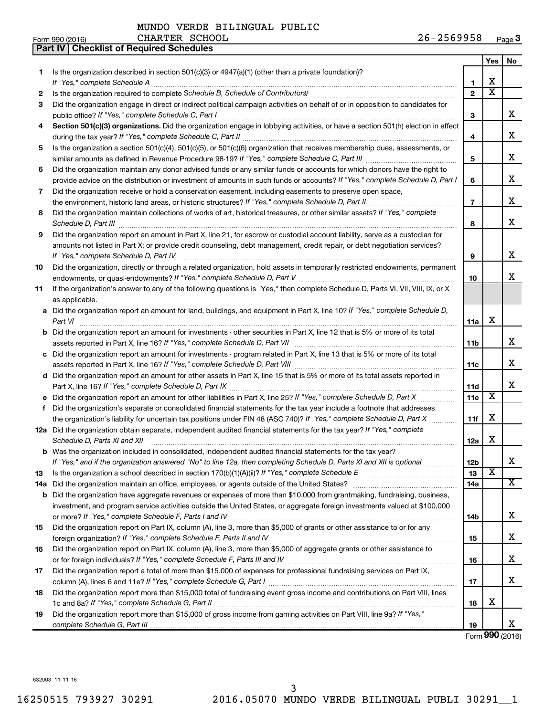|    | Part IV   Checklist of Required Schedules                                                                                                                                                                                           |                 |                         |                         |
|----|-------------------------------------------------------------------------------------------------------------------------------------------------------------------------------------------------------------------------------------|-----------------|-------------------------|-------------------------|
|    |                                                                                                                                                                                                                                     |                 | Yes                     | No                      |
| 1  | Is the organization described in section 501(c)(3) or $4947(a)(1)$ (other than a private foundation)?                                                                                                                               |                 |                         |                         |
|    |                                                                                                                                                                                                                                     | 1               | х                       |                         |
| 2  |                                                                                                                                                                                                                                     | $\overline{2}$  | $\overline{\textbf{x}}$ |                         |
| З  | Did the organization engage in direct or indirect political campaign activities on behalf of or in opposition to candidates for                                                                                                     |                 |                         |                         |
|    |                                                                                                                                                                                                                                     | 3               |                         | x                       |
| 4  | Section 501(c)(3) organizations. Did the organization engage in lobbying activities, or have a section 501(h) election in effect                                                                                                    |                 |                         |                         |
|    |                                                                                                                                                                                                                                     | 4               |                         | x                       |
| 5  | Is the organization a section 501(c)(4), 501(c)(5), or 501(c)(6) organization that receives membership dues, assessments, or                                                                                                        |                 |                         |                         |
|    |                                                                                                                                                                                                                                     | 5               |                         | x                       |
| 6  | Did the organization maintain any donor advised funds or any similar funds or accounts for which donors have the right to                                                                                                           |                 |                         |                         |
|    | provide advice on the distribution or investment of amounts in such funds or accounts? If "Yes," complete Schedule D, Part I                                                                                                        | 6               |                         | x                       |
| 7  | Did the organization receive or hold a conservation easement, including easements to preserve open space,                                                                                                                           |                 |                         |                         |
|    | the environment, historic land areas, or historic structures? If "Yes," complete Schedule D, Part II                                                                                                                                | $\overline{7}$  |                         | x                       |
|    |                                                                                                                                                                                                                                     |                 |                         |                         |
| 8  | Did the organization maintain collections of works of art, historical treasures, or other similar assets? If "Yes," complete                                                                                                        |                 |                         | x                       |
|    |                                                                                                                                                                                                                                     | 8               |                         |                         |
| 9  | Did the organization report an amount in Part X, line 21, for escrow or custodial account liability, serve as a custodian for                                                                                                       |                 |                         |                         |
|    | amounts not listed in Part X; or provide credit counseling, debt management, credit repair, or debt negotiation services?                                                                                                           |                 |                         | x                       |
|    | If "Yes," complete Schedule D, Part IV                                                                                                                                                                                              | 9               |                         |                         |
| 10 | Did the organization, directly or through a related organization, hold assets in temporarily restricted endowments, permanent                                                                                                       |                 |                         | x                       |
|    |                                                                                                                                                                                                                                     | 10              |                         |                         |
| 11 | If the organization's answer to any of the following questions is "Yes," then complete Schedule D, Parts VI, VII, VIII, IX, or X                                                                                                    |                 |                         |                         |
|    | as applicable.                                                                                                                                                                                                                      |                 |                         |                         |
|    | a Did the organization report an amount for land, buildings, and equipment in Part X, line 10? If "Yes," complete Schedule D,                                                                                                       |                 |                         |                         |
|    | Part VI                                                                                                                                                                                                                             | 11a             | х                       |                         |
|    | <b>b</b> Did the organization report an amount for investments - other securities in Part X, line 12 that is 5% or more of its total                                                                                                |                 |                         |                         |
|    |                                                                                                                                                                                                                                     | 11 <sub>b</sub> |                         | х                       |
|    | c Did the organization report an amount for investments - program related in Part X, line 13 that is 5% or more of its total                                                                                                        |                 |                         |                         |
|    |                                                                                                                                                                                                                                     | 11c             |                         | х                       |
|    | d Did the organization report an amount for other assets in Part X, line 15 that is 5% or more of its total assets reported in                                                                                                      |                 |                         |                         |
|    |                                                                                                                                                                                                                                     | 11d             |                         | х                       |
|    | e Did the organization report an amount for other liabilities in Part X, line 25? If "Yes," complete Schedule D, Part X                                                                                                             | 11e             | $\overline{\textbf{x}}$ |                         |
| f  | Did the organization's separate or consolidated financial statements for the tax year include a footnote that addresses                                                                                                             |                 |                         |                         |
|    | the organization's liability for uncertain tax positions under FIN 48 (ASC 740)? If "Yes," complete Schedule D, Part X                                                                                                              | 11f             | X                       |                         |
|    | 12a Did the organization obtain separate, independent audited financial statements for the tax year? If "Yes," complete                                                                                                             |                 |                         |                         |
|    | Schedule D, Parts XI and XII <b>continuum continuum continuum continuum continuum continuum continuum continuum</b> continuum continuum continuum continuum continuum continuum continuum continuum continuum continuum continuum c | 12a             | х                       |                         |
|    | b Was the organization included in consolidated, independent audited financial statements for the tax year?                                                                                                                         |                 |                         |                         |
|    | If "Yes," and if the organization answered "No" to line 12a, then completing Schedule D, Parts XI and XII is optional                                                                                                               | 12 <sub>b</sub> |                         | х                       |
| 13 |                                                                                                                                                                                                                                     | 13              | $\overline{\textbf{x}}$ |                         |
|    | 14a Did the organization maintain an office, employees, or agents outside of the United States?                                                                                                                                     | 14a             |                         | $\overline{\texttt{X}}$ |
|    | <b>b</b> Did the organization have aggregate revenues or expenses of more than \$10,000 from grantmaking, fundraising, business,                                                                                                    |                 |                         |                         |
|    | investment, and program service activities outside the United States, or aggregate foreign investments valued at \$100,000                                                                                                          |                 |                         |                         |
|    |                                                                                                                                                                                                                                     | 14 <sub>b</sub> |                         | x                       |
| 15 | Did the organization report on Part IX, column (A), line 3, more than \$5,000 of grants or other assistance to or for any                                                                                                           |                 |                         |                         |
|    |                                                                                                                                                                                                                                     | 15              |                         | x                       |
| 16 | Did the organization report on Part IX, column (A), line 3, more than \$5,000 of aggregate grants or other assistance to                                                                                                            |                 |                         |                         |
|    |                                                                                                                                                                                                                                     | 16              |                         | x                       |
| 17 | Did the organization report a total of more than \$15,000 of expenses for professional fundraising services on Part IX,                                                                                                             |                 |                         |                         |
|    |                                                                                                                                                                                                                                     | 17              |                         | x                       |
| 18 | Did the organization report more than \$15,000 total of fundraising event gross income and contributions on Part VIII, lines                                                                                                        |                 |                         |                         |
|    |                                                                                                                                                                                                                                     | 18              | х                       |                         |
| 19 | Did the organization report more than \$15,000 of gross income from gaming activities on Part VIII, line 9a? If "Yes,"                                                                                                              |                 |                         |                         |
|    |                                                                                                                                                                                                                                     | 19              |                         | x.                      |

Form (2016) **990**

632003 11-11-16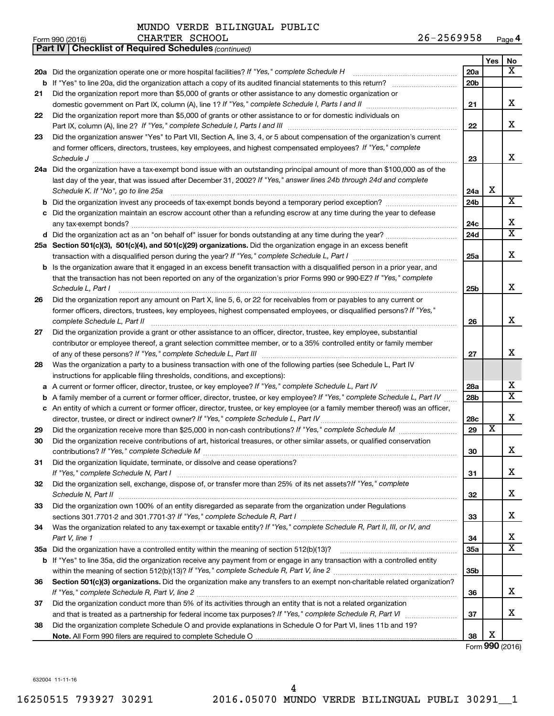MUNDO VERDE BILINGUAL PUBLIC CHARTER SCHOOL

|    | 26-2569958<br>CHARTER SCHOOL<br>Form 990 (2016)                                                                                                                                                                                                                                                                                                                                                                                        |                 |     | Page 4                  |
|----|----------------------------------------------------------------------------------------------------------------------------------------------------------------------------------------------------------------------------------------------------------------------------------------------------------------------------------------------------------------------------------------------------------------------------------------|-----------------|-----|-------------------------|
|    | <b>Part IV   Checklist of Required Schedules (continued)</b>                                                                                                                                                                                                                                                                                                                                                                           |                 |     |                         |
|    |                                                                                                                                                                                                                                                                                                                                                                                                                                        |                 | Yes | No                      |
|    | 20a Did the organization operate one or more hospital facilities? If "Yes," complete Schedule H                                                                                                                                                                                                                                                                                                                                        | 20a             |     | X                       |
|    |                                                                                                                                                                                                                                                                                                                                                                                                                                        | 20 <sub>b</sub> |     |                         |
| 21 | Did the organization report more than \$5,000 of grants or other assistance to any domestic organization or                                                                                                                                                                                                                                                                                                                            |                 |     |                         |
|    |                                                                                                                                                                                                                                                                                                                                                                                                                                        | 21              |     | x                       |
| 22 | Did the organization report more than \$5,000 of grants or other assistance to or for domestic individuals on                                                                                                                                                                                                                                                                                                                          |                 |     |                         |
|    | Part IX, column (A), line 2? If "Yes," complete Schedule I, Parts I and III                                                                                                                                                                                                                                                                                                                                                            | 22              |     | x                       |
| 23 | Did the organization answer "Yes" to Part VII, Section A, line 3, 4, or 5 about compensation of the organization's current                                                                                                                                                                                                                                                                                                             |                 |     |                         |
|    | and former officers, directors, trustees, key employees, and highest compensated employees? If "Yes," complete                                                                                                                                                                                                                                                                                                                         |                 |     |                         |
|    | $\textit{Schedule J} \textit{ \textbf{} } \textit{ \textbf{} } \textit{ \textbf{} } \textit{ \textbf{} } \textit{ \textbf{} } \textit{ \textbf{} } \textit{ \textbf{} } \textit{ \textbf{} } \textit{ \textbf{} } \textit{ \textbf{} } \textit{ \textbf{} } \textit{ \textbf{} } \textit{ \textbf{} } \textit{ \textbf{} } \textit{ \textbf{} } \textit{ \textbf{} } \textit{ \textbf{} } \textit{ \textbf{} } \textit{ \textbf{} } \$ | 23              |     | х                       |
|    | 24a Did the organization have a tax-exempt bond issue with an outstanding principal amount of more than \$100,000 as of the                                                                                                                                                                                                                                                                                                            |                 |     |                         |
|    | last day of the year, that was issued after December 31, 2002? If "Yes," answer lines 24b through 24d and complete                                                                                                                                                                                                                                                                                                                     |                 |     |                         |
|    | Schedule K. If "No", go to line 25a                                                                                                                                                                                                                                                                                                                                                                                                    | 24a             | х   |                         |
|    | b Did the organization invest any proceeds of tax-exempt bonds beyond a temporary period exception?                                                                                                                                                                                                                                                                                                                                    | 24 <sub>b</sub> |     | $\overline{X}$          |
|    | c Did the organization maintain an escrow account other than a refunding escrow at any time during the year to defease                                                                                                                                                                                                                                                                                                                 |                 |     |                         |
|    |                                                                                                                                                                                                                                                                                                                                                                                                                                        | 24c             |     | х                       |
|    |                                                                                                                                                                                                                                                                                                                                                                                                                                        | 24d             |     | $\overline{\mathbf{x}}$ |
|    | 25a Section 501(c)(3), 501(c)(4), and 501(c)(29) organizations. Did the organization engage in an excess benefit                                                                                                                                                                                                                                                                                                                       |                 |     |                         |
|    |                                                                                                                                                                                                                                                                                                                                                                                                                                        | 25a             |     | x                       |
|    | <b>b</b> Is the organization aware that it engaged in an excess benefit transaction with a disqualified person in a prior year, and                                                                                                                                                                                                                                                                                                    |                 |     |                         |
|    | that the transaction has not been reported on any of the organization's prior Forms 990 or 990-EZ? If "Yes," complete                                                                                                                                                                                                                                                                                                                  |                 |     |                         |
|    | Schedule L, Part I                                                                                                                                                                                                                                                                                                                                                                                                                     | 25b             |     | х                       |
| 26 | Did the organization report any amount on Part X, line 5, 6, or 22 for receivables from or payables to any current or                                                                                                                                                                                                                                                                                                                  |                 |     |                         |
|    | former officers, directors, trustees, key employees, highest compensated employees, or disqualified persons? If "Yes,"                                                                                                                                                                                                                                                                                                                 |                 |     |                         |
|    | complete Schedule L, Part II                                                                                                                                                                                                                                                                                                                                                                                                           | 26              |     | х                       |
| 27 | Did the organization provide a grant or other assistance to an officer, director, trustee, key employee, substantial                                                                                                                                                                                                                                                                                                                   |                 |     |                         |
|    | contributor or employee thereof, a grant selection committee member, or to a 35% controlled entity or family member                                                                                                                                                                                                                                                                                                                    |                 |     |                         |
|    |                                                                                                                                                                                                                                                                                                                                                                                                                                        | 27              |     | х                       |
| 28 | Was the organization a party to a business transaction with one of the following parties (see Schedule L, Part IV                                                                                                                                                                                                                                                                                                                      |                 |     |                         |
|    | instructions for applicable filing thresholds, conditions, and exceptions):                                                                                                                                                                                                                                                                                                                                                            |                 |     |                         |
|    | a A current or former officer, director, trustee, or key employee? If "Yes," complete Schedule L, Part IV                                                                                                                                                                                                                                                                                                                              | 28a             |     | x                       |
|    | <b>b</b> A family member of a current or former officer, director, trustee, or key employee? If "Yes," complete Schedule L, Part IV                                                                                                                                                                                                                                                                                                    | 28 <sub>b</sub> |     | $\overline{\mathbf{x}}$ |
|    | c An entity of which a current or former officer, director, trustee, or key employee (or a family member thereof) was an officer,                                                                                                                                                                                                                                                                                                      |                 |     |                         |
|    | director, trustee, or direct or indirect owner? If "Yes," complete Schedule L, Part IV                                                                                                                                                                                                                                                                                                                                                 | <b>28c</b>      |     | x                       |
| 29 |                                                                                                                                                                                                                                                                                                                                                                                                                                        | 29              | X   |                         |
|    | Did the organization receive contributions of art, historical treasures, or other similar assets, or qualified conservation                                                                                                                                                                                                                                                                                                            |                 |     |                         |
|    |                                                                                                                                                                                                                                                                                                                                                                                                                                        | 30              |     | х                       |
| 31 | Did the organization liquidate, terminate, or dissolve and cease operations?                                                                                                                                                                                                                                                                                                                                                           |                 |     |                         |
|    |                                                                                                                                                                                                                                                                                                                                                                                                                                        | 31              |     | x                       |
| 32 | Did the organization sell, exchange, dispose of, or transfer more than 25% of its net assets? If "Yes," complete                                                                                                                                                                                                                                                                                                                       |                 |     |                         |
|    |                                                                                                                                                                                                                                                                                                                                                                                                                                        | 32              |     | x                       |
| 33 | Did the organization own 100% of an entity disregarded as separate from the organization under Regulations                                                                                                                                                                                                                                                                                                                             |                 |     |                         |
|    |                                                                                                                                                                                                                                                                                                                                                                                                                                        | 33              |     | x                       |
| 34 | Was the organization related to any tax-exempt or taxable entity? If "Yes," complete Schedule R, Part II, III, or IV, and                                                                                                                                                                                                                                                                                                              |                 |     |                         |
|    | Part V, line 1                                                                                                                                                                                                                                                                                                                                                                                                                         | 34              |     | х                       |
|    |                                                                                                                                                                                                                                                                                                                                                                                                                                        | 35a             |     | $\overline{X}$          |
|    | b If "Yes" to line 35a, did the organization receive any payment from or engage in any transaction with a controlled entity                                                                                                                                                                                                                                                                                                            |                 |     |                         |
|    |                                                                                                                                                                                                                                                                                                                                                                                                                                        | 35b             |     |                         |
| 36 | Section 501(c)(3) organizations. Did the organization make any transfers to an exempt non-charitable related organization?                                                                                                                                                                                                                                                                                                             |                 |     |                         |
|    |                                                                                                                                                                                                                                                                                                                                                                                                                                        | 36              |     | x                       |
| 37 | Did the organization conduct more than 5% of its activities through an entity that is not a related organization                                                                                                                                                                                                                                                                                                                       |                 |     |                         |
|    |                                                                                                                                                                                                                                                                                                                                                                                                                                        | 37              |     | x                       |
| 38 | Did the organization complete Schedule O and provide explanations in Schedule O for Part VI, lines 11b and 19?                                                                                                                                                                                                                                                                                                                         |                 |     |                         |
|    |                                                                                                                                                                                                                                                                                                                                                                                                                                        | 38              | х   |                         |
|    |                                                                                                                                                                                                                                                                                                                                                                                                                                        |                 |     | Form 990 (2016)         |

632004 11-11-16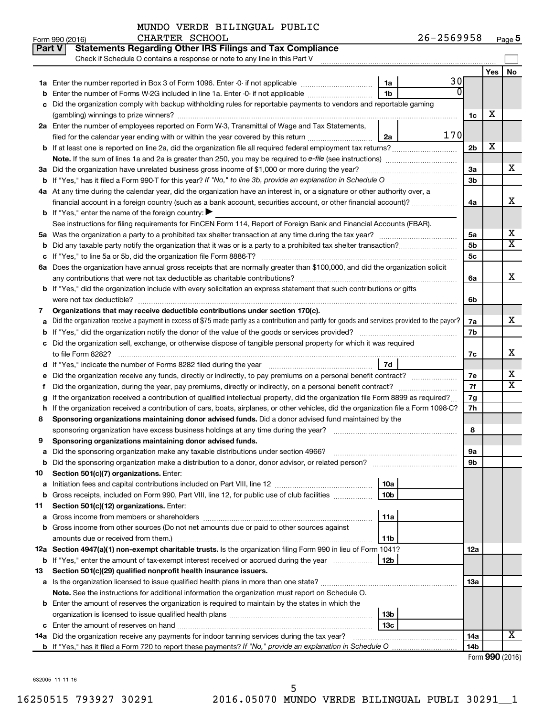|  |                | MUNDO VERDE BILINGUAL PUBLIC |  |
|--|----------------|------------------------------|--|
|  | CHARTER SCHOOL |                              |  |

|    | <b>Statements Regarding Other IRS Filings and Tax Compliance</b><br>Part V                                                                                                                                                                                               |                                    |     |                      |     |                              |  |
|----|--------------------------------------------------------------------------------------------------------------------------------------------------------------------------------------------------------------------------------------------------------------------------|------------------------------------|-----|----------------------|-----|------------------------------|--|
|    | Check if Schedule O contains a response or note to any line in this Part V                                                                                                                                                                                               |                                    |     |                      |     |                              |  |
|    |                                                                                                                                                                                                                                                                          |                                    |     |                      | Yes | No                           |  |
|    |                                                                                                                                                                                                                                                                          | 1a                                 | 30  |                      |     |                              |  |
| b  | Enter the number of Forms W-2G included in line 1a. Enter -0- if not applicable                                                                                                                                                                                          | 1 <sub>b</sub>                     |     |                      |     |                              |  |
| c  | Did the organization comply with backup withholding rules for reportable payments to vendors and reportable gaming                                                                                                                                                       |                                    |     |                      |     |                              |  |
|    |                                                                                                                                                                                                                                                                          |                                    |     | 1c                   | х   |                              |  |
|    | 2a Enter the number of employees reported on Form W-3, Transmittal of Wage and Tax Statements,                                                                                                                                                                           |                                    |     |                      |     |                              |  |
|    | filed for the calendar year ending with or within the year covered by this return                                                                                                                                                                                        | 2a                                 | 170 |                      |     |                              |  |
|    |                                                                                                                                                                                                                                                                          |                                    |     | 2 <sub>b</sub>       | х   |                              |  |
|    |                                                                                                                                                                                                                                                                          |                                    |     |                      |     | x                            |  |
|    | 3a Did the organization have unrelated business gross income of \$1,000 or more during the year?                                                                                                                                                                         |                                    |     | За<br>3 <sub>b</sub> |     |                              |  |
|    | <b>b</b> If "Yes," has it filed a Form 990-T for this year? If "No," to line 3b, provide an explanation in Schedule O manumum<br>4a At any time during the calendar year, did the organization have an interest in, or a signature or other authority over, a            |                                    |     |                      |     |                              |  |
|    | financial account in a foreign country (such as a bank account, securities account, or other financial account)?                                                                                                                                                         |                                    |     | 4a                   |     | X                            |  |
|    | <b>b</b> If "Yes," enter the name of the foreign country: $\blacktriangleright$                                                                                                                                                                                          |                                    |     |                      |     |                              |  |
|    | See instructions for filing requirements for FinCEN Form 114, Report of Foreign Bank and Financial Accounts (FBAR).                                                                                                                                                      |                                    |     |                      |     |                              |  |
|    |                                                                                                                                                                                                                                                                          |                                    |     | 5a                   |     | х                            |  |
|    |                                                                                                                                                                                                                                                                          |                                    |     | 5b                   |     | $\overline{\mathbf{x}}$      |  |
|    |                                                                                                                                                                                                                                                                          |                                    |     | 5 <sub>c</sub>       |     |                              |  |
|    | 6a Does the organization have annual gross receipts that are normally greater than \$100,000, and did the organization solicit                                                                                                                                           |                                    |     |                      |     |                              |  |
|    | any contributions that were not tax deductible as charitable contributions?                                                                                                                                                                                              |                                    |     | 6a                   |     | x                            |  |
|    | b If "Yes," did the organization include with every solicitation an express statement that such contributions or gifts                                                                                                                                                   |                                    |     |                      |     |                              |  |
|    |                                                                                                                                                                                                                                                                          |                                    |     | 6b                   |     |                              |  |
| 7  | Organizations that may receive deductible contributions under section 170(c).                                                                                                                                                                                            |                                    |     |                      |     |                              |  |
| а  | Did the organization receive a payment in excess of \$75 made partly as a contribution and partly for goods and services provided to the payor?                                                                                                                          |                                    |     |                      |     |                              |  |
|    |                                                                                                                                                                                                                                                                          |                                    |     |                      |     |                              |  |
|    | c Did the organization sell, exchange, or otherwise dispose of tangible personal property for which it was required                                                                                                                                                      |                                    |     |                      |     |                              |  |
|    |                                                                                                                                                                                                                                                                          |                                    |     | 7c                   |     | x                            |  |
|    | d If "Yes," indicate the number of Forms 8282 filed during the year manufacture intervent in the set of the number                                                                                                                                                       | 7d                                 |     |                      |     |                              |  |
|    | e Did the organization receive any funds, directly or indirectly, to pay premiums on a personal benefit contract?                                                                                                                                                        |                                    |     | 7e                   |     | x<br>$\overline{\mathbf{x}}$ |  |
|    | Did the organization, during the year, pay premiums, directly or indirectly, on a personal benefit contract?                                                                                                                                                             |                                    |     | 7f                   |     |                              |  |
|    | If the organization received a contribution of qualified intellectual property, did the organization file Form 8899 as required?<br>h If the organization received a contribution of cars, boats, airplanes, or other vehicles, did the organization file a Form 1098-C? |                                    |     | 7g<br>7h             |     |                              |  |
| 8  | Sponsoring organizations maintaining donor advised funds. Did a donor advised fund maintained by the                                                                                                                                                                     |                                    |     |                      |     |                              |  |
|    | sponsoring organization have excess business holdings at any time during the year?                                                                                                                                                                                       |                                    |     | 8                    |     |                              |  |
| 9  | Sponsoring organizations maintaining donor advised funds.                                                                                                                                                                                                                |                                    |     |                      |     |                              |  |
|    |                                                                                                                                                                                                                                                                          |                                    |     | 9а                   |     |                              |  |
|    | <b>b</b> Did the sponsoring organization make a distribution to a donor, donor advisor, or related person?                                                                                                                                                               |                                    |     | 9b                   |     |                              |  |
| 10 | Section 501(c)(7) organizations. Enter:                                                                                                                                                                                                                                  |                                    |     |                      |     |                              |  |
| а  |                                                                                                                                                                                                                                                                          | 10a                                |     |                      |     |                              |  |
| b  | Gross receipts, included on Form 990, Part VIII, line 12, for public use of club facilities                                                                                                                                                                              | 10 <sub>b</sub>                    |     |                      |     |                              |  |
| 11 | Section 501(c)(12) organizations. Enter:                                                                                                                                                                                                                                 |                                    |     |                      |     |                              |  |
| а  |                                                                                                                                                                                                                                                                          | 11a                                |     |                      |     |                              |  |
|    | b Gross income from other sources (Do not net amounts due or paid to other sources against                                                                                                                                                                               |                                    |     |                      |     |                              |  |
|    |                                                                                                                                                                                                                                                                          | 11b                                |     |                      |     |                              |  |
|    | 12a Section 4947(a)(1) non-exempt charitable trusts. Is the organization filing Form 990 in lieu of Form 1041?                                                                                                                                                           |                                    |     | <b>12a</b>           |     |                              |  |
|    | <b>b</b> If "Yes," enter the amount of tax-exempt interest received or accrued during the year                                                                                                                                                                           | 12 <sub>b</sub>                    |     |                      |     |                              |  |
| 13 | Section 501(c)(29) qualified nonprofit health insurance issuers.                                                                                                                                                                                                         |                                    |     |                      |     |                              |  |
|    |                                                                                                                                                                                                                                                                          |                                    |     | 13a                  |     |                              |  |
|    | Note. See the instructions for additional information the organization must report on Schedule O.                                                                                                                                                                        |                                    |     |                      |     |                              |  |
|    | <b>b</b> Enter the amount of reserves the organization is required to maintain by the states in which the                                                                                                                                                                |                                    |     |                      |     |                              |  |
|    |                                                                                                                                                                                                                                                                          | 13 <sub>b</sub><br>13 <sub>c</sub> |     |                      |     |                              |  |
|    | 14a Did the organization receive any payments for indoor tanning services during the tax year?                                                                                                                                                                           |                                    |     | 14a                  |     | X                            |  |
|    |                                                                                                                                                                                                                                                                          |                                    |     | 14b                  |     |                              |  |
|    |                                                                                                                                                                                                                                                                          |                                    |     |                      |     |                              |  |

| Form 990 (2016) |  |
|-----------------|--|
|-----------------|--|

632005 11-11-16

5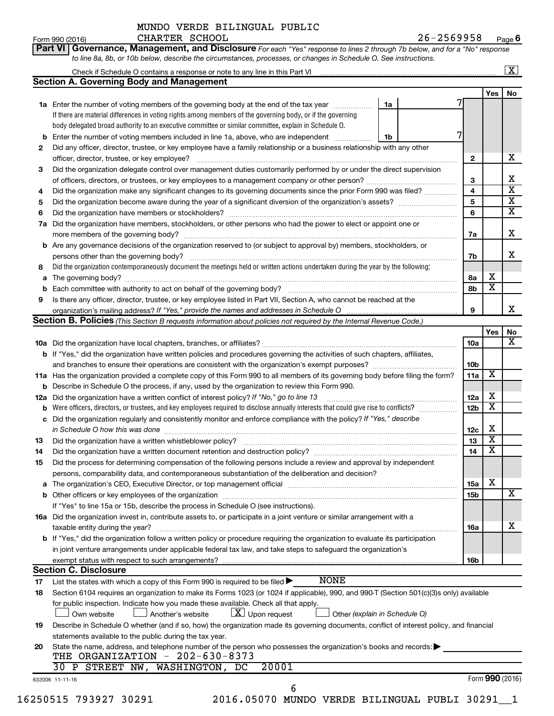**Part VI** Governance, Management, and Disclosure For each "Yes" response to lines 2 through 7b below, and for a "No" response *to line 8a, 8b, or 10b below, describe the circumstances, processes, or changes in Schedule O. See instructions.*

|     |                                                                                                                                                                                                                                |    |  |                 |                         | X                       |  |  |  |  |
|-----|--------------------------------------------------------------------------------------------------------------------------------------------------------------------------------------------------------------------------------|----|--|-----------------|-------------------------|-------------------------|--|--|--|--|
|     | Section A. Governing Body and Management                                                                                                                                                                                       |    |  |                 |                         |                         |  |  |  |  |
|     |                                                                                                                                                                                                                                |    |  |                 | Yes                     | No                      |  |  |  |  |
|     | 1a Enter the number of voting members of the governing body at the end of the tax year                                                                                                                                         | 1a |  |                 |                         |                         |  |  |  |  |
|     | If there are material differences in voting rights among members of the governing body, or if the governing                                                                                                                    |    |  |                 |                         |                         |  |  |  |  |
|     | body delegated broad authority to an executive committee or similar committee, explain in Schedule O.                                                                                                                          |    |  |                 |                         |                         |  |  |  |  |
| b   | Enter the number of voting members included in line 1a, above, who are independent                                                                                                                                             | 1b |  |                 |                         |                         |  |  |  |  |
| 2   | Did any officer, director, trustee, or key employee have a family relationship or a business relationship with any other                                                                                                       |    |  |                 |                         |                         |  |  |  |  |
|     | officer, director, trustee, or key employee?                                                                                                                                                                                   |    |  | 2               |                         | x                       |  |  |  |  |
| 3   | Did the organization delegate control over management duties customarily performed by or under the direct supervision                                                                                                          |    |  |                 |                         |                         |  |  |  |  |
|     |                                                                                                                                                                                                                                |    |  |                 |                         |                         |  |  |  |  |
| 4   | Did the organization make any significant changes to its governing documents since the prior Form 990 was filed?                                                                                                               |    |  |                 |                         |                         |  |  |  |  |
| 5   |                                                                                                                                                                                                                                |    |  | 5               |                         | $\overline{\textbf{x}}$ |  |  |  |  |
| 6   | Did the organization have members or stockholders?                                                                                                                                                                             |    |  | 6               |                         | $\overline{\mathtt{x}}$ |  |  |  |  |
| 7a  | Did the organization have members, stockholders, or other persons who had the power to elect or appoint one or                                                                                                                 |    |  |                 |                         |                         |  |  |  |  |
|     | more members of the governing body?                                                                                                                                                                                            |    |  | 7a              |                         | х                       |  |  |  |  |
|     | <b>b</b> Are any governance decisions of the organization reserved to (or subject to approval by) members, stockholders, or                                                                                                    |    |  |                 |                         |                         |  |  |  |  |
|     | persons other than the governing body?                                                                                                                                                                                         |    |  | 7b              |                         | x                       |  |  |  |  |
| 8   | Did the organization contemporaneously document the meetings held or written actions undertaken during the year by the following:                                                                                              |    |  |                 |                         |                         |  |  |  |  |
| a   |                                                                                                                                                                                                                                |    |  | 8а              | х                       |                         |  |  |  |  |
| b   |                                                                                                                                                                                                                                |    |  | 8b              | $\overline{\textbf{x}}$ |                         |  |  |  |  |
| 9   | Is there any officer, director, trustee, or key employee listed in Part VII, Section A, who cannot be reached at the                                                                                                           |    |  |                 |                         |                         |  |  |  |  |
|     |                                                                                                                                                                                                                                |    |  | 9               |                         | x                       |  |  |  |  |
|     | <b>Section B. Policies</b> (This Section B requests information about policies not required by the Internal Revenue Code.)                                                                                                     |    |  |                 |                         |                         |  |  |  |  |
|     |                                                                                                                                                                                                                                |    |  |                 | Yes                     | No                      |  |  |  |  |
|     |                                                                                                                                                                                                                                |    |  | <b>10a</b>      |                         | $\overline{\mathbf{X}}$ |  |  |  |  |
|     | <b>b</b> If "Yes," did the organization have written policies and procedures governing the activities of such chapters, affiliates,                                                                                            |    |  |                 |                         |                         |  |  |  |  |
|     |                                                                                                                                                                                                                                |    |  | 10 <sub>b</sub> |                         |                         |  |  |  |  |
|     |                                                                                                                                                                                                                                |    |  | 11a             | X                       |                         |  |  |  |  |
|     | 11a Has the organization provided a complete copy of this Form 990 to all members of its governing body before filing the form?                                                                                                |    |  |                 |                         |                         |  |  |  |  |
|     | <b>b</b> Describe in Schedule O the process, if any, used by the organization to review this Form 990.                                                                                                                         |    |  |                 | х                       |                         |  |  |  |  |
| 12a | Did the organization have a written conflict of interest policy? If "No," go to line 13                                                                                                                                        |    |  | 12a             | $\overline{\textbf{x}}$ |                         |  |  |  |  |
| b   | Were officers, directors, or trustees, and key employees required to disclose annually interests that could give rise to conflicts?                                                                                            |    |  | 12 <sub>b</sub> |                         |                         |  |  |  |  |
| с   | Did the organization regularly and consistently monitor and enforce compliance with the policy? If "Yes," describe                                                                                                             |    |  |                 |                         |                         |  |  |  |  |
|     | in Schedule O how this was done                                                                                                                                                                                                |    |  | 12c             | х                       |                         |  |  |  |  |
| 13  | Did the organization have a written whistleblower policy?                                                                                                                                                                      |    |  | 13              | $\overline{\textbf{x}}$ |                         |  |  |  |  |
| 14  | Did the organization have a written document retention and destruction policy? [11] manuscription materials and destruction policy? [11] manuscription materials and the organization have a written document retention and de |    |  | 14              | $\overline{\textbf{x}}$ |                         |  |  |  |  |
| 15  | Did the process for determining compensation of the following persons include a review and approval by independent                                                                                                             |    |  |                 |                         |                         |  |  |  |  |
|     | persons, comparability data, and contemporaneous substantiation of the deliberation and decision?                                                                                                                              |    |  |                 |                         |                         |  |  |  |  |
|     |                                                                                                                                                                                                                                |    |  | 15a             | X                       |                         |  |  |  |  |
|     | <b>b</b> Other officers or key employees of the organization                                                                                                                                                                   |    |  | <b>15b</b>      |                         | X                       |  |  |  |  |
|     | If "Yes" to line 15a or 15b, describe the process in Schedule O (see instructions).                                                                                                                                            |    |  |                 |                         |                         |  |  |  |  |
|     | 16a Did the organization invest in, contribute assets to, or participate in a joint venture or similar arrangement with a                                                                                                      |    |  |                 |                         |                         |  |  |  |  |
|     | taxable entity during the year?                                                                                                                                                                                                |    |  | 16a             |                         | х                       |  |  |  |  |
|     | b If "Yes," did the organization follow a written policy or procedure requiring the organization to evaluate its participation                                                                                                 |    |  |                 |                         |                         |  |  |  |  |
|     | in joint venture arrangements under applicable federal tax law, and take steps to safeguard the organization's                                                                                                                 |    |  |                 |                         |                         |  |  |  |  |
|     | exempt status with respect to such arrangements?                                                                                                                                                                               |    |  | 16b             |                         |                         |  |  |  |  |
|     | <b>Section C. Disclosure</b>                                                                                                                                                                                                   |    |  |                 |                         |                         |  |  |  |  |
| 17  | <b>NONE</b><br>List the states with which a copy of this Form 990 is required to be filed >                                                                                                                                    |    |  |                 |                         |                         |  |  |  |  |
| 18  | Section 6104 requires an organization to make its Forms 1023 (or 1024 if applicable), 990, and 990-T (Section 501(c)(3)s only) available                                                                                       |    |  |                 |                         |                         |  |  |  |  |
|     | for public inspection. Indicate how you made these available. Check all that apply.                                                                                                                                            |    |  |                 |                         |                         |  |  |  |  |
|     | $ \underline{X} $ Upon request<br>Own website<br>Another's website<br>Other (explain in Schedule O)                                                                                                                            |    |  |                 |                         |                         |  |  |  |  |
| 19  | Describe in Schedule O whether (and if so, how) the organization made its governing documents, conflict of interest policy, and financial                                                                                      |    |  |                 |                         |                         |  |  |  |  |
|     | statements available to the public during the tax year.                                                                                                                                                                        |    |  |                 |                         |                         |  |  |  |  |
| 20  | State the name, address, and telephone number of the person who possesses the organization's books and records:                                                                                                                |    |  |                 |                         |                         |  |  |  |  |
|     | THE ORGANIZATION - 202-630-8373                                                                                                                                                                                                |    |  |                 |                         |                         |  |  |  |  |
|     | 20001<br>30 P STREET NW, WASHINGTON, DC                                                                                                                                                                                        |    |  |                 |                         |                         |  |  |  |  |
|     | 632006 11-11-16                                                                                                                                                                                                                |    |  |                 |                         | Form 990 (2016)         |  |  |  |  |
|     | 6                                                                                                                                                                                                                              |    |  |                 |                         |                         |  |  |  |  |
|     |                                                                                                                                                                                                                                |    |  |                 |                         |                         |  |  |  |  |

16250515 793927 30291 2016.05070 MUNDO VERDE BILINGUAL PUBLI 30291\_\_1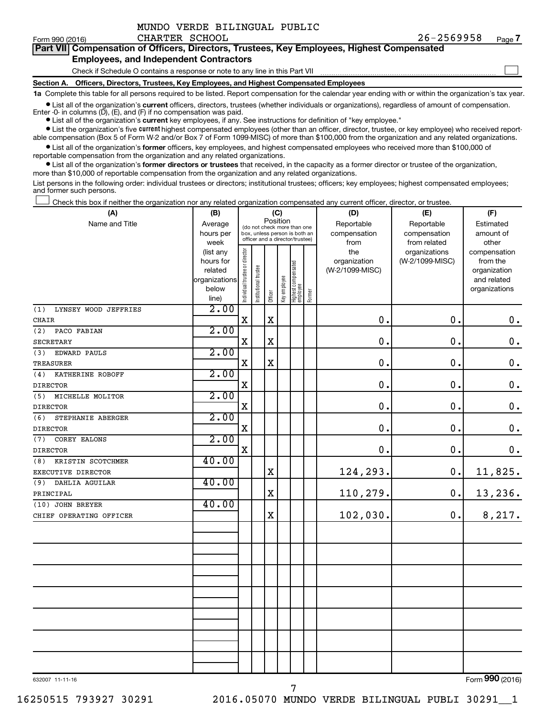|  | MUNDO VERDE BILINGUAL PUBLIC |  |
|--|------------------------------|--|
|  |                              |  |

 $\Box$ 

|                                               |  | Part VII Compensation of Officers, Directors, Trustees, Key Employees, Highest Compensated |
|-----------------------------------------------|--|--------------------------------------------------------------------------------------------|
| <b>Employees, and Independent Contractors</b> |  |                                                                                            |

Check if Schedule O contains a response or note to any line in this Part VII

**Section A. Officers, Directors, Trustees, Key Employees, and Highest Compensated Employees**

**1a**  Complete this table for all persons required to be listed. Report compensation for the calendar year ending with or within the organization's tax year.

**•** List all of the organization's current officers, directors, trustees (whether individuals or organizations), regardless of amount of compensation.

**•** List all of the organization's **current** key employees, if any. See instructions for definition of "key employee." Enter -0- in columns  $(D)$ ,  $(E)$ , and  $(F)$  if no compensation was paid.

**•** List the organization's five current highest compensated employees (other than an officer, director, trustee, or key employee) who received report-

**•** List all of the organization's former officers, key employees, and highest compensated employees who received more than \$100,000 of able compensation (Box 5 of Form W-2 and/or Box 7 of Form 1099-MISC) of more than \$100,000 from the organization and any related organizations. reportable compensation from the organization and any related organizations.

**•** List all of the organization's former directors or trustees that received, in the capacity as a former director or trustee of the organization, more than \$10,000 of reportable compensation from the organization and any related organizations.

List persons in the following order: individual trustees or directors; institutional trustees; officers; key employees; highest compensated employees; and former such persons.

Check this box if neither the organization nor any related organization compensated any current officer, director, or trustee.  $\Box$ 

| (A)                         | (B)                      | (C)                                     |                                                                  |             |              |                                   |        | (D)                                          | (E)             | (F)                         |  |  |
|-----------------------------|--------------------------|-----------------------------------------|------------------------------------------------------------------|-------------|--------------|-----------------------------------|--------|----------------------------------------------|-----------------|-----------------------------|--|--|
| Name and Title              | Average                  | Position<br>(do not check more than one |                                                                  |             |              |                                   |        | Reportable                                   | Reportable      | Estimated                   |  |  |
|                             | hours per                |                                         | box, unless person is both an<br>officer and a director/trustee) |             |              |                                   |        | compensation                                 | compensation    | amount of                   |  |  |
|                             | week                     |                                         |                                                                  |             |              |                                   |        | from<br>from related<br>the<br>organizations |                 | other                       |  |  |
|                             | (list any                |                                         |                                                                  |             |              |                                   |        |                                              |                 | compensation                |  |  |
|                             | hours for                |                                         |                                                                  |             |              |                                   |        | organization<br>(W-2/1099-MISC)              | (W-2/1099-MISC) | from the                    |  |  |
|                             | related<br>organizations |                                         |                                                                  |             |              |                                   |        |                                              |                 | organization<br>and related |  |  |
|                             | below                    |                                         |                                                                  |             |              |                                   |        |                                              |                 | organizations               |  |  |
|                             | line)                    | Individual trustee or director          | Institutional trustee                                            | Officer     | Key employee | Highest compensated<br>  employee | Former |                                              |                 |                             |  |  |
| (1)<br>LYNSEY WOOD JEFFRIES | 2.00                     |                                         |                                                                  |             |              |                                   |        |                                              |                 |                             |  |  |
| CHAIR                       |                          | X                                       |                                                                  | $\mathbf X$ |              |                                   |        | $\mathbf 0$ .                                | 0.              | $0$ .                       |  |  |
| (2)<br>PACO FABIAN          | 2.00                     |                                         |                                                                  |             |              |                                   |        |                                              |                 |                             |  |  |
| SECRETARY                   |                          | X                                       |                                                                  | $\mathbf X$ |              |                                   |        | $\mathbf 0$ .                                | 0.              | $\mathbf 0$ .               |  |  |
| EDWARD PAULS<br>(3)         | 2.00                     |                                         |                                                                  |             |              |                                   |        |                                              |                 |                             |  |  |
| <b>TREASURER</b>            |                          | X                                       |                                                                  | $\mathbf X$ |              |                                   |        | $\mathbf 0$ .                                | 0.              | $\mathbf 0$ .               |  |  |
| (4)<br>KATHERINE ROBOFF     | 2.00                     |                                         |                                                                  |             |              |                                   |        |                                              |                 |                             |  |  |
| <b>DIRECTOR</b>             |                          | X                                       |                                                                  |             |              |                                   |        | $\mathbf 0$ .                                | 0.              | $\mathbf 0$ .               |  |  |
| MICHELLE MOLITOR<br>(5)     | 2.00                     |                                         |                                                                  |             |              |                                   |        |                                              |                 |                             |  |  |
| <b>DIRECTOR</b>             |                          | $\mathbf X$                             |                                                                  |             |              |                                   |        | $\mathbf 0$ .                                | 0.              | $\mathbf 0$ .               |  |  |
| (6)<br>STEPHANIE ABERGER    | 2.00                     |                                         |                                                                  |             |              |                                   |        |                                              |                 |                             |  |  |
| <b>DIRECTOR</b>             |                          | $\mathbf X$                             |                                                                  |             |              |                                   |        | $\mathbf 0$ .                                | 0.              | $\mathbf 0$ .               |  |  |
| COREY EALONS<br>(7)         | 2.00                     |                                         |                                                                  |             |              |                                   |        |                                              |                 |                             |  |  |
| <b>DIRECTOR</b>             |                          | $\mathbf X$                             |                                                                  |             |              |                                   |        | 0.                                           | $\mathbf 0$ .   | $\mathbf 0$ .               |  |  |
| KRISTIN SCOTCHMER<br>(8)    | 40.00                    |                                         |                                                                  |             |              |                                   |        |                                              |                 |                             |  |  |
| EXECUTIVE DIRECTOR          |                          |                                         |                                                                  | $\rm X$     |              |                                   |        | 124,293.                                     | 0.              | 11,825.                     |  |  |
| (9) DAHLIA AGUILAR          | 40.00                    |                                         |                                                                  |             |              |                                   |        |                                              |                 |                             |  |  |
| PRINCIPAL                   |                          |                                         |                                                                  | $\mathbf X$ |              |                                   |        | 110,279.                                     | 0.              | 13,236.                     |  |  |
| (10) JOHN BREYER            | 40.00                    |                                         |                                                                  |             |              |                                   |        |                                              |                 |                             |  |  |
| CHIEF OPERATING OFFICER     |                          |                                         |                                                                  | $\rm X$     |              |                                   |        | 102,030.                                     | 0.              | 8,217.                      |  |  |
|                             |                          |                                         |                                                                  |             |              |                                   |        |                                              |                 |                             |  |  |
|                             |                          |                                         |                                                                  |             |              |                                   |        |                                              |                 |                             |  |  |
|                             |                          |                                         |                                                                  |             |              |                                   |        |                                              |                 |                             |  |  |
|                             |                          |                                         |                                                                  |             |              |                                   |        |                                              |                 |                             |  |  |
|                             |                          |                                         |                                                                  |             |              |                                   |        |                                              |                 |                             |  |  |
|                             |                          |                                         |                                                                  |             |              |                                   |        |                                              |                 |                             |  |  |
|                             |                          |                                         |                                                                  |             |              |                                   |        |                                              |                 |                             |  |  |
|                             |                          |                                         |                                                                  |             |              |                                   |        |                                              |                 |                             |  |  |
|                             |                          |                                         |                                                                  |             |              |                                   |        |                                              |                 |                             |  |  |
|                             |                          |                                         |                                                                  |             |              |                                   |        |                                              |                 |                             |  |  |
|                             |                          |                                         |                                                                  |             |              |                                   |        |                                              |                 |                             |  |  |
|                             |                          |                                         |                                                                  |             |              |                                   |        |                                              |                 |                             |  |  |

7

632007 11-11-16

16250515 793927 30291 2016.05070 MUNDO VERDE BILINGUAL PUBLI 30291\_\_1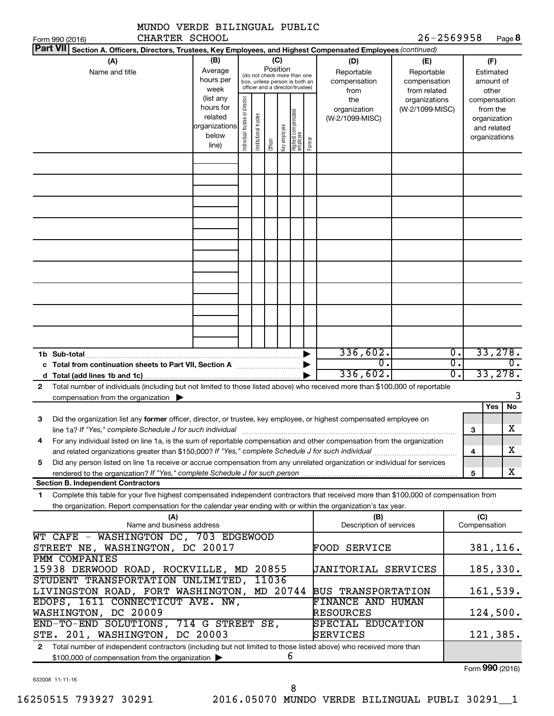|                                    | MUNDO VERDE BILINGUAL PUBLIC<br>CHARTER SCHOOL                                                                                                                                                                                                         |                                                                      |                                |                       |                 |              |                                                                                                 |        |                                                | 26-2569958                                        |                                            |                             |                                                                          |                             |
|------------------------------------|--------------------------------------------------------------------------------------------------------------------------------------------------------------------------------------------------------------------------------------------------------|----------------------------------------------------------------------|--------------------------------|-----------------------|-----------------|--------------|-------------------------------------------------------------------------------------------------|--------|------------------------------------------------|---------------------------------------------------|--------------------------------------------|-----------------------------|--------------------------------------------------------------------------|-----------------------------|
| Form 990 (2016)<br><b>Part VII</b> | Section A. Officers, Directors, Trustees, Key Employees, and Highest Compensated Employees (continued)                                                                                                                                                 |                                                                      |                                |                       |                 |              |                                                                                                 |        |                                                |                                                   |                                            |                             |                                                                          | Page 8                      |
|                                    | (A)<br>Name and title                                                                                                                                                                                                                                  | (B)<br>Average<br>hours per<br>week                                  |                                |                       | (C)<br>Position |              | (do not check more than one<br>box, unless person is both an<br>officer and a director/trustee) |        | (D)<br>Reportable<br>compensation<br>from      | (E)<br>Reportable<br>compensation<br>from related |                                            |                             | (F)<br>Estimated<br>amount of<br>other                                   |                             |
|                                    |                                                                                                                                                                                                                                                        | (list any<br>hours for<br>related<br>organizations<br>below<br>line) | Individual trustee or director | Institutional trustee | Officer         | Key employee | Highest compensated<br>employee                                                                 | Former | the<br>organization<br>(W-2/1099-MISC)         | organizations<br>(W-2/1099-MISC)                  |                                            |                             | compensation<br>from the<br>organization<br>and related<br>organizations |                             |
|                                    |                                                                                                                                                                                                                                                        |                                                                      |                                |                       |                 |              |                                                                                                 |        |                                                |                                                   |                                            |                             |                                                                          |                             |
|                                    |                                                                                                                                                                                                                                                        |                                                                      |                                |                       |                 |              |                                                                                                 |        |                                                |                                                   |                                            |                             |                                                                          |                             |
|                                    |                                                                                                                                                                                                                                                        |                                                                      |                                |                       |                 |              |                                                                                                 |        |                                                |                                                   |                                            |                             |                                                                          |                             |
|                                    |                                                                                                                                                                                                                                                        |                                                                      |                                |                       |                 |              |                                                                                                 |        |                                                |                                                   |                                            |                             |                                                                          |                             |
|                                    |                                                                                                                                                                                                                                                        |                                                                      |                                |                       |                 |              |                                                                                                 |        |                                                |                                                   |                                            |                             |                                                                          |                             |
| 1b Sub-total                       |                                                                                                                                                                                                                                                        |                                                                      |                                |                       |                 |              |                                                                                                 |        | 336,602.<br>$\overline{0}$ .<br>336,602.       |                                                   | $\overline{0}$ .<br>$\overline{0}$ .<br>σ. | 33,278.<br>$0$ .<br>33,278. |                                                                          |                             |
| $\mathbf{2}$                       | Total number of individuals (including but not limited to those listed above) who received more than \$100,000 of reportable<br>compensation from the organization $\blacktriangleright$                                                               |                                                                      |                                |                       |                 |              |                                                                                                 |        |                                                |                                                   |                                            |                             |                                                                          |                             |
| З                                  | Did the organization list any former officer, director, or trustee, key employee, or highest compensated employee on                                                                                                                                   |                                                                      |                                |                       |                 |              |                                                                                                 |        |                                                |                                                   |                                            |                             | Yes                                                                      | No                          |
| 4                                  | line 1a? If "Yes," complete Schedule J for such individual manufactured content to the content of the content o<br>For any individual listed on line 1a, is the sum of reportable compensation and other compensation from the organization            |                                                                      |                                |                       |                 |              |                                                                                                 |        |                                                |                                                   |                                            | 3                           |                                                                          | $\overline{\text{X}}$<br>X. |
| 5                                  | Did any person listed on line 1a receive or accrue compensation from any unrelated organization or individual for services                                                                                                                             |                                                                      |                                |                       |                 |              |                                                                                                 |        |                                                |                                                   |                                            | 4<br>5                      |                                                                          | x                           |
|                                    | <b>Section B. Independent Contractors</b>                                                                                                                                                                                                              |                                                                      |                                |                       |                 |              |                                                                                                 |        |                                                |                                                   |                                            |                             |                                                                          |                             |
| 1                                  | Complete this table for your five highest compensated independent contractors that received more than \$100,000 of compensation from<br>the organization. Report compensation for the calendar year ending with or within the organization's tax year. |                                                                      |                                |                       |                 |              |                                                                                                 |        |                                                |                                                   |                                            |                             |                                                                          |                             |
|                                    | (A)<br>Name and business address                                                                                                                                                                                                                       |                                                                      |                                |                       |                 |              |                                                                                                 |        | (B)<br>Description of services                 |                                                   |                                            | (C)                         | Compensation                                                             |                             |
| PMM COMPANIES                      | WT CAFE - WASHINGTON DC, 703 EDGEWOOD<br>STREET NE, WASHINGTON, DC 20017                                                                                                                                                                               |                                                                      |                                |                       |                 |              |                                                                                                 |        | <b>FOOD SERVICE</b>                            |                                                   |                                            |                             |                                                                          | 381,116.                    |
|                                    | 15938 DERWOOD ROAD, ROCKVILLE, MD 20855<br>STUDENT TRANSPORTATION UNLIMITED, 11036                                                                                                                                                                     |                                                                      |                                |                       |                 |              |                                                                                                 |        | UANITORIAL SERVICES                            |                                                   |                                            |                             | 185,330.                                                                 |                             |
|                                    | LIVINGSTON ROAD, FORT WASHINGTON, MD 20744<br>EDOPS, 1611 CONNECTICUT AVE. NW,                                                                                                                                                                         |                                                                      |                                |                       |                 |              |                                                                                                 |        | <b>BUS TRANSPORTATION</b><br>FINANCE AND HUMAN |                                                   |                                            |                             |                                                                          | 161,539.                    |
|                                    | WASHINGTON, DC 20009<br>END-TO-END SOLUTIONS, 714 G STREET SE,                                                                                                                                                                                         |                                                                      |                                |                       |                 |              |                                                                                                 |        | <b>RESOURCES</b><br>SPECIAL EDUCATION          |                                                   |                                            |                             | 124,500.                                                                 |                             |
| $\mathbf{2}$                       | STE. 201, WASHINGTON, DC 20003<br>Total number of independent contractors (including but not limited to those listed above) who received more than<br>\$100,000 of compensation from the organization                                                  |                                                                      |                                |                       |                 |              | 6                                                                                               |        | SERVICES                                       |                                                   |                                            |                             | 121,385.                                                                 |                             |
|                                    |                                                                                                                                                                                                                                                        |                                                                      |                                |                       |                 |              |                                                                                                 |        |                                                |                                                   |                                            |                             |                                                                          |                             |

632008 11-11-16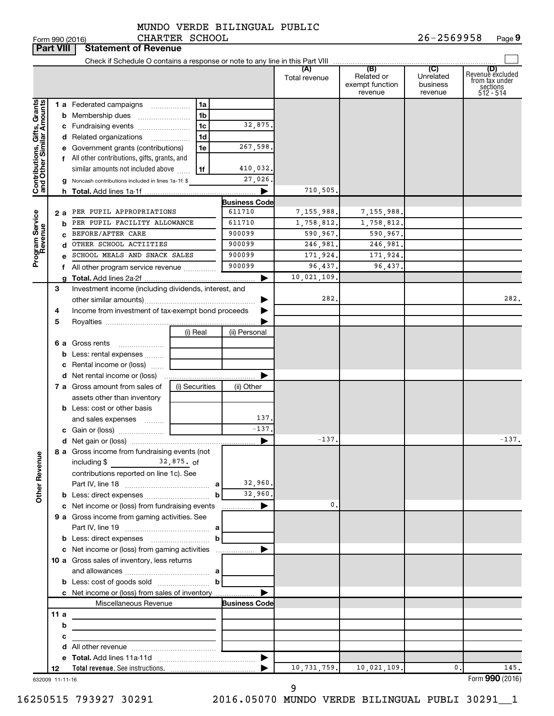MUNDO VERDE BILINGUAL PUBLIC CHARTER SCHOOL

|                                                           | <b>Part VIII</b> | <b>Statement of Revenue</b>                                                                                                                                                                        |                |                                |                          |                                                 |                                         |                                                                    |
|-----------------------------------------------------------|------------------|----------------------------------------------------------------------------------------------------------------------------------------------------------------------------------------------------|----------------|--------------------------------|--------------------------|-------------------------------------------------|-----------------------------------------|--------------------------------------------------------------------|
|                                                           |                  |                                                                                                                                                                                                    |                |                                |                          |                                                 |                                         |                                                                    |
|                                                           |                  |                                                                                                                                                                                                    |                |                                | (A)<br>Total revenue     | (B)<br>Related or<br>exempt function<br>revenue | (C)<br>Unrelated<br>business<br>revenue | (D)<br>Revenue excluded<br>from tax under<br>sections<br>512 - 514 |
|                                                           |                  | <b>1 a</b> Federated campaigns                                                                                                                                                                     | 1a             |                                |                          |                                                 |                                         |                                                                    |
|                                                           |                  | <b>b</b> Membership dues                                                                                                                                                                           | 1b             |                                |                          |                                                 |                                         |                                                                    |
|                                                           |                  | c Fundraising events                                                                                                                                                                               | 1c             | 32,875.                        |                          |                                                 |                                         |                                                                    |
|                                                           |                  | d Related organizations                                                                                                                                                                            | 1d<br>.        |                                |                          |                                                 |                                         |                                                                    |
|                                                           |                  | e Government grants (contributions)                                                                                                                                                                | 1е             | 267,598.                       |                          |                                                 |                                         |                                                                    |
|                                                           |                  | f All other contributions, gifts, grants, and                                                                                                                                                      |                |                                |                          |                                                 |                                         |                                                                    |
|                                                           |                  | similar amounts not included above                                                                                                                                                                 | 1f             | 410,032.                       |                          |                                                 |                                         |                                                                    |
| Contributions, Gifts, Grants<br>and Other Similar Amounts |                  | g Noncash contributions included in lines 1a-1f: \$                                                                                                                                                |                | 27,026.                        |                          |                                                 |                                         |                                                                    |
|                                                           |                  |                                                                                                                                                                                                    |                |                                | 710,505.                 |                                                 |                                         |                                                                    |
|                                                           |                  | PER PUPIL APPROPRIATIONS                                                                                                                                                                           |                | <b>Business Code</b><br>611710 |                          |                                                 |                                         |                                                                    |
|                                                           | 2 a              | PER PUPIL FACILITY ALLOWANCE                                                                                                                                                                       |                | 611710                         | 7,155,988.<br>1,758,812. | 7,155,988.<br>1,758,812.                        |                                         |                                                                    |
| Program Service<br>Revenue                                | b                | BEFORE/AFTER CARE                                                                                                                                                                                  |                | 900099                         | 590,967.                 | 590,967.                                        |                                         |                                                                    |
|                                                           | d                | OTHER SCHOOL ACTIITIES                                                                                                                                                                             |                | 900099                         | 246,981.                 | 246,981.                                        |                                         |                                                                    |
|                                                           |                  | SCHOOL MEALS AND SNACK SALES                                                                                                                                                                       |                | 900099                         | 171,924.                 | 171,924.                                        |                                         |                                                                    |
|                                                           |                  | All other program service revenue                                                                                                                                                                  |                | 900099                         | 96,437.                  | 96,437.                                         |                                         |                                                                    |
|                                                           |                  |                                                                                                                                                                                                    |                |                                | 10,021,109.              |                                                 |                                         |                                                                    |
|                                                           | 3                | Investment income (including dividends, interest, and                                                                                                                                              |                |                                |                          |                                                 |                                         |                                                                    |
|                                                           |                  |                                                                                                                                                                                                    |                |                                | 282.                     |                                                 |                                         | 282.                                                               |
|                                                           | 4                | Income from investment of tax-exempt bond proceeds                                                                                                                                                 |                |                                |                          |                                                 |                                         |                                                                    |
|                                                           | 5                |                                                                                                                                                                                                    |                |                                |                          |                                                 |                                         |                                                                    |
|                                                           |                  |                                                                                                                                                                                                    | (i) Real       | (ii) Personal                  |                          |                                                 |                                         |                                                                    |
|                                                           |                  | 6 a Gross rents                                                                                                                                                                                    |                |                                |                          |                                                 |                                         |                                                                    |
|                                                           |                  | <b>b</b> Less: rental expenses                                                                                                                                                                     |                |                                |                          |                                                 |                                         |                                                                    |
|                                                           |                  | c Rental income or (loss)                                                                                                                                                                          |                |                                |                          |                                                 |                                         |                                                                    |
|                                                           |                  |                                                                                                                                                                                                    |                |                                |                          |                                                 |                                         |                                                                    |
|                                                           |                  | 7 a Gross amount from sales of                                                                                                                                                                     | (i) Securities | (ii) Other                     |                          |                                                 |                                         |                                                                    |
|                                                           |                  | assets other than inventory                                                                                                                                                                        |                |                                |                          |                                                 |                                         |                                                                    |
|                                                           |                  | <b>b</b> Less: cost or other basis                                                                                                                                                                 |                | 137.                           |                          |                                                 |                                         |                                                                    |
|                                                           |                  | and sales expenses                                                                                                                                                                                 |                | $-137.$                        |                          |                                                 |                                         |                                                                    |
|                                                           |                  |                                                                                                                                                                                                    |                | ▶                              | $-137$                   |                                                 |                                         | $-137.$                                                            |
|                                                           |                  | 8 a Gross income from fundraising events (not                                                                                                                                                      |                |                                |                          |                                                 |                                         |                                                                    |
| <b>Other Revenue</b>                                      |                  | including \$                                                                                                                                                                                       | 32,875. of     |                                |                          |                                                 |                                         |                                                                    |
|                                                           |                  | contributions reported on line 1c). See                                                                                                                                                            |                |                                |                          |                                                 |                                         |                                                                    |
|                                                           |                  |                                                                                                                                                                                                    |                | 32,960.                        |                          |                                                 |                                         |                                                                    |
|                                                           |                  |                                                                                                                                                                                                    |                | 32,960.<br>b                   |                          |                                                 |                                         |                                                                    |
|                                                           |                  | c Net income or (loss) from fundraising events                                                                                                                                                     |                | ▶<br>.                         | 0.                       |                                                 |                                         |                                                                    |
|                                                           |                  | 9 a Gross income from gaming activities. See                                                                                                                                                       |                |                                |                          |                                                 |                                         |                                                                    |
|                                                           |                  |                                                                                                                                                                                                    |                |                                |                          |                                                 |                                         |                                                                    |
|                                                           |                  |                                                                                                                                                                                                    |                | b                              |                          |                                                 |                                         |                                                                    |
|                                                           |                  | c Net income or (loss) from gaming activities                                                                                                                                                      |                |                                |                          |                                                 |                                         |                                                                    |
|                                                           |                  | 10 a Gross sales of inventory, less returns                                                                                                                                                        |                |                                |                          |                                                 |                                         |                                                                    |
|                                                           |                  |                                                                                                                                                                                                    |                |                                |                          |                                                 |                                         |                                                                    |
|                                                           |                  |                                                                                                                                                                                                    |                |                                |                          |                                                 |                                         |                                                                    |
|                                                           |                  | c Net income or (loss) from sales of inventory                                                                                                                                                     |                |                                |                          |                                                 |                                         |                                                                    |
|                                                           | 11 a             | Miscellaneous Revenue                                                                                                                                                                              |                | <b>Business Code</b>           |                          |                                                 |                                         |                                                                    |
|                                                           | b                |                                                                                                                                                                                                    |                |                                |                          |                                                 |                                         |                                                                    |
|                                                           | с                | <u> 1989 - Johann John Stone, markin fan it ferstjer fan it ferstjer fan it ferstjer fan it ferstjer fan it fers</u><br>the control of the control of the control of the control of the control of |                |                                |                          |                                                 |                                         |                                                                    |
|                                                           |                  |                                                                                                                                                                                                    |                |                                |                          |                                                 |                                         |                                                                    |
|                                                           |                  |                                                                                                                                                                                                    |                | $\blacktriangleright$          |                          |                                                 |                                         |                                                                    |
|                                                           | 12               |                                                                                                                                                                                                    |                |                                | 10,731,759.              | 10,021,109.                                     | 0.                                      | 145.                                                               |
|                                                           | 632009 11-11-16  |                                                                                                                                                                                                    |                |                                |                          |                                                 |                                         | Form 990 (2016)                                                    |

16250515 793927 30291 2016.05070 MUNDO VERDE BILINGUAL PUBLI 30291\_\_1 9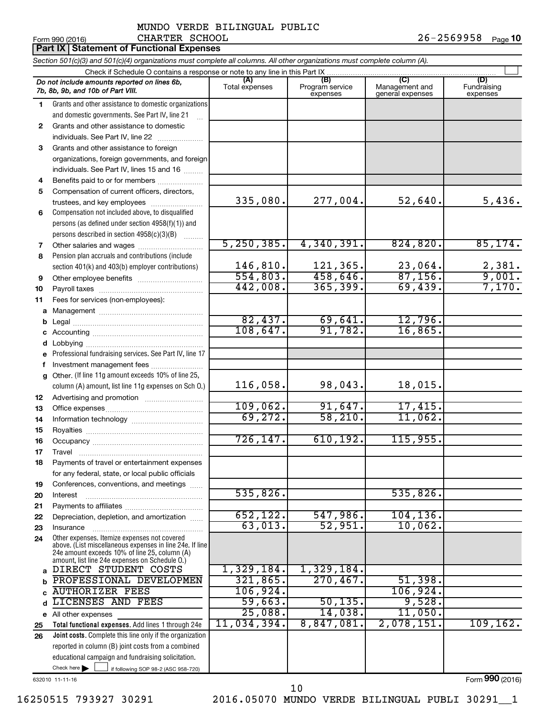## MUNDO VERDE BILINGUAL PUBLIC CHARTER SCHOOL

|    | <b>Part IX Statement of Functional Expenses</b>                                                                                                                                                             |                       |                                    |                                                      |                                |  |  |  |  |  |
|----|-------------------------------------------------------------------------------------------------------------------------------------------------------------------------------------------------------------|-----------------------|------------------------------------|------------------------------------------------------|--------------------------------|--|--|--|--|--|
|    | Section 501(c)(3) and 501(c)(4) organizations must complete all columns. All other organizations must complete column (A).                                                                                  |                       |                                    |                                                      |                                |  |  |  |  |  |
|    | Check if Schedule O contains a response or note to any line in this Part IX                                                                                                                                 |                       |                                    |                                                      |                                |  |  |  |  |  |
|    | Do not include amounts reported on lines 6b,<br>7b, 8b, 9b, and 10b of Part VIII.                                                                                                                           | (A)<br>Total expenses | (B)<br>Program service<br>expenses | $\overline{C}$<br>Management and<br>general expenses | (D)<br>Fundraising<br>expenses |  |  |  |  |  |
| 1  | Grants and other assistance to domestic organizations                                                                                                                                                       |                       |                                    |                                                      |                                |  |  |  |  |  |
|    | and domestic governments. See Part IV, line 21                                                                                                                                                              |                       |                                    |                                                      |                                |  |  |  |  |  |
| 2  | Grants and other assistance to domestic                                                                                                                                                                     |                       |                                    |                                                      |                                |  |  |  |  |  |
|    | individuals. See Part IV, line 22                                                                                                                                                                           |                       |                                    |                                                      |                                |  |  |  |  |  |
| 3  | Grants and other assistance to foreign                                                                                                                                                                      |                       |                                    |                                                      |                                |  |  |  |  |  |
|    | organizations, foreign governments, and foreign                                                                                                                                                             |                       |                                    |                                                      |                                |  |  |  |  |  |
|    | individuals. See Part IV, lines 15 and 16                                                                                                                                                                   |                       |                                    |                                                      |                                |  |  |  |  |  |
| 4  | Benefits paid to or for members                                                                                                                                                                             |                       |                                    |                                                      |                                |  |  |  |  |  |
| 5  | Compensation of current officers, directors,                                                                                                                                                                |                       |                                    |                                                      |                                |  |  |  |  |  |
|    | trustees, and key employees                                                                                                                                                                                 | 335,080.              | 277,004.                           | 52,640.                                              | 5,436.                         |  |  |  |  |  |
| 6  | Compensation not included above, to disqualified                                                                                                                                                            |                       |                                    |                                                      |                                |  |  |  |  |  |
|    | persons (as defined under section 4958(f)(1)) and                                                                                                                                                           |                       |                                    |                                                      |                                |  |  |  |  |  |
|    | persons described in section 4958(c)(3)(B)                                                                                                                                                                  |                       |                                    |                                                      |                                |  |  |  |  |  |
| 7  |                                                                                                                                                                                                             | 5, 250, 385.          | 4,340,391.                         | 824, 820.                                            | 85, 174.                       |  |  |  |  |  |
| 8  | Pension plan accruals and contributions (include                                                                                                                                                            |                       |                                    |                                                      |                                |  |  |  |  |  |
|    | section 401(k) and 403(b) employer contributions)                                                                                                                                                           | 146,810.              | 121,365.                           | $\frac{23,064}{87,156}$                              | 2,381.                         |  |  |  |  |  |
| 9  | Other employee benefits                                                                                                                                                                                     | 554,803.              | 458,646.<br>365, 399.              |                                                      | $\frac{9,001}{7,170}$ .        |  |  |  |  |  |
| 10 |                                                                                                                                                                                                             | 442,008.              |                                    | 69,439.                                              |                                |  |  |  |  |  |
| 11 | Fees for services (non-employees):                                                                                                                                                                          |                       |                                    |                                                      |                                |  |  |  |  |  |
| а  |                                                                                                                                                                                                             | 82,437.               | 69,641.                            | 12,796.                                              |                                |  |  |  |  |  |
| b  |                                                                                                                                                                                                             | 108,647.              | 91,782.                            | 16,865.                                              |                                |  |  |  |  |  |
|    |                                                                                                                                                                                                             |                       |                                    |                                                      |                                |  |  |  |  |  |
|    | Professional fundraising services. See Part IV, line 17                                                                                                                                                     |                       |                                    |                                                      |                                |  |  |  |  |  |
| е  |                                                                                                                                                                                                             |                       |                                    |                                                      |                                |  |  |  |  |  |
|    | Investment management fees<br>Other. (If line 11g amount exceeds 10% of line 25,                                                                                                                            |                       |                                    |                                                      |                                |  |  |  |  |  |
| g  | column (A) amount, list line 11g expenses on Sch O.)                                                                                                                                                        | 116,058.              | 98,043.                            | 18,015.                                              |                                |  |  |  |  |  |
| 12 |                                                                                                                                                                                                             |                       |                                    |                                                      |                                |  |  |  |  |  |
| 13 |                                                                                                                                                                                                             | 109,062.              | 91,647.                            | 17,415.                                              |                                |  |  |  |  |  |
| 14 |                                                                                                                                                                                                             | 69, 272.              | 58, 210.                           | 11,062.                                              |                                |  |  |  |  |  |
| 15 |                                                                                                                                                                                                             |                       |                                    |                                                      |                                |  |  |  |  |  |
| 16 |                                                                                                                                                                                                             | 726, 147.             | 610, 192.                          | 115,955.                                             |                                |  |  |  |  |  |
| 17 | Travel                                                                                                                                                                                                      |                       |                                    |                                                      |                                |  |  |  |  |  |
| 18 | Payments of travel or entertainment expenses                                                                                                                                                                |                       |                                    |                                                      |                                |  |  |  |  |  |
|    | for any federal, state, or local public officials                                                                                                                                                           |                       |                                    |                                                      |                                |  |  |  |  |  |
| 19 | Conferences, conventions, and meetings                                                                                                                                                                      |                       |                                    |                                                      |                                |  |  |  |  |  |
| 20 | Interest                                                                                                                                                                                                    | 535,826.              |                                    | 535,826.                                             |                                |  |  |  |  |  |
| 21 |                                                                                                                                                                                                             |                       |                                    |                                                      |                                |  |  |  |  |  |
| 22 | Depreciation, depletion, and amortization                                                                                                                                                                   | 652,122.              | 547,986.                           | 104, 136.                                            |                                |  |  |  |  |  |
| 23 | Insurance                                                                                                                                                                                                   | 63,013.               | 52,951.                            | 10,062.                                              |                                |  |  |  |  |  |
| 24 | Other expenses. Itemize expenses not covered<br>above. (List miscellaneous expenses in line 24e. If line<br>24e amount exceeds 10% of line 25, column (A)<br>amount, list line 24e expenses on Schedule O.) |                       |                                    |                                                      |                                |  |  |  |  |  |
| a  | DIRECT STUDENT COSTS                                                                                                                                                                                        | 1,329,184.            | 1,329,184.                         |                                                      |                                |  |  |  |  |  |
|    | PROFESSIONAL DEVELOPMEN                                                                                                                                                                                     | 321,865.              | 270, 467.                          | 51,398.                                              |                                |  |  |  |  |  |
|    | <b>AUTHORIZER FEES</b>                                                                                                                                                                                      | 106,924.              |                                    | 106,924.                                             |                                |  |  |  |  |  |
|    | LICENSES AND FEES                                                                                                                                                                                           | 59,663.               | 50, 135.                           | 9,528.                                               |                                |  |  |  |  |  |
| е  | All other expenses                                                                                                                                                                                          | 25,088.               | 14,038.                            | 11,050.                                              |                                |  |  |  |  |  |
| 25 | Total functional expenses. Add lines 1 through 24e                                                                                                                                                          | 11,034,394.           | 8,847,081.                         | 2,078,151.                                           | 109, 162.                      |  |  |  |  |  |
| 26 | Joint costs. Complete this line only if the organization                                                                                                                                                    |                       |                                    |                                                      |                                |  |  |  |  |  |
|    | reported in column (B) joint costs from a combined                                                                                                                                                          |                       |                                    |                                                      |                                |  |  |  |  |  |
|    | educational campaign and fundraising solicitation.<br>Check here $\blacktriangleright$                                                                                                                      |                       |                                    |                                                      |                                |  |  |  |  |  |
|    | if following SOP 98-2 (ASC 958-720)                                                                                                                                                                         |                       |                                    |                                                      |                                |  |  |  |  |  |

632010 11-11-16

16250515 793927 30291 2016.05070 MUNDO VERDE BILINGUAL PUBLI 30291\_\_1 10

Form (2016) **990**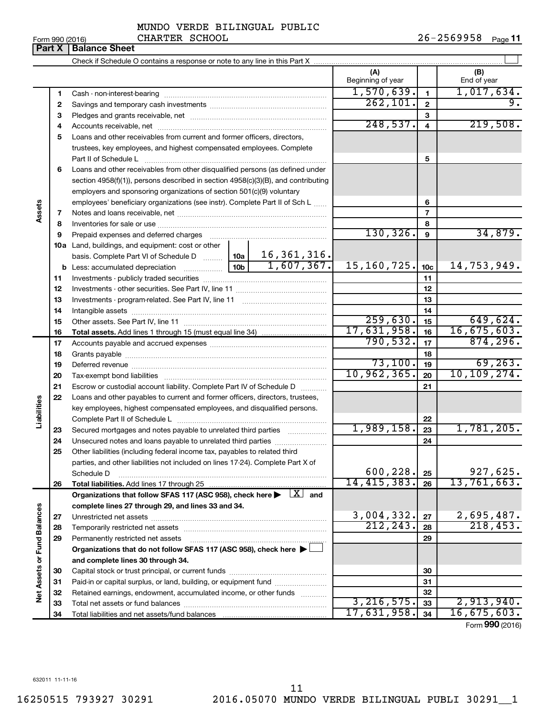|                | MUNDO VERDE BILINGUAL PUBLIC |  |
|----------------|------------------------------|--|
| CHARTER SCHOOL |                              |  |

**Part X Balance Sheet**

Form 990 (2016) CHARTER SCHOOL 2 6-2 5 6 9 9 5 8 <sub>Page</sub> **11** 

|                             |    |                                                                                                                                                                                                                               |         |               | (A)<br>Beginning of year |                         | (B)<br>End of year |
|-----------------------------|----|-------------------------------------------------------------------------------------------------------------------------------------------------------------------------------------------------------------------------------|---------|---------------|--------------------------|-------------------------|--------------------|
|                             | 1  |                                                                                                                                                                                                                               |         |               | 1,570,639.               | $\mathbf{1}$            | 1,017,634.         |
|                             | 2  |                                                                                                                                                                                                                               |         |               | 262, 101.                | $\mathbf{2}$            | $\overline{9}$ .   |
|                             | 3  |                                                                                                                                                                                                                               |         |               |                          | 3                       |                    |
|                             | 4  |                                                                                                                                                                                                                               |         |               | 248,537.                 | $\overline{\mathbf{4}}$ | 219,508.           |
|                             | 5  | Loans and other receivables from current and former officers, directors,                                                                                                                                                      |         |               |                          |                         |                    |
|                             |    | trustees, key employees, and highest compensated employees. Complete                                                                                                                                                          |         |               |                          |                         |                    |
|                             |    | Part II of Schedule L                                                                                                                                                                                                         |         |               |                          | 5                       |                    |
|                             | 6  | Loans and other receivables from other disqualified persons (as defined under                                                                                                                                                 |         |               |                          |                         |                    |
|                             |    | section 4958(f)(1)), persons described in section 4958(c)(3)(B), and contributing                                                                                                                                             |         |               |                          |                         |                    |
|                             |    | employers and sponsoring organizations of section 501(c)(9) voluntary                                                                                                                                                         |         |               |                          |                         |                    |
|                             |    | employees' beneficiary organizations (see instr). Complete Part II of Sch L                                                                                                                                                   |         |               |                          | 6                       |                    |
| Assets                      | 7  |                                                                                                                                                                                                                               |         |               |                          | $\overline{7}$          |                    |
|                             | 8  |                                                                                                                                                                                                                               |         |               |                          | 8                       |                    |
|                             | 9  | Prepaid expenses and deferred charges [11] [11] Prepaid expenses and deferred charges [11] [11] Martin Marian Marian Marian Marian Marian Marian Marian Marian Marian Marian Marian Marian Marian Marian Marian Marian Marian |         |               | 130, 326.                | $\boldsymbol{9}$        | 34,879.            |
|                             |    | 10a Land, buildings, and equipment: cost or other                                                                                                                                                                             |         |               |                          |                         |                    |
|                             |    | basis. Complete Part VI of Schedule D  [10a]                                                                                                                                                                                  |         | 16, 361, 316. |                          |                         |                    |
|                             |    | <b>b</b> Less: accumulated depreciation <i>minimum</i>                                                                                                                                                                        | l 10ь l | 1,607,367.    | 15,160,725.              | 10 <sub>c</sub>         | 14,753,949.        |
|                             | 11 |                                                                                                                                                                                                                               |         |               |                          | 11                      |                    |
|                             | 12 |                                                                                                                                                                                                                               |         |               |                          | 12                      |                    |
|                             | 13 |                                                                                                                                                                                                                               |         | 13            |                          |                         |                    |
|                             | 14 |                                                                                                                                                                                                                               |         |               |                          | 14                      |                    |
|                             | 15 |                                                                                                                                                                                                                               |         |               | 259,630.                 | 15                      | 649,624.           |
|                             | 16 |                                                                                                                                                                                                                               |         |               | 17,631,958.              | 16                      | 16,675,603.        |
|                             | 17 |                                                                                                                                                                                                                               |         |               | 790, 532.                | 17                      | 874, 296.          |
|                             | 18 |                                                                                                                                                                                                                               |         |               | 18                       |                         |                    |
|                             | 19 |                                                                                                                                                                                                                               |         | 73,100.       | 19                       | 69, 263.                |                    |
|                             | 20 |                                                                                                                                                                                                                               |         |               | 10,962,365.              | 20                      | 10, 109, 274.      |
|                             | 21 | Escrow or custodial account liability. Complete Part IV of Schedule D                                                                                                                                                         |         |               |                          | 21                      |                    |
|                             | 22 | Loans and other payables to current and former officers, directors, trustees,                                                                                                                                                 |         |               |                          |                         |                    |
| Liabilities                 |    | key employees, highest compensated employees, and disqualified persons.                                                                                                                                                       |         |               |                          |                         |                    |
|                             |    |                                                                                                                                                                                                                               |         |               | 1,989,158.               | 22                      | 1,781,205.         |
|                             | 23 | Secured mortgages and notes payable to unrelated third parties                                                                                                                                                                |         |               |                          | 23                      |                    |
|                             | 24 | Unsecured notes and loans payable to unrelated third parties                                                                                                                                                                  |         |               |                          | 24                      |                    |
|                             | 25 | Other liabilities (including federal income tax, payables to related third                                                                                                                                                    |         |               |                          |                         |                    |
|                             |    | parties, and other liabilities not included on lines 17-24). Complete Part X of                                                                                                                                               |         |               | 600,228.                 | 25                      | 927,625.           |
|                             | 26 | Schedule D                                                                                                                                                                                                                    |         |               | 14,415,383.              | 26                      | 13,761,663.        |
|                             |    | Organizations that follow SFAS 117 (ASC 958), check here $\blacktriangleright \begin{array}{c} \boxed{X} \end{array}$ and                                                                                                     |         |               |                          |                         |                    |
|                             |    | complete lines 27 through 29, and lines 33 and 34.                                                                                                                                                                            |         |               |                          |                         |                    |
|                             | 27 |                                                                                                                                                                                                                               |         |               | 3,004,332.               | 27                      | 2,695,487.         |
|                             | 28 |                                                                                                                                                                                                                               |         |               | 212, 243.                | 28                      | 218, 453.          |
|                             | 29 | Permanently restricted net assets                                                                                                                                                                                             |         |               |                          | 29                      |                    |
|                             |    | Organizations that do not follow SFAS 117 (ASC 958), check here ▶ □                                                                                                                                                           |         |               |                          |                         |                    |
|                             |    | and complete lines 30 through 34.                                                                                                                                                                                             |         |               |                          |                         |                    |
| Net Assets or Fund Balances | 30 |                                                                                                                                                                                                                               |         |               |                          | 30                      |                    |
|                             | 31 | Paid-in or capital surplus, or land, building, or equipment fund                                                                                                                                                              |         |               |                          | 31                      |                    |
|                             | 32 | Retained earnings, endowment, accumulated income, or other funds                                                                                                                                                              |         |               |                          | 32                      |                    |
|                             | 33 |                                                                                                                                                                                                                               |         |               | 3, 216, 575.             | 33                      | 2,913,940.         |
|                             | 34 |                                                                                                                                                                                                                               |         |               | 17,631,958.              | 34                      | 16,675,603.        |
|                             |    |                                                                                                                                                                                                                               |         |               |                          |                         | Form 990 (2016)    |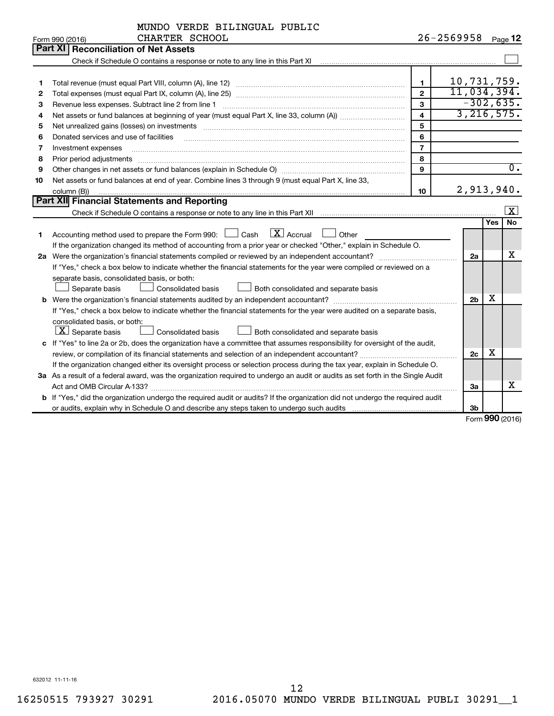| $26 - 2569958$ Page 12<br>CHARTER SCHOOL<br>Form 990 (2016)<br>Part XII<br><b>Reconciliation of Net Assets</b><br>Check if Schedule O contains a response or note to any line in this Part XI [11] [12] Check if Schedule O contains a response or note to any line in this Part XI<br>10,731,759.<br>1<br>1<br>11,034,394.<br>$\mathbf{2}$<br>2<br>$-302,635.$<br>3<br>Revenue less expenses. Subtract line 2 from line 1<br>З<br>3, 216, 575.<br>4<br>4<br>5<br>Net unrealized gains (losses) on investments [11] Martin Martin Martin Martin Martin Martin Martin Martin Marti<br>5 | MUNDO VERDE BILINGUAL PUBLIC |  |                         |
|----------------------------------------------------------------------------------------------------------------------------------------------------------------------------------------------------------------------------------------------------------------------------------------------------------------------------------------------------------------------------------------------------------------------------------------------------------------------------------------------------------------------------------------------------------------------------------------|------------------------------|--|-------------------------|
|                                                                                                                                                                                                                                                                                                                                                                                                                                                                                                                                                                                        |                              |  |                         |
|                                                                                                                                                                                                                                                                                                                                                                                                                                                                                                                                                                                        |                              |  |                         |
|                                                                                                                                                                                                                                                                                                                                                                                                                                                                                                                                                                                        |                              |  |                         |
|                                                                                                                                                                                                                                                                                                                                                                                                                                                                                                                                                                                        |                              |  |                         |
|                                                                                                                                                                                                                                                                                                                                                                                                                                                                                                                                                                                        |                              |  |                         |
|                                                                                                                                                                                                                                                                                                                                                                                                                                                                                                                                                                                        |                              |  |                         |
|                                                                                                                                                                                                                                                                                                                                                                                                                                                                                                                                                                                        |                              |  |                         |
|                                                                                                                                                                                                                                                                                                                                                                                                                                                                                                                                                                                        |                              |  |                         |
|                                                                                                                                                                                                                                                                                                                                                                                                                                                                                                                                                                                        |                              |  |                         |
| 6<br>6<br>Donated services and use of facilities                                                                                                                                                                                                                                                                                                                                                                                                                                                                                                                                       |                              |  |                         |
| $\overline{7}$<br>7<br>Investment expenses                                                                                                                                                                                                                                                                                                                                                                                                                                                                                                                                             |                              |  |                         |
| 8<br>8<br>Prior period adjustments                                                                                                                                                                                                                                                                                                                                                                                                                                                                                                                                                     |                              |  |                         |
| Other changes in net assets or fund balances (explain in Schedule O) manufactured controller than the controller<br>9<br>9                                                                                                                                                                                                                                                                                                                                                                                                                                                             |                              |  | $\overline{0}$ .        |
| Net assets or fund balances at end of year. Combine lines 3 through 9 (must equal Part X, line 33,<br>10                                                                                                                                                                                                                                                                                                                                                                                                                                                                               |                              |  |                         |
| 2,913,940.<br>10<br>column (B))                                                                                                                                                                                                                                                                                                                                                                                                                                                                                                                                                        |                              |  |                         |
| <b>Part XII Financial Statements and Reporting</b>                                                                                                                                                                                                                                                                                                                                                                                                                                                                                                                                     |                              |  |                         |
|                                                                                                                                                                                                                                                                                                                                                                                                                                                                                                                                                                                        |                              |  | $\overline{\mathbf{X}}$ |
| Yes                                                                                                                                                                                                                                                                                                                                                                                                                                                                                                                                                                                    |                              |  | <b>No</b>               |
| $\boxed{\text{X}}$ Accrual<br>Accounting method used to prepare the Form 990: $\Box$ Cash<br>Other<br>1                                                                                                                                                                                                                                                                                                                                                                                                                                                                                |                              |  |                         |
| If the organization changed its method of accounting from a prior year or checked "Other," explain in Schedule O.                                                                                                                                                                                                                                                                                                                                                                                                                                                                      |                              |  |                         |
| 2a                                                                                                                                                                                                                                                                                                                                                                                                                                                                                                                                                                                     |                              |  | x                       |
| If "Yes," check a box below to indicate whether the financial statements for the year were compiled or reviewed on a                                                                                                                                                                                                                                                                                                                                                                                                                                                                   |                              |  |                         |
| separate basis, consolidated basis, or both:                                                                                                                                                                                                                                                                                                                                                                                                                                                                                                                                           |                              |  |                         |
| Separate basis<br><b>Consolidated basis</b><br>Both consolidated and separate basis                                                                                                                                                                                                                                                                                                                                                                                                                                                                                                    |                              |  |                         |
| х<br>2 <sub>b</sub>                                                                                                                                                                                                                                                                                                                                                                                                                                                                                                                                                                    |                              |  |                         |
| If "Yes," check a box below to indicate whether the financial statements for the year were audited on a separate basis,                                                                                                                                                                                                                                                                                                                                                                                                                                                                |                              |  |                         |
| consolidated basis, or both:                                                                                                                                                                                                                                                                                                                                                                                                                                                                                                                                                           |                              |  |                         |
| $ \mathbf{X} $ Separate basis<br><b>Consolidated basis</b><br>Both consolidated and separate basis                                                                                                                                                                                                                                                                                                                                                                                                                                                                                     |                              |  |                         |
| c If "Yes" to line 2a or 2b, does the organization have a committee that assumes responsibility for oversight of the audit,                                                                                                                                                                                                                                                                                                                                                                                                                                                            |                              |  |                         |
| x<br>2c                                                                                                                                                                                                                                                                                                                                                                                                                                                                                                                                                                                |                              |  |                         |
| If the organization changed either its oversight process or selection process during the tax year, explain in Schedule O.                                                                                                                                                                                                                                                                                                                                                                                                                                                              |                              |  |                         |
| 3a As a result of a federal award, was the organization required to undergo an audit or audits as set forth in the Single Audit                                                                                                                                                                                                                                                                                                                                                                                                                                                        |                              |  |                         |
| Act and OMB Circular A-133?<br>За                                                                                                                                                                                                                                                                                                                                                                                                                                                                                                                                                      |                              |  | х                       |
| b If "Yes," did the organization undergo the required audit or audits? If the organization did not undergo the required audit                                                                                                                                                                                                                                                                                                                                                                                                                                                          |                              |  |                         |
| 3b<br>$000 \, \text{m}$                                                                                                                                                                                                                                                                                                                                                                                                                                                                                                                                                                |                              |  |                         |

Form (2016) **990**

632012 11-11-16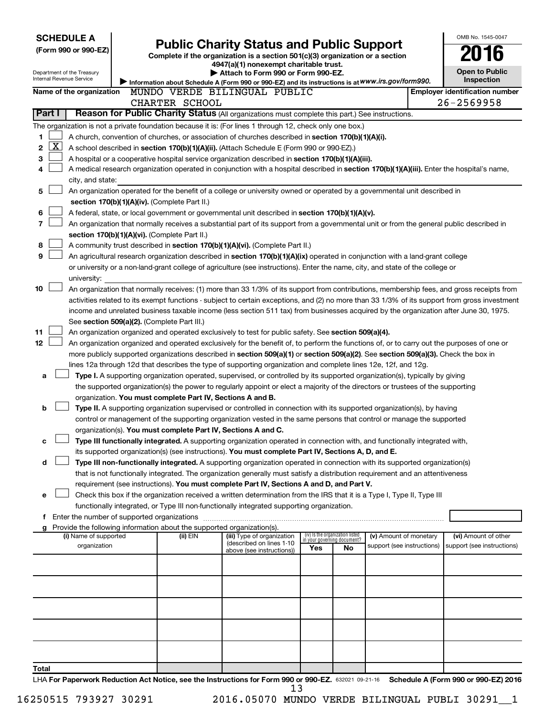|                 | <b>SCHEDULE A</b>                                                                                                                                                                                                                                                                          |  |                                                                        |                                                                                                                                                    |     |                                                                |                            |  | OMB No. 1545-0047                     |
|-----------------|--------------------------------------------------------------------------------------------------------------------------------------------------------------------------------------------------------------------------------------------------------------------------------------------|--|------------------------------------------------------------------------|----------------------------------------------------------------------------------------------------------------------------------------------------|-----|----------------------------------------------------------------|----------------------------|--|---------------------------------------|
|                 | (Form 990 or 990-EZ)                                                                                                                                                                                                                                                                       |  |                                                                        | <b>Public Charity Status and Public Support</b>                                                                                                    |     |                                                                |                            |  | 16                                    |
|                 |                                                                                                                                                                                                                                                                                            |  |                                                                        | Complete if the organization is a section 501(c)(3) organization or a section<br>4947(a)(1) nonexempt charitable trust.                            |     |                                                                |                            |  |                                       |
|                 | Department of the Treasury                                                                                                                                                                                                                                                                 |  |                                                                        | Attach to Form 990 or Form 990-EZ.                                                                                                                 |     |                                                                |                            |  | <b>Open to Public</b>                 |
|                 | Internal Revenue Service                                                                                                                                                                                                                                                                   |  |                                                                        | Information about Schedule A (Form 990 or 990-EZ) and its instructions is at WWW.irs.gov/form990.                                                  |     |                                                                |                            |  | <b>Inspection</b>                     |
|                 | Name of the organization                                                                                                                                                                                                                                                                   |  |                                                                        | MUNDO VERDE BILINGUAL PUBLIC                                                                                                                       |     |                                                                |                            |  | <b>Employer identification number</b> |
|                 |                                                                                                                                                                                                                                                                                            |  | CHARTER SCHOOL                                                         |                                                                                                                                                    |     |                                                                |                            |  | $26 - 2569958$                        |
| Part I          |                                                                                                                                                                                                                                                                                            |  |                                                                        | Reason for Public Charity Status (All organizations must complete this part.) See instructions.                                                    |     |                                                                |                            |  |                                       |
|                 |                                                                                                                                                                                                                                                                                            |  |                                                                        | The organization is not a private foundation because it is: (For lines 1 through 12, check only one box.)                                          |     |                                                                |                            |  |                                       |
| 1               |                                                                                                                                                                                                                                                                                            |  |                                                                        | A church, convention of churches, or association of churches described in section 170(b)(1)(A)(i).                                                 |     |                                                                |                            |  |                                       |
| 2               | $\mathbf{X}$                                                                                                                                                                                                                                                                               |  |                                                                        | A school described in section 170(b)(1)(A)(ii). (Attach Schedule E (Form 990 or 990-EZ).)                                                          |     |                                                                |                            |  |                                       |
| 3               |                                                                                                                                                                                                                                                                                            |  |                                                                        | A hospital or a cooperative hospital service organization described in section 170(b)(1)(A)(iii).                                                  |     |                                                                |                            |  |                                       |
| 4               |                                                                                                                                                                                                                                                                                            |  |                                                                        | A medical research organization operated in conjunction with a hospital described in section 170(b)(1)(A)(iii). Enter the hospital's name,         |     |                                                                |                            |  |                                       |
|                 | city, and state:                                                                                                                                                                                                                                                                           |  |                                                                        |                                                                                                                                                    |     |                                                                |                            |  |                                       |
| 5               |                                                                                                                                                                                                                                                                                            |  |                                                                        | An organization operated for the benefit of a college or university owned or operated by a governmental unit described in                          |     |                                                                |                            |  |                                       |
|                 |                                                                                                                                                                                                                                                                                            |  | section 170(b)(1)(A)(iv). (Complete Part II.)                          |                                                                                                                                                    |     |                                                                |                            |  |                                       |
| 6<br>7          |                                                                                                                                                                                                                                                                                            |  |                                                                        | A federal, state, or local government or governmental unit described in section 170(b)(1)(A)(v).                                                   |     |                                                                |                            |  |                                       |
|                 |                                                                                                                                                                                                                                                                                            |  | section 170(b)(1)(A)(vi). (Complete Part II.)                          | An organization that normally receives a substantial part of its support from a governmental unit or from the general public described in          |     |                                                                |                            |  |                                       |
| 8               |                                                                                                                                                                                                                                                                                            |  |                                                                        | A community trust described in section 170(b)(1)(A)(vi). (Complete Part II.)                                                                       |     |                                                                |                            |  |                                       |
| 9               |                                                                                                                                                                                                                                                                                            |  |                                                                        | An agricultural research organization described in section 170(b)(1)(A)(ix) operated in conjunction with a land-grant college                      |     |                                                                |                            |  |                                       |
|                 |                                                                                                                                                                                                                                                                                            |  |                                                                        | or university or a non-land-grant college of agriculture (see instructions). Enter the name, city, and state of the college or                     |     |                                                                |                            |  |                                       |
|                 | university:                                                                                                                                                                                                                                                                                |  |                                                                        |                                                                                                                                                    |     |                                                                |                            |  |                                       |
| 10              |                                                                                                                                                                                                                                                                                            |  |                                                                        |                                                                                                                                                    |     |                                                                |                            |  |                                       |
|                 | An organization that normally receives: (1) more than 33 1/3% of its support from contributions, membership fees, and gross receipts from<br>activities related to its exempt functions - subject to certain exceptions, and (2) no more than 33 1/3% of its support from gross investment |  |                                                                        |                                                                                                                                                    |     |                                                                |                            |  |                                       |
|                 | income and unrelated business taxable income (less section 511 tax) from businesses acquired by the organization after June 30, 1975.                                                                                                                                                      |  |                                                                        |                                                                                                                                                    |     |                                                                |                            |  |                                       |
|                 |                                                                                                                                                                                                                                                                                            |  | See section 509(a)(2). (Complete Part III.)                            |                                                                                                                                                    |     |                                                                |                            |  |                                       |
| 11              |                                                                                                                                                                                                                                                                                            |  |                                                                        | An organization organized and operated exclusively to test for public safety. See section 509(a)(4).                                               |     |                                                                |                            |  |                                       |
| 12 <sub>2</sub> |                                                                                                                                                                                                                                                                                            |  |                                                                        | An organization organized and operated exclusively for the benefit of, to perform the functions of, or to carry out the purposes of one or         |     |                                                                |                            |  |                                       |
|                 |                                                                                                                                                                                                                                                                                            |  |                                                                        | more publicly supported organizations described in section 509(a)(1) or section 509(a)(2). See section 509(a)(3). Check the box in                 |     |                                                                |                            |  |                                       |
|                 |                                                                                                                                                                                                                                                                                            |  |                                                                        | lines 12a through 12d that describes the type of supporting organization and complete lines 12e, 12f, and 12g.                                     |     |                                                                |                            |  |                                       |
| a               |                                                                                                                                                                                                                                                                                            |  |                                                                        | Type I. A supporting organization operated, supervised, or controlled by its supported organization(s), typically by giving                        |     |                                                                |                            |  |                                       |
|                 |                                                                                                                                                                                                                                                                                            |  |                                                                        | the supported organization(s) the power to regularly appoint or elect a majority of the directors or trustees of the supporting                    |     |                                                                |                            |  |                                       |
|                 |                                                                                                                                                                                                                                                                                            |  | organization. You must complete Part IV, Sections A and B.             |                                                                                                                                                    |     |                                                                |                            |  |                                       |
| b               |                                                                                                                                                                                                                                                                                            |  |                                                                        | Type II. A supporting organization supervised or controlled in connection with its supported organization(s), by having                            |     |                                                                |                            |  |                                       |
|                 |                                                                                                                                                                                                                                                                                            |  |                                                                        | control or management of the supporting organization vested in the same persons that control or manage the supported                               |     |                                                                |                            |  |                                       |
|                 |                                                                                                                                                                                                                                                                                            |  | organization(s). You must complete Part IV, Sections A and C.          | Type III functionally integrated. A supporting organization operated in connection with, and functionally integrated with,                         |     |                                                                |                            |  |                                       |
|                 |                                                                                                                                                                                                                                                                                            |  |                                                                        | its supported organization(s) (see instructions). You must complete Part IV, Sections A, D, and E.                                                 |     |                                                                |                            |  |                                       |
| d               |                                                                                                                                                                                                                                                                                            |  |                                                                        | Type III non-functionally integrated. A supporting organization operated in connection with its supported organization(s)                          |     |                                                                |                            |  |                                       |
|                 |                                                                                                                                                                                                                                                                                            |  |                                                                        | that is not functionally integrated. The organization generally must satisfy a distribution requirement and an attentiveness                       |     |                                                                |                            |  |                                       |
|                 |                                                                                                                                                                                                                                                                                            |  |                                                                        | requirement (see instructions). You must complete Part IV, Sections A and D, and Part V.                                                           |     |                                                                |                            |  |                                       |
| е               |                                                                                                                                                                                                                                                                                            |  |                                                                        | Check this box if the organization received a written determination from the IRS that it is a Type I, Type II, Type III                            |     |                                                                |                            |  |                                       |
|                 |                                                                                                                                                                                                                                                                                            |  |                                                                        | functionally integrated, or Type III non-functionally integrated supporting organization.                                                          |     |                                                                |                            |  |                                       |
|                 | <b>f</b> Enter the number of supported organizations                                                                                                                                                                                                                                       |  |                                                                        |                                                                                                                                                    |     |                                                                |                            |  |                                       |
|                 |                                                                                                                                                                                                                                                                                            |  | Provide the following information about the supported organization(s). |                                                                                                                                                    |     |                                                                |                            |  |                                       |
|                 | (i) Name of supported                                                                                                                                                                                                                                                                      |  | (ii) EIN                                                               | (iii) Type of organization                                                                                                                         |     | (iv) Is the organization listed<br>in your governing document? | (v) Amount of monetary     |  | (vi) Amount of other                  |
|                 | organization                                                                                                                                                                                                                                                                               |  |                                                                        | (described on lines 1-10<br>above (see instructions))                                                                                              | Yes | No                                                             | support (see instructions) |  | support (see instructions)            |
|                 |                                                                                                                                                                                                                                                                                            |  |                                                                        |                                                                                                                                                    |     |                                                                |                            |  |                                       |
|                 |                                                                                                                                                                                                                                                                                            |  |                                                                        |                                                                                                                                                    |     |                                                                |                            |  |                                       |
|                 |                                                                                                                                                                                                                                                                                            |  |                                                                        |                                                                                                                                                    |     |                                                                |                            |  |                                       |
|                 |                                                                                                                                                                                                                                                                                            |  |                                                                        |                                                                                                                                                    |     |                                                                |                            |  |                                       |
|                 |                                                                                                                                                                                                                                                                                            |  |                                                                        |                                                                                                                                                    |     |                                                                |                            |  |                                       |
|                 |                                                                                                                                                                                                                                                                                            |  |                                                                        |                                                                                                                                                    |     |                                                                |                            |  |                                       |
|                 |                                                                                                                                                                                                                                                                                            |  |                                                                        |                                                                                                                                                    |     |                                                                |                            |  |                                       |
|                 |                                                                                                                                                                                                                                                                                            |  |                                                                        |                                                                                                                                                    |     |                                                                |                            |  |                                       |
|                 |                                                                                                                                                                                                                                                                                            |  |                                                                        |                                                                                                                                                    |     |                                                                |                            |  |                                       |
| Total           |                                                                                                                                                                                                                                                                                            |  |                                                                        |                                                                                                                                                    |     |                                                                |                            |  |                                       |
|                 |                                                                                                                                                                                                                                                                                            |  |                                                                        | $1\mu\Lambda$ For Danerwork Reduction Act Notice, see the Instructions for Form 990 or 990-F7, seems as a see Schedule A (Form 990 or 990-F7) 2016 |     |                                                                |                            |  |                                       |

632021 09-21-16 **For Paperwork Reduction Act Notice, see the Instructions for Form 990 or 990-EZ. Schedule A (Form 990 or 990-EZ) 2016** LHA 13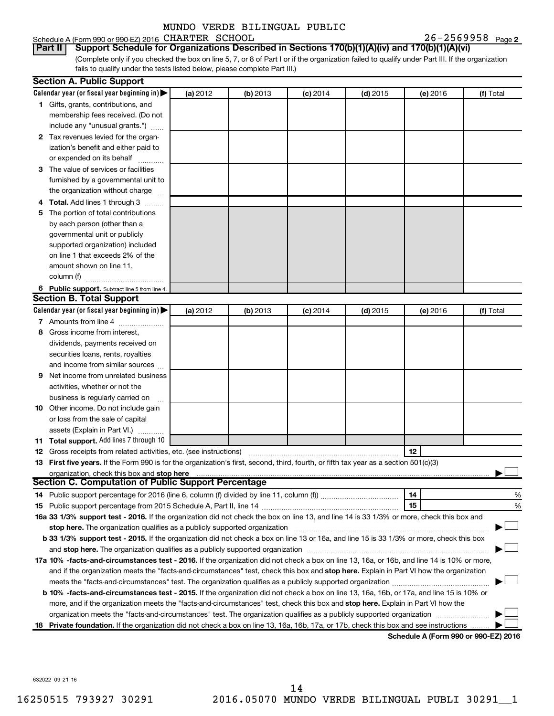Schedule A (Form 990 or 990-EZ) 2016 CHARTER SCHOOL  $26-2569958$  Page

26-2569958 Page 2

(Complete only if you checked the box on line 5, 7, or 8 of Part I or if the organization failed to qualify under Part III. If the organization fails to qualify under the tests listed below, please complete Part III.) **Part II Support Schedule for Organizations Described in Sections 170(b)(1)(A)(iv) and 170(b)(1)(A)(vi)**

|   | <b>Section A. Public Support</b>                                                                                                           |          |          |            |            |                                      |           |
|---|--------------------------------------------------------------------------------------------------------------------------------------------|----------|----------|------------|------------|--------------------------------------|-----------|
|   | Calendar year (or fiscal year beginning in)                                                                                                | (a) 2012 | (b) 2013 | $(c)$ 2014 | $(d)$ 2015 | (e) 2016                             | (f) Total |
|   | 1 Gifts, grants, contributions, and                                                                                                        |          |          |            |            |                                      |           |
|   | membership fees received. (Do not                                                                                                          |          |          |            |            |                                      |           |
|   | include any "unusual grants.")                                                                                                             |          |          |            |            |                                      |           |
|   | 2 Tax revenues levied for the organ-                                                                                                       |          |          |            |            |                                      |           |
|   | ization's benefit and either paid to                                                                                                       |          |          |            |            |                                      |           |
|   | or expended on its behalf                                                                                                                  |          |          |            |            |                                      |           |
|   | 3 The value of services or facilities                                                                                                      |          |          |            |            |                                      |           |
|   | furnished by a governmental unit to                                                                                                        |          |          |            |            |                                      |           |
|   | the organization without charge                                                                                                            |          |          |            |            |                                      |           |
|   | 4 Total. Add lines 1 through 3                                                                                                             |          |          |            |            |                                      |           |
|   | 5 The portion of total contributions                                                                                                       |          |          |            |            |                                      |           |
|   | by each person (other than a                                                                                                               |          |          |            |            |                                      |           |
|   | governmental unit or publicly                                                                                                              |          |          |            |            |                                      |           |
|   | supported organization) included                                                                                                           |          |          |            |            |                                      |           |
|   | on line 1 that exceeds 2% of the                                                                                                           |          |          |            |            |                                      |           |
|   | amount shown on line 11,                                                                                                                   |          |          |            |            |                                      |           |
|   | column (f)                                                                                                                                 |          |          |            |            |                                      |           |
|   | 6 Public support. Subtract line 5 from line 4.                                                                                             |          |          |            |            |                                      |           |
|   | <b>Section B. Total Support</b>                                                                                                            |          |          |            |            |                                      |           |
|   | Calendar year (or fiscal year beginning in)                                                                                                | (a) 2012 | (b) 2013 | $(c)$ 2014 | $(d)$ 2015 | (e) 2016                             | (f) Total |
|   | 7 Amounts from line 4                                                                                                                      |          |          |            |            |                                      |           |
| 8 | Gross income from interest,                                                                                                                |          |          |            |            |                                      |           |
|   | dividends, payments received on                                                                                                            |          |          |            |            |                                      |           |
|   | securities loans, rents, royalties                                                                                                         |          |          |            |            |                                      |           |
|   | and income from similar sources                                                                                                            |          |          |            |            |                                      |           |
| 9 | Net income from unrelated business                                                                                                         |          |          |            |            |                                      |           |
|   | activities, whether or not the                                                                                                             |          |          |            |            |                                      |           |
|   | business is regularly carried on                                                                                                           |          |          |            |            |                                      |           |
|   | 10 Other income. Do not include gain                                                                                                       |          |          |            |            |                                      |           |
|   | or loss from the sale of capital                                                                                                           |          |          |            |            |                                      |           |
|   | assets (Explain in Part VI.)                                                                                                               |          |          |            |            |                                      |           |
|   | 11 Total support. Add lines 7 through 10                                                                                                   |          |          |            |            |                                      |           |
|   | <b>12</b> Gross receipts from related activities, etc. (see instructions)                                                                  |          |          |            |            | 12                                   |           |
|   | 13 First five years. If the Form 990 is for the organization's first, second, third, fourth, or fifth tax year as a section 501(c)(3)      |          |          |            |            |                                      |           |
|   | organization, check this box and stop here                                                                                                 |          |          |            |            |                                      |           |
|   | <b>Section C. Computation of Public Support Percentage</b>                                                                                 |          |          |            |            |                                      |           |
|   |                                                                                                                                            |          |          |            |            | 14                                   | %         |
|   |                                                                                                                                            |          |          |            |            | 15                                   | %         |
|   | 16a 33 1/3% support test - 2016. If the organization did not check the box on line 13, and line 14 is 33 1/3% or more, check this box and  |          |          |            |            |                                      |           |
|   |                                                                                                                                            |          |          |            |            |                                      |           |
|   | b 33 1/3% support test - 2015. If the organization did not check a box on line 13 or 16a, and line 15 is 33 1/3% or more, check this box   |          |          |            |            |                                      |           |
|   |                                                                                                                                            |          |          |            |            |                                      |           |
|   | 17a 10% -facts-and-circumstances test - 2016. If the organization did not check a box on line 13, 16a, or 16b, and line 14 is 10% or more, |          |          |            |            |                                      |           |
|   | and if the organization meets the "facts-and-circumstances" test, check this box and stop here. Explain in Part VI how the organization    |          |          |            |            |                                      |           |
|   |                                                                                                                                            |          |          |            |            |                                      |           |
|   | b 10% -facts-and-circumstances test - 2015. If the organization did not check a box on line 13, 16a, 16b, or 17a, and line 15 is 10% or    |          |          |            |            |                                      |           |
|   | more, and if the organization meets the "facts-and-circumstances" test, check this box and stop here. Explain in Part VI how the           |          |          |            |            |                                      |           |
|   | organization meets the "facts-and-circumstances" test. The organization qualifies as a publicly supported organization                     |          |          |            |            |                                      |           |
|   | 18 Private foundation. If the organization did not check a box on line 13, 16a, 16b, 17a, or 17b, check this box and see instructions      |          |          |            |            |                                      |           |
|   |                                                                                                                                            |          |          |            |            | Schodule A (Form 000 or 000 EZ) 2016 |           |

**Schedule A (Form 990 or 990-EZ) 2016**

632022 09-21-16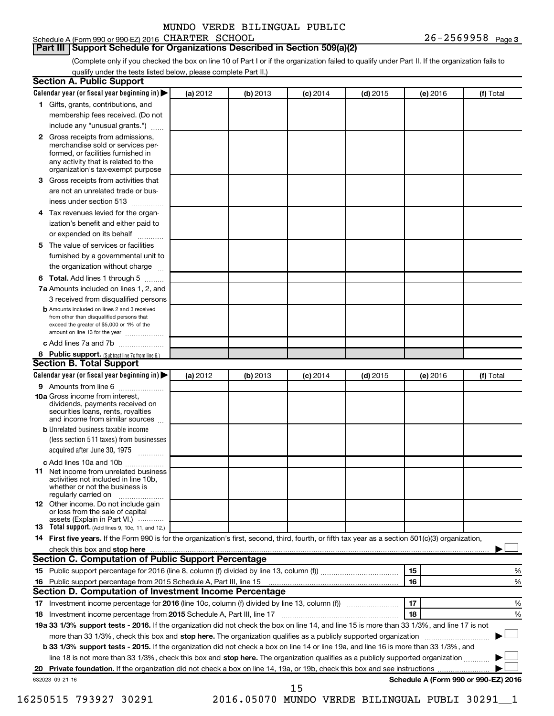## Schedule A (Form 990 or 990-EZ) 2016 CHARTER SCHOOL  $26-2569958$  Page

**Part III Support Schedule for Organizations Described in Section 509(a)(2)** 

(Complete only if you checked the box on line 10 of Part I or if the organization failed to qualify under Part II. If the organization fails to qualify under the tests listed below, please complete Part II.)

| <b>Section A. Public Support</b>                                                                                                                                                                |          |          |                 |            |          |                                      |
|-------------------------------------------------------------------------------------------------------------------------------------------------------------------------------------------------|----------|----------|-----------------|------------|----------|--------------------------------------|
| Calendar year (or fiscal year beginning in)                                                                                                                                                     | (a) 2012 | (b) 2013 | <b>(c)</b> 2014 | $(d)$ 2015 | (e) 2016 | (f) Total                            |
| 1 Gifts, grants, contributions, and                                                                                                                                                             |          |          |                 |            |          |                                      |
| membership fees received. (Do not                                                                                                                                                               |          |          |                 |            |          |                                      |
| include any "unusual grants.")                                                                                                                                                                  |          |          |                 |            |          |                                      |
| <b>2</b> Gross receipts from admissions,<br>merchandise sold or services per-<br>formed, or facilities furnished in<br>any activity that is related to the<br>organization's tax-exempt purpose |          |          |                 |            |          |                                      |
| 3 Gross receipts from activities that                                                                                                                                                           |          |          |                 |            |          |                                      |
| are not an unrelated trade or bus-                                                                                                                                                              |          |          |                 |            |          |                                      |
| iness under section 513                                                                                                                                                                         |          |          |                 |            |          |                                      |
| 4 Tax revenues levied for the organ-                                                                                                                                                            |          |          |                 |            |          |                                      |
| ization's benefit and either paid to<br>or expended on its behalf<br>.                                                                                                                          |          |          |                 |            |          |                                      |
| 5 The value of services or facilities                                                                                                                                                           |          |          |                 |            |          |                                      |
| furnished by a governmental unit to                                                                                                                                                             |          |          |                 |            |          |                                      |
| the organization without charge                                                                                                                                                                 |          |          |                 |            |          |                                      |
| <b>6 Total.</b> Add lines 1 through 5                                                                                                                                                           |          |          |                 |            |          |                                      |
| 7a Amounts included on lines 1, 2, and                                                                                                                                                          |          |          |                 |            |          |                                      |
| 3 received from disqualified persons                                                                                                                                                            |          |          |                 |            |          |                                      |
| <b>b</b> Amounts included on lines 2 and 3 received<br>from other than disqualified persons that<br>exceed the greater of \$5,000 or 1% of the<br>amount on line 13 for the year                |          |          |                 |            |          |                                      |
| c Add lines 7a and 7b                                                                                                                                                                           |          |          |                 |            |          |                                      |
| 8 Public support. (Subtract line 7c from line 6.)                                                                                                                                               |          |          |                 |            |          |                                      |
| <b>Section B. Total Support</b>                                                                                                                                                                 |          |          |                 |            |          |                                      |
| Calendar year (or fiscal year beginning in)                                                                                                                                                     | (a) 2012 | (b) 2013 | <b>(c)</b> 2014 | $(d)$ 2015 | (e) 2016 | (f) Total                            |
| <b>9</b> Amounts from line 6                                                                                                                                                                    |          |          |                 |            |          |                                      |
| <b>10a</b> Gross income from interest,<br>dividends, payments received on<br>securities loans, rents, royalties<br>and income from similar sources                                              |          |          |                 |            |          |                                      |
| <b>b</b> Unrelated business taxable income<br>(less section 511 taxes) from businesses<br>acquired after June 30, 1975                                                                          |          |          |                 |            |          |                                      |
| c Add lines 10a and 10b<br><b>11</b> Net income from unrelated business<br>activities not included in line 10b.<br>whether or not the business is<br>regularly carried on                       |          |          |                 |            |          |                                      |
| 12 Other income. Do not include gain<br>or loss from the sale of capital<br>assets (Explain in Part VI.) $\cdots$                                                                               |          |          |                 |            |          |                                      |
| <b>13</b> Total support. (Add lines 9, 10c, 11, and 12.)                                                                                                                                        |          |          |                 |            |          |                                      |
| 14 First five years. If the Form 990 is for the organization's first, second, third, fourth, or fifth tax year as a section 501(c)(3) organization,                                             |          |          |                 |            |          |                                      |
| check this box and stop here <b>contained and the contained and starting and stop here</b> check this box and stop here                                                                         |          |          |                 |            |          |                                      |
| <b>Section C. Computation of Public Support Percentage</b>                                                                                                                                      |          |          |                 |            |          |                                      |
|                                                                                                                                                                                                 |          |          |                 |            | 15       | %                                    |
| 16 Public support percentage from 2015 Schedule A, Part III, line 15                                                                                                                            |          |          |                 |            | 16       | %                                    |
| Section D. Computation of Investment Income Percentage                                                                                                                                          |          |          |                 |            |          |                                      |
| 17 Investment income percentage for 2016 (line 10c, column (f) divided by line 13, column (f))                                                                                                  |          |          |                 |            | 17       | %                                    |
| 18 Investment income percentage from 2015 Schedule A, Part III, line 17                                                                                                                         |          |          |                 |            | 18       | %                                    |
| 19a 33 1/3% support tests - 2016. If the organization did not check the box on line 14, and line 15 is more than 33 1/3%, and line 17 is not                                                    |          |          |                 |            |          |                                      |
| more than 33 1/3%, check this box and stop here. The organization qualifies as a publicly supported organization                                                                                |          |          |                 |            |          |                                      |
| b 33 1/3% support tests - 2015. If the organization did not check a box on line 14 or line 19a, and line 16 is more than 33 1/3%, and                                                           |          |          |                 |            |          |                                      |
| line 18 is not more than 33 1/3%, check this box and stop here. The organization qualifies as a publicly supported organization                                                                 |          |          |                 |            |          |                                      |
|                                                                                                                                                                                                 |          |          |                 |            |          |                                      |
| 632023 09-21-16                                                                                                                                                                                 |          |          | 15              |            |          | Schedule A (Form 990 or 990-EZ) 2016 |

16250515 793927 30291 2016.05070 MUNDO VERDE BILINGUAL PUBLI 30291\_\_1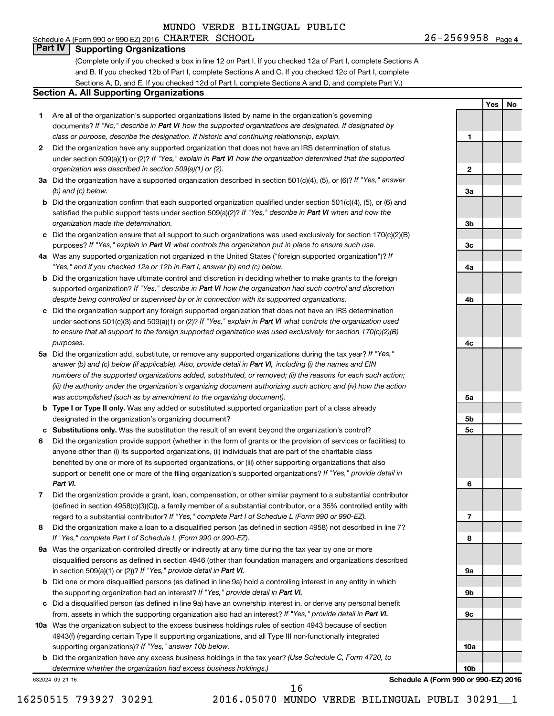**1**

**2**

**3a**

**3b**

**3c**

**4a**

**4b**

**4c**

**5a**

**5b 5c**

**6**

**7**

**8**

**9a**

**9b**

**9c**

**10a**

**10b**

**Yes No**

## **Part IV Supporting Organizations**

(Complete only if you checked a box in line 12 on Part I. If you checked 12a of Part I, complete Sections A and B. If you checked 12b of Part I, complete Sections A and C. If you checked 12c of Part I, complete Sections A, D, and E. If you checked 12d of Part I, complete Sections A and D, and complete Part V.)

#### **Section A. All Supporting Organizations**

- **1** Are all of the organization's supported organizations listed by name in the organization's governing documents? If "No," describe in Part VI how the supported organizations are designated. If designated by *class or purpose, describe the designation. If historic and continuing relationship, explain.*
- **2** Did the organization have any supported organization that does not have an IRS determination of status under section 509(a)(1) or (2)? If "Yes," explain in Part VI how the organization determined that the supported *organization was described in section 509(a)(1) or (2).*
- **3a** Did the organization have a supported organization described in section 501(c)(4), (5), or (6)? If "Yes," answer *(b) and (c) below.*
- **b** Did the organization confirm that each supported organization qualified under section 501(c)(4), (5), or (6) and satisfied the public support tests under section 509(a)(2)? If "Yes," describe in Part VI when and how the *organization made the determination.*
- **c** Did the organization ensure that all support to such organizations was used exclusively for section 170(c)(2)(B) purposes? If "Yes," explain in Part VI what controls the organization put in place to ensure such use.
- **4 a** *If* Was any supported organization not organized in the United States ("foreign supported organization")? *"Yes," and if you checked 12a or 12b in Part I, answer (b) and (c) below.*
- **b** Did the organization have ultimate control and discretion in deciding whether to make grants to the foreign supported organization? If "Yes," describe in Part VI how the organization had such control and discretion *despite being controlled or supervised by or in connection with its supported organizations.*
- **c** Did the organization support any foreign supported organization that does not have an IRS determination under sections 501(c)(3) and 509(a)(1) or (2)? If "Yes," explain in Part VI what controls the organization used *to ensure that all support to the foreign supported organization was used exclusively for section 170(c)(2)(B) purposes.*
- **5a** Did the organization add, substitute, or remove any supported organizations during the tax year? If "Yes," answer (b) and (c) below (if applicable). Also, provide detail in Part VI, including (i) the names and EIN *numbers of the supported organizations added, substituted, or removed; (ii) the reasons for each such action; (iii) the authority under the organization's organizing document authorizing such action; and (iv) how the action was accomplished (such as by amendment to the organizing document).*
- **b Type I or Type II only.** Was any added or substituted supported organization part of a class already designated in the organization's organizing document?
- **c Substitutions only.**  Was the substitution the result of an event beyond the organization's control?
- **6** Did the organization provide support (whether in the form of grants or the provision of services or facilities) to support or benefit one or more of the filing organization's supported organizations? If "Yes," provide detail in anyone other than (i) its supported organizations, (ii) individuals that are part of the charitable class benefited by one or more of its supported organizations, or (iii) other supporting organizations that also *Part VI.*
- **7** Did the organization provide a grant, loan, compensation, or other similar payment to a substantial contributor regard to a substantial contributor? If "Yes," complete Part I of Schedule L (Form 990 or 990-EZ). (defined in section 4958(c)(3)(C)), a family member of a substantial contributor, or a 35% controlled entity with
- **8** Did the organization make a loan to a disqualified person (as defined in section 4958) not described in line 7? *If "Yes," complete Part I of Schedule L (Form 990 or 990-EZ).*
- **9 a** Was the organization controlled directly or indirectly at any time during the tax year by one or more in section 509(a)(1) or (2))? If "Yes," provide detail in Part VI. disqualified persons as defined in section 4946 (other than foundation managers and organizations described
- **b** Did one or more disqualified persons (as defined in line 9a) hold a controlling interest in any entity in which the supporting organization had an interest? If "Yes," provide detail in Part VI.
- **c** Did a disqualified person (as defined in line 9a) have an ownership interest in, or derive any personal benefit from, assets in which the supporting organization also had an interest? If "Yes," provide detail in Part VI.
- **10 a** Was the organization subject to the excess business holdings rules of section 4943 because of section supporting organizations)? If "Yes," answer 10b below. 4943(f) (regarding certain Type II supporting organizations, and all Type III non-functionally integrated
	- **b** Did the organization have any excess business holdings in the tax year? (Use Schedule C, Form 4720, to *determine whether the organization had excess business holdings.)*

632024 09-21-16

**Schedule A (Form 990 or 990-EZ) 2016**

16250515 793927 30291 2016.05070 MUNDO VERDE BILINGUAL PUBLI 30291\_\_1

16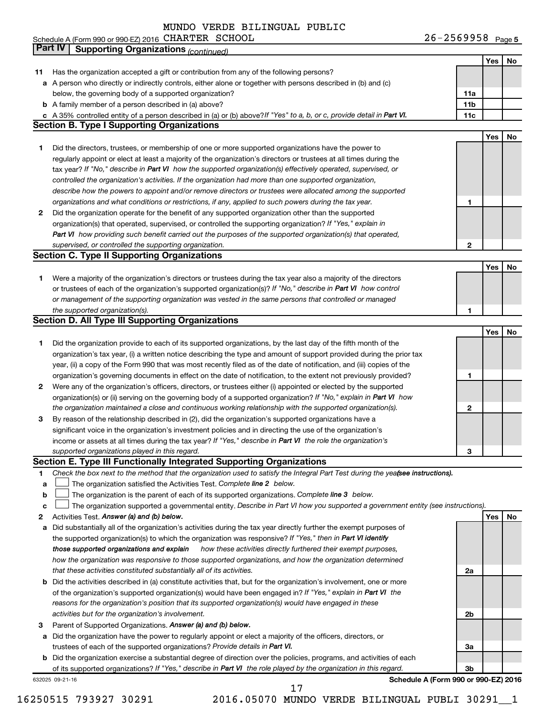| Schedule A (Form 990 or 990-EZ) 2016 CHARTER SCHOOL | $26 - 2569958$ Page 5 |
|-----------------------------------------------------|-----------------------|
|-----------------------------------------------------|-----------------------|

|    | Part IV<br><b>Supporting Organizations (continued)</b>                                                                          |                 |            |    |
|----|---------------------------------------------------------------------------------------------------------------------------------|-----------------|------------|----|
|    |                                                                                                                                 |                 | Yes        | No |
| 11 | Has the organization accepted a gift or contribution from any of the following persons?                                         |                 |            |    |
|    | a A person who directly or indirectly controls, either alone or together with persons described in (b) and (c)                  |                 |            |    |
|    | below, the governing body of a supported organization?                                                                          | 11a             |            |    |
|    | <b>b</b> A family member of a person described in (a) above?                                                                    | 11 <sub>b</sub> |            |    |
|    | c A 35% controlled entity of a person described in (a) or (b) above? If "Yes" to a, b, or c, provide detail in Part VI.         | 11c             |            |    |
|    | <b>Section B. Type I Supporting Organizations</b>                                                                               |                 |            |    |
|    |                                                                                                                                 |                 | Yes        | No |
|    |                                                                                                                                 |                 |            |    |
| 1  | Did the directors, trustees, or membership of one or more supported organizations have the power to                             |                 |            |    |
|    | regularly appoint or elect at least a majority of the organization's directors or trustees at all times during the              |                 |            |    |
|    | tax year? If "No," describe in Part VI how the supported organization(s) effectively operated, supervised, or                   |                 |            |    |
|    | controlled the organization's activities. If the organization had more than one supported organization,                         |                 |            |    |
|    | describe how the powers to appoint and/or remove directors or trustees were allocated among the supported                       |                 |            |    |
|    | organizations and what conditions or restrictions, if any, applied to such powers during the tax year.                          | 1               |            |    |
| 2  | Did the organization operate for the benefit of any supported organization other than the supported                             |                 |            |    |
|    | organization(s) that operated, supervised, or controlled the supporting organization? If "Yes," explain in                      |                 |            |    |
|    | Part VI how providing such benefit carried out the purposes of the supported organization(s) that operated,                     |                 |            |    |
|    | supervised, or controlled the supporting organization.                                                                          | $\mathbf{2}$    |            |    |
|    | <b>Section C. Type II Supporting Organizations</b>                                                                              |                 |            |    |
|    |                                                                                                                                 |                 | Yes        | No |
| 1. | Were a majority of the organization's directors or trustees during the tax year also a majority of the directors                |                 |            |    |
|    | or trustees of each of the organization's supported organization(s)? If "No," describe in Part VI how control                   |                 |            |    |
|    | or management of the supporting organization was vested in the same persons that controlled or managed                          |                 |            |    |
|    | the supported organization(s).                                                                                                  | 1               |            |    |
|    | <b>Section D. All Type III Supporting Organizations</b>                                                                         |                 |            |    |
|    |                                                                                                                                 |                 | Yes        | No |
| 1  | Did the organization provide to each of its supported organizations, by the last day of the fifth month of the                  |                 |            |    |
|    | organization's tax year, (i) a written notice describing the type and amount of support provided during the prior tax           |                 |            |    |
|    | year, (ii) a copy of the Form 990 that was most recently filed as of the date of notification, and (iii) copies of the          |                 |            |    |
|    | organization's governing documents in effect on the date of notification, to the extent not previously provided?                | 1               |            |    |
| 2  | Were any of the organization's officers, directors, or trustees either (i) appointed or elected by the supported                |                 |            |    |
|    | organization(s) or (ii) serving on the governing body of a supported organization? If "No," explain in Part VI how              |                 |            |    |
|    | the organization maintained a close and continuous working relationship with the supported organization(s).                     | 2               |            |    |
| 3  | By reason of the relationship described in (2), did the organization's supported organizations have a                           |                 |            |    |
|    |                                                                                                                                 |                 |            |    |
|    | significant voice in the organization's investment policies and in directing the use of the organization's                      |                 |            |    |
|    | income or assets at all times during the tax year? If "Yes," describe in Part VI the role the organization's                    |                 |            |    |
|    | supported organizations played in this regard.                                                                                  | з               |            |    |
|    | Section E. Type III Functionally Integrated Supporting Organizations                                                            |                 |            |    |
| 1  | Check the box next to the method that the organization used to satisfy the Integral Part Test during the yea(see instructions). |                 |            |    |
| a  | The organization satisfied the Activities Test. Complete line 2 below.                                                          |                 |            |    |
| b  | The organization is the parent of each of its supported organizations. Complete line 3 below.                                   |                 |            |    |
| с  | The organization supported a governmental entity. Describe in Part VI how you supported a government entity (see instructions). |                 |            |    |
| 2  | Activities Test. Answer (a) and (b) below.                                                                                      |                 | <b>Yes</b> | No |
| а  | Did substantially all of the organization's activities during the tax year directly further the exempt purposes of              |                 |            |    |
|    | the supported organization(s) to which the organization was responsive? If "Yes," then in Part VI identify                      |                 |            |    |
|    | those supported organizations and explain<br>how these activities directly furthered their exempt purposes,                     |                 |            |    |
|    | how the organization was responsive to those supported organizations, and how the organization determined                       |                 |            |    |
|    | that these activities constituted substantially all of its activities.                                                          | 2a              |            |    |
| b  | Did the activities described in (a) constitute activities that, but for the organization's involvement, one or more             |                 |            |    |
|    | of the organization's supported organization(s) would have been engaged in? If "Yes," explain in Part VI the                    |                 |            |    |
|    | reasons for the organization's position that its supported organization(s) would have engaged in these                          |                 |            |    |
|    | activities but for the organization's involvement.                                                                              | 2b              |            |    |
| 3  | Parent of Supported Organizations. Answer (a) and (b) below.                                                                    |                 |            |    |
| а  | Did the organization have the power to regularly appoint or elect a majority of the officers, directors, or                     |                 |            |    |
|    | trustees of each of the supported organizations? Provide details in Part VI.                                                    | За              |            |    |
|    | <b>b</b> Did the organization exercise a substantial degree of direction over the policies, programs, and activities of each    |                 |            |    |
|    | of its supported organizations? If "Yes," describe in Part VI the role played by the organization in this regard.               | Зb              |            |    |
|    | Schedule A (Form 990 or 990-EZ) 2016<br>632025 09-21-16                                                                         |                 |            |    |
|    |                                                                                                                                 |                 |            |    |

16250515 793927 30291 2016.05070 MUNDO VERDE BILINGUAL PUBLI 30291\_\_1 17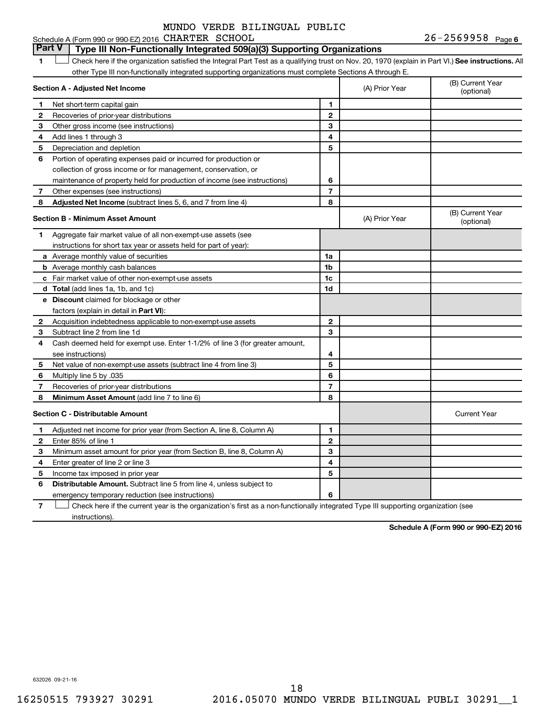## **Part V Type III Non-Functionally Integrated 509(a)(3) Supporting Organizations**

1 **Letter See instructions.** All Check here if the organization satisfied the Integral Part Test as a qualifying trust on Nov. 20, 1970 (explain in Part VI.) See instructions. All other Type III non-functionally integrated supporting organizations must complete Sections A through E.

|    | Section A - Adjusted Net Income                                              |                | (A) Prior Year | (B) Current Year<br>(optional) |
|----|------------------------------------------------------------------------------|----------------|----------------|--------------------------------|
| 1  | Net short-term capital gain                                                  | 1              |                |                                |
| 2  | Recoveries of prior-year distributions                                       | $\mathbf{2}$   |                |                                |
| 3  | Other gross income (see instructions)                                        | 3              |                |                                |
| 4  | Add lines 1 through 3                                                        | 4              |                |                                |
| 5  | Depreciation and depletion                                                   | 5              |                |                                |
| 6  | Portion of operating expenses paid or incurred for production or             |                |                |                                |
|    | collection of gross income or for management, conservation, or               |                |                |                                |
|    | maintenance of property held for production of income (see instructions)     | 6              |                |                                |
| 7  | Other expenses (see instructions)                                            | $\overline{7}$ |                |                                |
| 8  | Adjusted Net Income (subtract lines 5, 6, and 7 from line 4)                 | 8              |                |                                |
|    | <b>Section B - Minimum Asset Amount</b>                                      |                | (A) Prior Year | (B) Current Year<br>(optional) |
| 1. | Aggregate fair market value of all non-exempt-use assets (see                |                |                |                                |
|    | instructions for short tax year or assets held for part of year):            |                |                |                                |
|    | a Average monthly value of securities                                        | 1a             |                |                                |
|    | <b>b</b> Average monthly cash balances                                       | 1 <sub>b</sub> |                |                                |
|    | c Fair market value of other non-exempt-use assets                           | 1c             |                |                                |
|    | d Total (add lines 1a, 1b, and 1c)                                           | 1d             |                |                                |
|    | e Discount claimed for blockage or other                                     |                |                |                                |
|    | factors (explain in detail in <b>Part VI</b> ):                              |                |                |                                |
| 2  | Acquisition indebtedness applicable to non-exempt-use assets                 | $\mathbf{2}$   |                |                                |
| З  | Subtract line 2 from line 1d                                                 | 3              |                |                                |
| 4  | Cash deemed held for exempt use. Enter 1-1/2% of line 3 (for greater amount, |                |                |                                |
|    | see instructions)                                                            | 4              |                |                                |
| 5  | Net value of non-exempt-use assets (subtract line 4 from line 3)             | 5              |                |                                |
| 6  | Multiply line 5 by .035                                                      | 6              |                |                                |
| 7  | Recoveries of prior-year distributions                                       | $\overline{7}$ |                |                                |
| 8  | Minimum Asset Amount (add line 7 to line 6)                                  | 8              |                |                                |
|    | <b>Section C - Distributable Amount</b>                                      |                |                | <b>Current Year</b>            |
| 1  | Adjusted net income for prior year (from Section A, line 8, Column A)        | 1              |                |                                |
| 2  | Enter 85% of line 1                                                          | $\overline{2}$ |                |                                |
| 3  | Minimum asset amount for prior year (from Section B, line 8, Column A)       | 3              |                |                                |
| 4  | Enter greater of line 2 or line 3                                            | 4              |                |                                |
| 5  | Income tax imposed in prior year                                             | 5              |                |                                |
| 6  | Distributable Amount. Subtract line 5 from line 4, unless subject to         |                |                |                                |
|    | emergency temporary reduction (see instructions)                             | 6              |                |                                |
|    |                                                                              |                |                |                                |

**7** Let Check here if the current year is the organization's first as a non-functionally integrated Type III supporting organization (see instructions).

**Schedule A (Form 990 or 990-EZ) 2016**

632026 09-21-16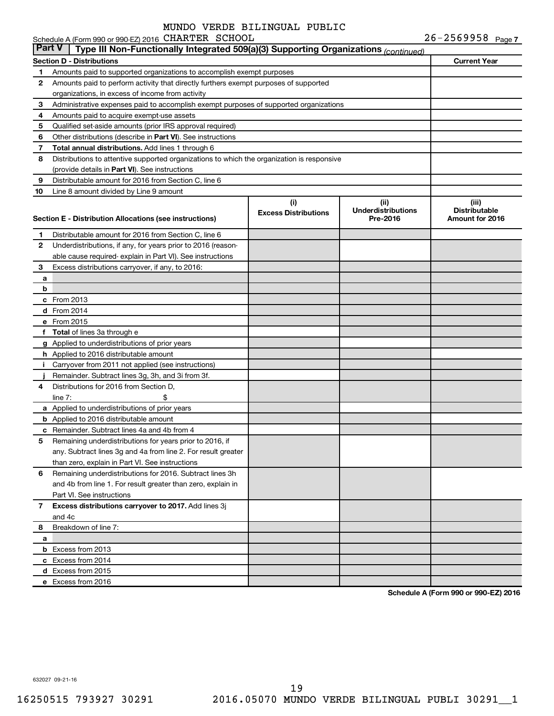|               | Schedule A (Form 990 or 990-EZ) 2016 CHARTER SCHOOL                                        |                             |                           | $26 - 2569958$ Page 7 |
|---------------|--------------------------------------------------------------------------------------------|-----------------------------|---------------------------|-----------------------|
| <b>Part V</b> | Type III Non-Functionally Integrated 509(a)(3) Supporting Organizations (continued)        |                             |                           |                       |
|               | <b>Section D - Distributions</b>                                                           |                             |                           | <b>Current Year</b>   |
| 1             | Amounts paid to supported organizations to accomplish exempt purposes                      |                             |                           |                       |
| 2             | Amounts paid to perform activity that directly furthers exempt purposes of supported       |                             |                           |                       |
|               | organizations, in excess of income from activity                                           |                             |                           |                       |
| 3             | Administrative expenses paid to accomplish exempt purposes of supported organizations      |                             |                           |                       |
| 4             | Amounts paid to acquire exempt-use assets                                                  |                             |                           |                       |
| 5             | Qualified set-aside amounts (prior IRS approval required)                                  |                             |                           |                       |
| 6             | Other distributions (describe in Part VI). See instructions                                |                             |                           |                       |
| 7             | Total annual distributions. Add lines 1 through 6                                          |                             |                           |                       |
| 8             | Distributions to attentive supported organizations to which the organization is responsive |                             |                           |                       |
|               | (provide details in Part VI). See instructions                                             |                             |                           |                       |
| 9             | Distributable amount for 2016 from Section C, line 6                                       |                             |                           |                       |
| 10            | Line 8 amount divided by Line 9 amount                                                     |                             |                           |                       |
|               |                                                                                            | (i)                         | (ii)                      | (iii)                 |
|               |                                                                                            | <b>Excess Distributions</b> | <b>Underdistributions</b> | <b>Distributable</b>  |
|               | Section E - Distribution Allocations (see instructions)                                    |                             | Pre-2016                  | Amount for 2016       |
| 1             | Distributable amount for 2016 from Section C, line 6                                       |                             |                           |                       |
| 2             | Underdistributions, if any, for years prior to 2016 (reason-                               |                             |                           |                       |
|               | able cause required-explain in Part VI). See instructions                                  |                             |                           |                       |
| 3             | Excess distributions carryover, if any, to 2016:                                           |                             |                           |                       |
| а             |                                                                                            |                             |                           |                       |
| b             |                                                                                            |                             |                           |                       |
|               | c From 2013                                                                                |                             |                           |                       |
|               | <b>d</b> From 2014                                                                         |                             |                           |                       |
|               | e From 2015                                                                                |                             |                           |                       |
|               | f Total of lines 3a through e                                                              |                             |                           |                       |
|               | g Applied to underdistributions of prior years                                             |                             |                           |                       |
|               | h Applied to 2016 distributable amount                                                     |                             |                           |                       |
| Ť.            | Carryover from 2011 not applied (see instructions)                                         |                             |                           |                       |
|               | Remainder. Subtract lines 3g, 3h, and 3i from 3f.                                          |                             |                           |                       |
| 4             | Distributions for 2016 from Section D,                                                     |                             |                           |                       |
|               | line $7:$                                                                                  |                             |                           |                       |
|               | a Applied to underdistributions of prior years                                             |                             |                           |                       |
|               | <b>b</b> Applied to 2016 distributable amount                                              |                             |                           |                       |
|               | c Remainder. Subtract lines 4a and 4b from 4                                               |                             |                           |                       |
|               | 5 Remaining underdistributions for years prior to 2016, if                                 |                             |                           |                       |
|               | any. Subtract lines 3g and 4a from line 2. For result greater                              |                             |                           |                       |
|               | than zero, explain in Part VI. See instructions                                            |                             |                           |                       |
| 6             | Remaining underdistributions for 2016. Subtract lines 3h                                   |                             |                           |                       |
|               | and 4b from line 1. For result greater than zero, explain in                               |                             |                           |                       |
|               | Part VI. See instructions                                                                  |                             |                           |                       |
| 7             | Excess distributions carryover to 2017. Add lines 3j                                       |                             |                           |                       |
|               | and 4c                                                                                     |                             |                           |                       |
| 8             | Breakdown of line 7:                                                                       |                             |                           |                       |
| а             |                                                                                            |                             |                           |                       |
|               | <b>b</b> Excess from 2013                                                                  |                             |                           |                       |
|               | c Excess from 2014                                                                         |                             |                           |                       |
|               | d Excess from 2015                                                                         |                             |                           |                       |
|               | e Excess from 2016                                                                         |                             |                           |                       |

**Schedule A (Form 990 or 990-EZ) 2016**

632027 09-21-16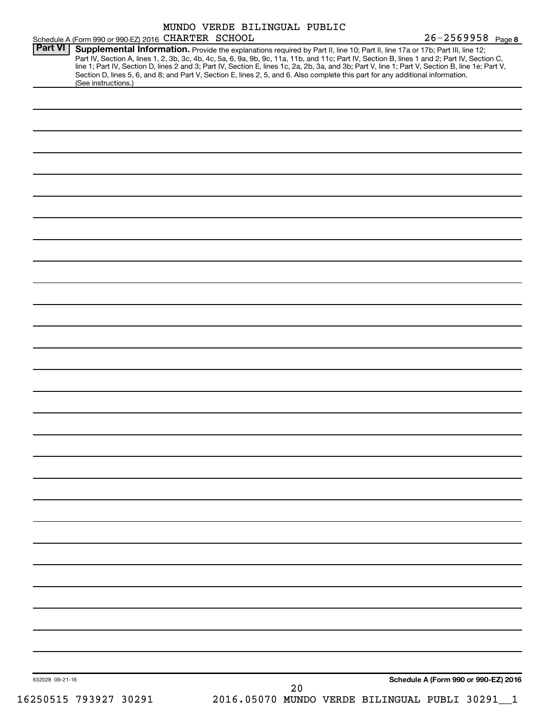| Schedule A (Form 990 or 990-EZ) 2016 CHARTER SCHOOL |                                                                                                                                                                                                                                                                                                                                                                                                                                                                                                                                                                      | $26 - 2569958$ Page 8                |
|-----------------------------------------------------|----------------------------------------------------------------------------------------------------------------------------------------------------------------------------------------------------------------------------------------------------------------------------------------------------------------------------------------------------------------------------------------------------------------------------------------------------------------------------------------------------------------------------------------------------------------------|--------------------------------------|
| Part VI<br>(See instructions.)                      | Supplemental Information. Provide the explanations required by Part II, line 10; Part II, line 17a or 17b; Part III, line 12;<br>Part IV, Section A, lines 1, 2, 3b, 3c, 4b, 4c, 5a, 6, 9a, 9b, 9c, 11a, 11b, and 11c; Part IV, Section B, lines 1 and 2; Part IV, Section C,<br>line 1; Part IV, Section D, lines 2 and 3; Part IV, Section E, lines 1c, 2a, 2b, 3a, and 3b; Part V, line 1; Part V, Section B, line 1e; Part V,<br>Section D, lines 5, 6, and 8; and Part V, Section E, lines 2, 5, and 6. Also complete this part for any additional information. |                                      |
|                                                     |                                                                                                                                                                                                                                                                                                                                                                                                                                                                                                                                                                      |                                      |
|                                                     |                                                                                                                                                                                                                                                                                                                                                                                                                                                                                                                                                                      |                                      |
|                                                     |                                                                                                                                                                                                                                                                                                                                                                                                                                                                                                                                                                      |                                      |
|                                                     |                                                                                                                                                                                                                                                                                                                                                                                                                                                                                                                                                                      |                                      |
|                                                     |                                                                                                                                                                                                                                                                                                                                                                                                                                                                                                                                                                      |                                      |
|                                                     |                                                                                                                                                                                                                                                                                                                                                                                                                                                                                                                                                                      |                                      |
|                                                     |                                                                                                                                                                                                                                                                                                                                                                                                                                                                                                                                                                      |                                      |
|                                                     |                                                                                                                                                                                                                                                                                                                                                                                                                                                                                                                                                                      |                                      |
|                                                     |                                                                                                                                                                                                                                                                                                                                                                                                                                                                                                                                                                      |                                      |
|                                                     |                                                                                                                                                                                                                                                                                                                                                                                                                                                                                                                                                                      |                                      |
|                                                     |                                                                                                                                                                                                                                                                                                                                                                                                                                                                                                                                                                      |                                      |
|                                                     |                                                                                                                                                                                                                                                                                                                                                                                                                                                                                                                                                                      |                                      |
|                                                     |                                                                                                                                                                                                                                                                                                                                                                                                                                                                                                                                                                      |                                      |
|                                                     |                                                                                                                                                                                                                                                                                                                                                                                                                                                                                                                                                                      |                                      |
|                                                     |                                                                                                                                                                                                                                                                                                                                                                                                                                                                                                                                                                      |                                      |
|                                                     |                                                                                                                                                                                                                                                                                                                                                                                                                                                                                                                                                                      |                                      |
|                                                     |                                                                                                                                                                                                                                                                                                                                                                                                                                                                                                                                                                      |                                      |
|                                                     |                                                                                                                                                                                                                                                                                                                                                                                                                                                                                                                                                                      |                                      |
|                                                     |                                                                                                                                                                                                                                                                                                                                                                                                                                                                                                                                                                      |                                      |
|                                                     |                                                                                                                                                                                                                                                                                                                                                                                                                                                                                                                                                                      |                                      |
|                                                     |                                                                                                                                                                                                                                                                                                                                                                                                                                                                                                                                                                      |                                      |
|                                                     |                                                                                                                                                                                                                                                                                                                                                                                                                                                                                                                                                                      |                                      |
|                                                     |                                                                                                                                                                                                                                                                                                                                                                                                                                                                                                                                                                      |                                      |
|                                                     |                                                                                                                                                                                                                                                                                                                                                                                                                                                                                                                                                                      |                                      |
|                                                     |                                                                                                                                                                                                                                                                                                                                                                                                                                                                                                                                                                      |                                      |
|                                                     |                                                                                                                                                                                                                                                                                                                                                                                                                                                                                                                                                                      |                                      |
|                                                     |                                                                                                                                                                                                                                                                                                                                                                                                                                                                                                                                                                      |                                      |
|                                                     |                                                                                                                                                                                                                                                                                                                                                                                                                                                                                                                                                                      |                                      |
|                                                     |                                                                                                                                                                                                                                                                                                                                                                                                                                                                                                                                                                      |                                      |
| 632028 09-21-16                                     | 20                                                                                                                                                                                                                                                                                                                                                                                                                                                                                                                                                                   | Schedule A (Form 990 or 990-EZ) 2016 |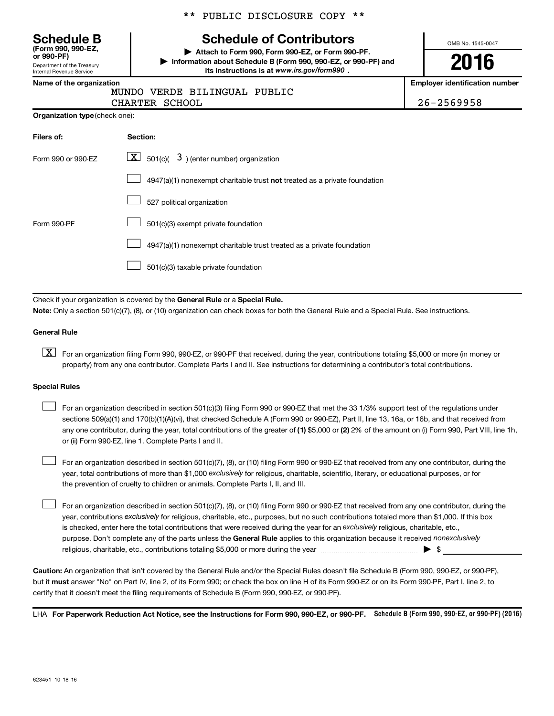Department of the Treasury Internal Revenue Service **(Form 990, 990-EZ,**

\*\* PUBLIC DISCLOSURE COPY \*\*

# **Schedule B Schedule of Contributors**

**or 990-PF) | Attach to Form 990, Form 990-EZ, or Form 990-PF. | Information about Schedule B (Form 990, 990-EZ, or 990-PF) and** its instructions is at www.irs.gov/form990.

OMB No. 1545-0047

# **2016**

**Name of the organization Employer identification number**

## MUNDO VERDE BILINGUAL PUBLIC

CHARTER SCHOOL 26-2569958

| Filers of:         | Section:                                                                           |
|--------------------|------------------------------------------------------------------------------------|
| Form 990 or 990-EZ | $\lfloor \underline{X} \rfloor$ 501(c)( 3) (enter number) organization             |
|                    | $4947(a)(1)$ nonexempt charitable trust <b>not</b> treated as a private foundation |
|                    | 527 political organization                                                         |
| Form 990-PF        | 501(c)(3) exempt private foundation                                                |
|                    | 4947(a)(1) nonexempt charitable trust treated as a private foundation              |
|                    | 501(c)(3) taxable private foundation                                               |

Check if your organization is covered by the General Rule or a Special Rule. **Note:**  Only a section 501(c)(7), (8), or (10) organization can check boxes for both the General Rule and a Special Rule. See instructions.

## **General Rule**

**K** For an organization filing Form 990, 990-EZ, or 990-PF that received, during the year, contributions totaling \$5,000 or more (in money or property) from any one contributor. Complete Parts I and II. See instructions for determining a contributor's total contributions.

#### **Special Rules**

 $\Box$ 

any one contributor, during the year, total contributions of the greater of **(1)** \$5,000 or **(2)** 2% of the amount on (i) Form 990, Part VIII, line 1h, For an organization described in section 501(c)(3) filing Form 990 or 990-EZ that met the 33 1/3% support test of the regulations under sections 509(a)(1) and 170(b)(1)(A)(vi), that checked Schedule A (Form 990 or 990-EZ), Part II, line 13, 16a, or 16b, and that received from or (ii) Form 990-EZ, line 1. Complete Parts I and II.  $\Box$ 

year, total contributions of more than \$1,000 *exclusively* for religious, charitable, scientific, literary, or educational purposes, or for For an organization described in section 501(c)(7), (8), or (10) filing Form 990 or 990-EZ that received from any one contributor, during the the prevention of cruelty to children or animals. Complete Parts I, II, and III.  $\Box$ 

purpose. Don't complete any of the parts unless the General Rule applies to this organization because it received nonexclusively year, contributions exclusively for religious, charitable, etc., purposes, but no such contributions totaled more than \$1,000. If this box is checked, enter here the total contributions that were received during the year for an exclusively religious, charitable, etc., For an organization described in section 501(c)(7), (8), or (10) filing Form 990 or 990-EZ that received from any one contributor, during the religious, charitable, etc., contributions totaling \$5,000 or more during the year  $\ldots$  $\ldots$  $\ldots$  $\ldots$  $\ldots$  $\ldots$ 

**Caution:**  An organization that isn't covered by the General Rule and/or the Special Rules doesn't file Schedule B (Form 990, 990-EZ, or 990-PF),  **must** but it answer "No" on Part IV, line 2, of its Form 990; or check the box on line H of its Form 990-EZ or on its Form 990-PF, Part I, line 2, to certify that it doesn't meet the filing requirements of Schedule B (Form 990, 990-EZ, or 990-PF).

LHA For Paperwork Reduction Act Notice, see the Instructions for Form 990, 990-EZ, or 990-PF. Schedule B (Form 990, 990-EZ, or 990-PF) (2016)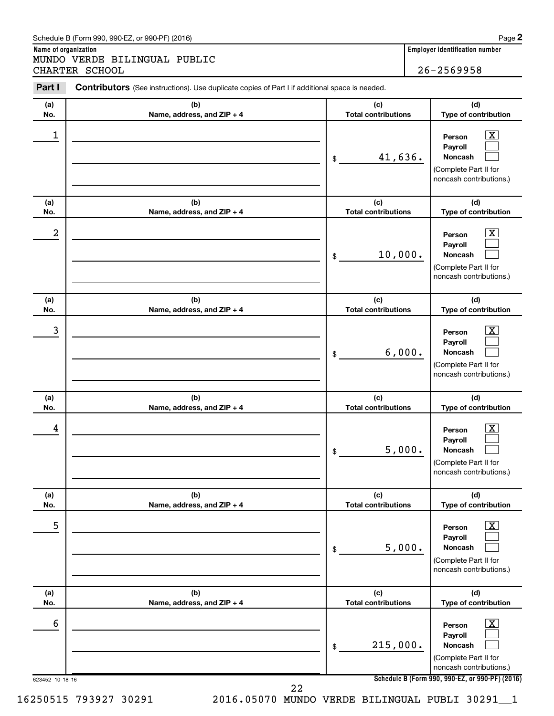#### Schedule B (Form 990, 990-EZ, or 990-PF) (2016)

**Name of organization Employer identification number** MUNDO VERDE BILINGUAL PUBLIC CHARTER SCHOOL 26-2569958

| Part I               | Contributors (See instructions). Use duplicate copies of Part I if additional space is needed. |                                   |                                                                                                                                          |
|----------------------|------------------------------------------------------------------------------------------------|-----------------------------------|------------------------------------------------------------------------------------------------------------------------------------------|
| (a)<br>No.           | (b)<br>Name, address, and ZIP + 4                                                              | (c)<br><b>Total contributions</b> | (d)<br>Type of contribution                                                                                                              |
| 1                    |                                                                                                | 41,636.<br>\$                     | $\overline{\text{X}}$<br>Person<br>Payroll<br>Noncash<br>(Complete Part II for<br>noncash contributions.)                                |
| (a)<br>No.           | (b)<br>Name, address, and ZIP + 4                                                              | (c)<br><b>Total contributions</b> | (d)<br>Type of contribution                                                                                                              |
| 2                    |                                                                                                | 10,000.<br>\$                     | x<br>Person<br>Payroll<br>Noncash<br>(Complete Part II for<br>noncash contributions.)                                                    |
| (a)<br>No.           | (b)<br>Name, address, and ZIP + 4                                                              | (c)<br><b>Total contributions</b> | (d)<br>Type of contribution                                                                                                              |
| 3                    |                                                                                                | 6,000.<br>\$                      | x<br>Person<br>Payroll<br>Noncash<br>(Complete Part II for<br>noncash contributions.)                                                    |
| (a)<br>No.           | (b)<br>Name, address, and ZIP + 4                                                              | (c)<br><b>Total contributions</b> | (d)<br>Type of contribution                                                                                                              |
| 4                    |                                                                                                | 5,000.<br>\$                      | X<br>Person<br>Payroll<br>Noncash<br>(Complete Part II for<br>noncash contributions.)                                                    |
| (a)<br>No.           | (b)<br>Name, address, and ZIP + 4                                                              | (c)<br><b>Total contributions</b> | (d)<br>Type of contribution                                                                                                              |
| 5                    |                                                                                                | 5,000.<br>\$                      | x<br>Person<br>Payroll<br>Noncash<br>(Complete Part II for<br>noncash contributions.)                                                    |
| (a)<br>No.           | (b)<br>Name, address, and ZIP + 4                                                              | (c)<br><b>Total contributions</b> | (d)<br>Type of contribution                                                                                                              |
| 6<br>623452 10-18-16 |                                                                                                | 215,000.<br>\$                    | х<br>Person<br>Payroll<br>Noncash<br>(Complete Part II for<br>noncash contributions.)<br>Schedule B (Form 990, 990-EZ, or 990-PF) (2016) |
|                      | 22                                                                                             |                                   |                                                                                                                                          |

16250515 793927 30291 2016.05070 MUNDO VERDE BILINGUAL PUBLI 30291\_\_1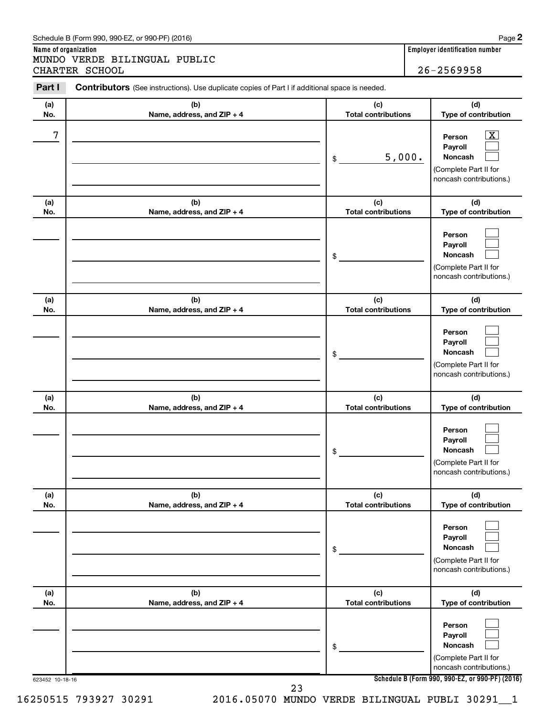#### Schedule B (Form 990, 990-EZ, or 990-PF) (2016)

**Name of organization Employer identification number** MUNDO VERDE BILINGUAL PUBLIC CHARTER SCHOOL 26-2569958

| (a)        | (b)                               | (c)                               | (d)                                                                                   |
|------------|-----------------------------------|-----------------------------------|---------------------------------------------------------------------------------------|
| No.        | Name, address, and ZIP + 4        | <b>Total contributions</b>        | Type of contribution                                                                  |
| 7          |                                   | 5,000.<br>\$                      | x<br>Person<br>Payroll<br>Noncash<br>(Complete Part II for<br>noncash contributions.) |
| (a)<br>No. | (b)<br>Name, address, and ZIP + 4 | (c)<br><b>Total contributions</b> | (d)<br>Type of contribution                                                           |
|            |                                   | \$                                | Person<br>Payroll<br>Noncash<br>(Complete Part II for<br>noncash contributions.)      |
| (a)<br>No. | (b)<br>Name, address, and ZIP + 4 | (c)<br><b>Total contributions</b> | (d)<br>Type of contribution                                                           |
|            |                                   | \$                                | Person<br>Pavroll<br>Noncash<br>(Complete Part II for<br>noncash contributions.)      |
| (a)<br>No. | (b)<br>Name, address, and ZIP + 4 | (c)<br><b>Total contributions</b> | (d)<br>Type of contribution                                                           |
|            |                                   | \$                                | Person<br>Pavroll<br>Noncash<br>(Complete Part II for<br>noncash contributions.)      |
| (a)<br>No. | (b)<br>Name, address, and ZIP + 4 | (c)<br><b>Total contributions</b> | (d)<br>Type of contribution                                                           |
|            |                                   | \$                                | Person<br>Payroll<br>Noncash<br>(Complete Part II for<br>noncash contributions.)      |
| (a)<br>No. | (b)<br>Name, address, and ZIP + 4 | (c)<br><b>Total contributions</b> | (d)<br>Type of contribution                                                           |
|            |                                   | \$                                | Person<br>Payroll<br>Noncash<br>(Complete Part II for<br>noncash contributions.)      |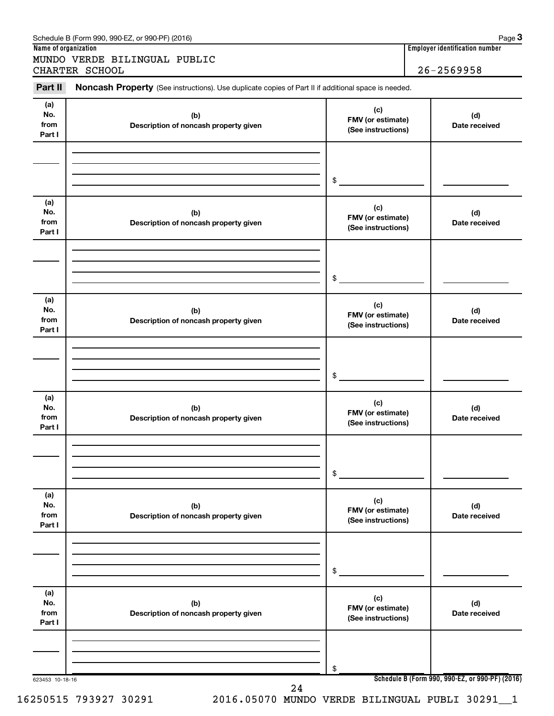| Part II                      | Noncash Property (See instructions). Use duplicate copies of Part II if additional space is needed. |                                                |                      |
|------------------------------|-----------------------------------------------------------------------------------------------------|------------------------------------------------|----------------------|
|                              |                                                                                                     |                                                |                      |
| (a)<br>No.<br>from<br>Part I | (b)<br>Description of noncash property given                                                        | (c)<br>FMV (or estimate)<br>(See instructions) | (d)<br>Date received |
|                              |                                                                                                     | \$                                             |                      |
|                              |                                                                                                     |                                                |                      |
| (a)<br>No.<br>from<br>Part I | (b)<br>Description of noncash property given                                                        | (c)<br>FMV (or estimate)<br>(See instructions) | (d)<br>Date received |
|                              |                                                                                                     |                                                |                      |
|                              |                                                                                                     | \$                                             |                      |
| (a)                          |                                                                                                     |                                                |                      |
| No.<br>from<br>Part I        | (b)<br>Description of noncash property given                                                        | (c)<br>FMV (or estimate)<br>(See instructions) | (d)<br>Date received |
|                              |                                                                                                     |                                                |                      |
|                              |                                                                                                     | \$                                             |                      |
| (a)<br>No.<br>from<br>Part I | (b)<br>Description of noncash property given                                                        | (c)<br>FMV (or estimate)<br>(See instructions) | (d)<br>Date received |
|                              |                                                                                                     |                                                |                      |
|                              |                                                                                                     |                                                |                      |
|                              |                                                                                                     | \$                                             |                      |
| (a)<br>No.<br>from<br>Part I | (b)<br>Description of noncash property given                                                        | (c)<br>FMV (or estimate)<br>(See instructions) | (d)<br>Date received |
|                              |                                                                                                     |                                                |                      |
|                              |                                                                                                     | \$                                             |                      |
| (a)<br>No.<br>from<br>Part I | (b)<br>Description of noncash property given                                                        | (c)<br>FMV (or estimate)<br>(See instructions) | (d)<br>Date received |
|                              |                                                                                                     |                                                |                      |
|                              |                                                                                                     |                                                |                      |

16250515 793927 30291 2016.05070 MUNDO VERDE BILINGUAL PUBLI 30291\_\_1

Schedule B (Form 990, 990-EZ, or 990-PF) (2016)

**<sup>3</sup>**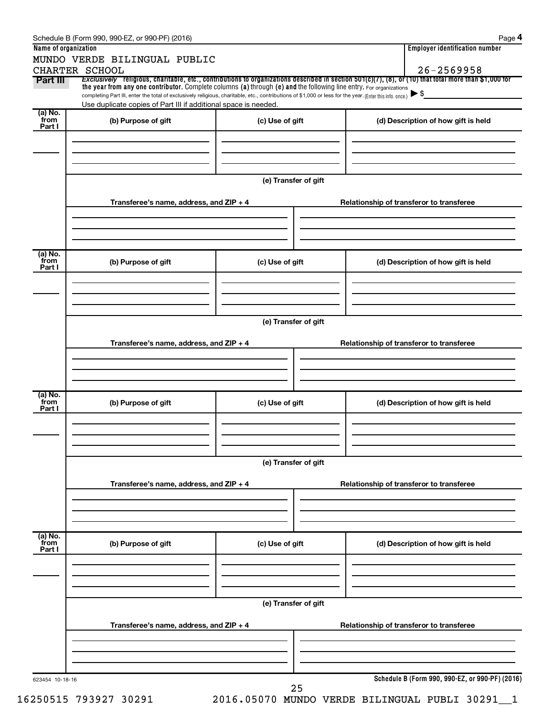| Name of organization | MUNDO VERDE BILINGUAL PUBLIC                                                                                                                                                                                                |                      | <b>Employer identification number</b>                                                                                                                    |
|----------------------|-----------------------------------------------------------------------------------------------------------------------------------------------------------------------------------------------------------------------------|----------------------|----------------------------------------------------------------------------------------------------------------------------------------------------------|
|                      | CHARTER SCHOOL                                                                                                                                                                                                              |                      | $26 - 2569958$                                                                                                                                           |
| Part III             | the year from any one contributor. Complete columns (a) through (e) and the following line entry. For organizations                                                                                                         |                      | Exclusively religious, charitable, etc., contributions to organizations described in section $501(c)(7)$ , (8), or (10) that total more than \$1,000 for |
|                      | completing Part III, enter the total of exclusively religious, charitable, etc., contributions of \$1,000 or less for the year. (Enter this info. once.)<br>Use duplicate copies of Part III if additional space is needed. |                      | $\blacktriangleright$ \$                                                                                                                                 |
| (a) No.              |                                                                                                                                                                                                                             |                      |                                                                                                                                                          |
| from<br>Part I       | (b) Purpose of gift                                                                                                                                                                                                         | (c) Use of gift      | (d) Description of how gift is held                                                                                                                      |
|                      |                                                                                                                                                                                                                             |                      |                                                                                                                                                          |
|                      |                                                                                                                                                                                                                             |                      |                                                                                                                                                          |
|                      |                                                                                                                                                                                                                             |                      |                                                                                                                                                          |
|                      |                                                                                                                                                                                                                             | (e) Transfer of gift |                                                                                                                                                          |
|                      |                                                                                                                                                                                                                             |                      |                                                                                                                                                          |
|                      | Transferee's name, address, and ZIP + 4                                                                                                                                                                                     |                      | Relationship of transferor to transferee                                                                                                                 |
|                      |                                                                                                                                                                                                                             |                      |                                                                                                                                                          |
|                      |                                                                                                                                                                                                                             |                      |                                                                                                                                                          |
| (a) No.<br>from      |                                                                                                                                                                                                                             |                      |                                                                                                                                                          |
| Part I               | (b) Purpose of gift                                                                                                                                                                                                         | (c) Use of gift      | (d) Description of how gift is held                                                                                                                      |
|                      |                                                                                                                                                                                                                             |                      |                                                                                                                                                          |
|                      |                                                                                                                                                                                                                             |                      |                                                                                                                                                          |
|                      |                                                                                                                                                                                                                             |                      |                                                                                                                                                          |
|                      |                                                                                                                                                                                                                             | (e) Transfer of gift |                                                                                                                                                          |
|                      |                                                                                                                                                                                                                             |                      |                                                                                                                                                          |
|                      | Transferee's name, address, and ZIP + 4                                                                                                                                                                                     |                      | Relationship of transferor to transferee                                                                                                                 |
|                      |                                                                                                                                                                                                                             |                      |                                                                                                                                                          |
|                      |                                                                                                                                                                                                                             |                      |                                                                                                                                                          |
| (a) No.              |                                                                                                                                                                                                                             |                      |                                                                                                                                                          |
| `from<br>Part I      | (b) Purpose of gift                                                                                                                                                                                                         | (c) Use of gift      | (d) Description of how gift is held                                                                                                                      |
|                      |                                                                                                                                                                                                                             |                      |                                                                                                                                                          |
|                      |                                                                                                                                                                                                                             |                      |                                                                                                                                                          |
|                      |                                                                                                                                                                                                                             |                      |                                                                                                                                                          |
|                      |                                                                                                                                                                                                                             | (e) Transfer of gift |                                                                                                                                                          |
|                      | Transferee's name, address, and ZIP + 4                                                                                                                                                                                     |                      | Relationship of transferor to transferee                                                                                                                 |
|                      |                                                                                                                                                                                                                             |                      |                                                                                                                                                          |
|                      |                                                                                                                                                                                                                             |                      |                                                                                                                                                          |
|                      |                                                                                                                                                                                                                             |                      |                                                                                                                                                          |
| (a) No.<br>from      | (b) Purpose of gift                                                                                                                                                                                                         | (c) Use of gift      | (d) Description of how gift is held                                                                                                                      |
| Part I               |                                                                                                                                                                                                                             |                      |                                                                                                                                                          |
|                      |                                                                                                                                                                                                                             |                      |                                                                                                                                                          |
|                      |                                                                                                                                                                                                                             |                      |                                                                                                                                                          |
|                      |                                                                                                                                                                                                                             |                      |                                                                                                                                                          |
|                      |                                                                                                                                                                                                                             | (e) Transfer of gift |                                                                                                                                                          |
|                      | Transferee's name, address, and ZIP + 4                                                                                                                                                                                     |                      | Relationship of transferor to transferee                                                                                                                 |
|                      |                                                                                                                                                                                                                             |                      |                                                                                                                                                          |
|                      |                                                                                                                                                                                                                             |                      |                                                                                                                                                          |
|                      |                                                                                                                                                                                                                             |                      |                                                                                                                                                          |
|                      |                                                                                                                                                                                                                             |                      |                                                                                                                                                          |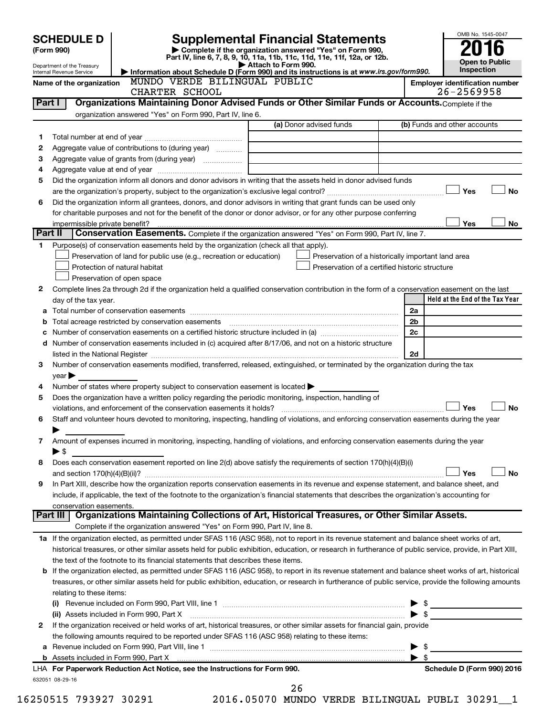|         | <b>SCHEDULE D</b>                                    |                                                                                                        | <b>Supplemental Financial Statements</b>                                                                                                                                                                                       |                          | OMB No. 1545-0047                          |
|---------|------------------------------------------------------|--------------------------------------------------------------------------------------------------------|--------------------------------------------------------------------------------------------------------------------------------------------------------------------------------------------------------------------------------|--------------------------|--------------------------------------------|
|         | (Form 990)                                           |                                                                                                        | Complete if the organization answered "Yes" on Form 990,<br>Part IV, line 6, 7, 8, 9, 10, 11a, 11b, 11c, 11d, 11e, 11f, 12a, or 12b.                                                                                           |                          |                                            |
|         | Department of the Treasury                           |                                                                                                        | Attach to Form 990.                                                                                                                                                                                                            |                          | <b>Open to Public</b><br><b>Inspection</b> |
|         | Internal Revenue Service<br>Name of the organization | MUNDO VERDE BILINGUAL PUBLIC                                                                           | Information about Schedule D (Form 990) and its instructions is at www.irs.gov/form990.                                                                                                                                        |                          | <b>Employer identification number</b>      |
|         |                                                      | CHARTER SCHOOL                                                                                         |                                                                                                                                                                                                                                |                          | $26 - 2569958$                             |
|         | Part I                                               |                                                                                                        | Organizations Maintaining Donor Advised Funds or Other Similar Funds or Accounts. Complete if the                                                                                                                              |                          |                                            |
|         |                                                      | organization answered "Yes" on Form 990, Part IV, line 6.                                              |                                                                                                                                                                                                                                |                          |                                            |
|         |                                                      |                                                                                                        | (a) Donor advised funds                                                                                                                                                                                                        |                          | (b) Funds and other accounts               |
| 1       |                                                      |                                                                                                        |                                                                                                                                                                                                                                |                          |                                            |
| 2       |                                                      | Aggregate value of contributions to (during year)                                                      |                                                                                                                                                                                                                                |                          |                                            |
| з       |                                                      | Aggregate value of grants from (during year)                                                           |                                                                                                                                                                                                                                |                          |                                            |
| 4       |                                                      |                                                                                                        |                                                                                                                                                                                                                                |                          |                                            |
| 5       |                                                      |                                                                                                        | Did the organization inform all donors and donor advisors in writing that the assets held in donor advised funds                                                                                                               |                          |                                            |
|         |                                                      |                                                                                                        |                                                                                                                                                                                                                                |                          | Yes<br><b>No</b>                           |
| 6       |                                                      |                                                                                                        | Did the organization inform all grantees, donors, and donor advisors in writing that grant funds can be used only                                                                                                              |                          |                                            |
|         |                                                      |                                                                                                        | for charitable purposes and not for the benefit of the donor or donor advisor, or for any other purpose conferring                                                                                                             |                          | Yes<br>No                                  |
| Part II | impermissible private benefit?                       |                                                                                                        | Conservation Easements. Complete if the organization answered "Yes" on Form 990, Part IV, line 7.                                                                                                                              |                          |                                            |
| 1       |                                                      | Purpose(s) of conservation easements held by the organization (check all that apply).                  |                                                                                                                                                                                                                                |                          |                                            |
|         |                                                      | Preservation of land for public use (e.g., recreation or education)                                    | Preservation of a historically important land area                                                                                                                                                                             |                          |                                            |
|         |                                                      | Protection of natural habitat                                                                          | Preservation of a certified historic structure                                                                                                                                                                                 |                          |                                            |
|         |                                                      | Preservation of open space                                                                             |                                                                                                                                                                                                                                |                          |                                            |
| 2       |                                                      |                                                                                                        | Complete lines 2a through 2d if the organization held a qualified conservation contribution in the form of a conservation easement on the last                                                                                 |                          |                                            |
|         | day of the tax year.                                 |                                                                                                        |                                                                                                                                                                                                                                |                          | Held at the End of the Tax Year            |
| а       |                                                      |                                                                                                        |                                                                                                                                                                                                                                | 2a                       |                                            |
| b       |                                                      |                                                                                                        | Total acreage restricted by conservation easements [11] matter conservation conservation of the set of the set of the set of the set of the set of the set of the set of the set of the set of the set of the set of the set o | 2 <sub>b</sub>           |                                            |
| с       |                                                      |                                                                                                        |                                                                                                                                                                                                                                | 2c                       |                                            |
| d       |                                                      |                                                                                                        | Number of conservation easements included in (c) acquired after 8/17/06, and not on a historic structure                                                                                                                       |                          |                                            |
|         |                                                      |                                                                                                        |                                                                                                                                                                                                                                | 2d                       |                                            |
| 3       |                                                      |                                                                                                        | Number of conservation easements modified, transferred, released, extinguished, or terminated by the organization during the tax                                                                                               |                          |                                            |
|         | year                                                 |                                                                                                        |                                                                                                                                                                                                                                |                          |                                            |
| 4       |                                                      | Number of states where property subject to conservation easement is located $\blacktriangleright$      |                                                                                                                                                                                                                                |                          |                                            |
| 5       |                                                      | Does the organization have a written policy regarding the periodic monitoring, inspection, handling of |                                                                                                                                                                                                                                |                          |                                            |
|         |                                                      |                                                                                                        |                                                                                                                                                                                                                                |                          | Yes<br><b>No</b>                           |
| 6       |                                                      |                                                                                                        | Staff and volunteer hours devoted to monitoring, inspecting, handling of violations, and enforcing conservation easements during the year                                                                                      |                          |                                            |
| 7       |                                                      |                                                                                                        | Amount of expenses incurred in monitoring, inspecting, handling of violations, and enforcing conservation easements during the year                                                                                            |                          |                                            |
|         | $\blacktriangleright$ \$                             |                                                                                                        |                                                                                                                                                                                                                                |                          |                                            |
| 8       |                                                      |                                                                                                        | Does each conservation easement reported on line 2(d) above satisfy the requirements of section 170(h)(4)(B)(i)                                                                                                                |                          |                                            |
|         |                                                      |                                                                                                        |                                                                                                                                                                                                                                |                          | No<br>Yes                                  |
| 9       |                                                      |                                                                                                        | In Part XIII, describe how the organization reports conservation easements in its revenue and expense statement, and balance sheet, and                                                                                        |                          |                                            |
|         |                                                      |                                                                                                        | include, if applicable, the text of the footnote to the organization's financial statements that describes the organization's accounting for                                                                                   |                          |                                            |
|         | conservation easements.                              |                                                                                                        |                                                                                                                                                                                                                                |                          |                                            |
|         |                                                      |                                                                                                        | Part III   Organizations Maintaining Collections of Art, Historical Treasures, or Other Similar Assets.                                                                                                                        |                          |                                            |
|         |                                                      | Complete if the organization answered "Yes" on Form 990, Part IV, line 8.                              |                                                                                                                                                                                                                                |                          |                                            |
|         |                                                      |                                                                                                        | 1a If the organization elected, as permitted under SFAS 116 (ASC 958), not to report in its revenue statement and balance sheet works of art,                                                                                  |                          |                                            |
|         |                                                      |                                                                                                        | historical treasures, or other similar assets held for public exhibition, education, or research in furtherance of public service, provide, in Part XIII,                                                                      |                          |                                            |
|         |                                                      | the text of the footnote to its financial statements that describes these items.                       |                                                                                                                                                                                                                                |                          |                                            |
| b       |                                                      |                                                                                                        | If the organization elected, as permitted under SFAS 116 (ASC 958), to report in its revenue statement and balance sheet works of art, historical                                                                              |                          |                                            |
|         |                                                      |                                                                                                        | treasures, or other similar assets held for public exhibition, education, or research in furtherance of public service, provide the following amounts                                                                          |                          |                                            |
|         | relating to these items:                             |                                                                                                        |                                                                                                                                                                                                                                |                          |                                            |
|         |                                                      |                                                                                                        |                                                                                                                                                                                                                                |                          | $\triangleright$ \$                        |
|         |                                                      | (ii) Assets included in Form 990, Part X                                                               |                                                                                                                                                                                                                                |                          | $\blacktriangleright$ \$                   |
| 2       |                                                      | the following amounts required to be reported under SFAS 116 (ASC 958) relating to these items:        | If the organization received or held works of art, historical treasures, or other similar assets for financial gain, provide                                                                                                   |                          |                                            |
| a       |                                                      |                                                                                                        |                                                                                                                                                                                                                                | $\blacktriangleright$ \$ |                                            |
|         |                                                      |                                                                                                        |                                                                                                                                                                                                                                | $\blacktriangleright$ s  |                                            |
|         |                                                      | LHA For Paperwork Reduction Act Notice, see the Instructions for Form 990.                             |                                                                                                                                                                                                                                |                          | Schedule D (Form 990) 2016                 |
|         | 632051 08-29-16                                      |                                                                                                        |                                                                                                                                                                                                                                |                          |                                            |
|         |                                                      |                                                                                                        | 26                                                                                                                                                                                                                             |                          |                                            |

16250515 793927 30291 2016.05070 MUNDO VERDE BILINGUAL PUBLI 30291\_\_1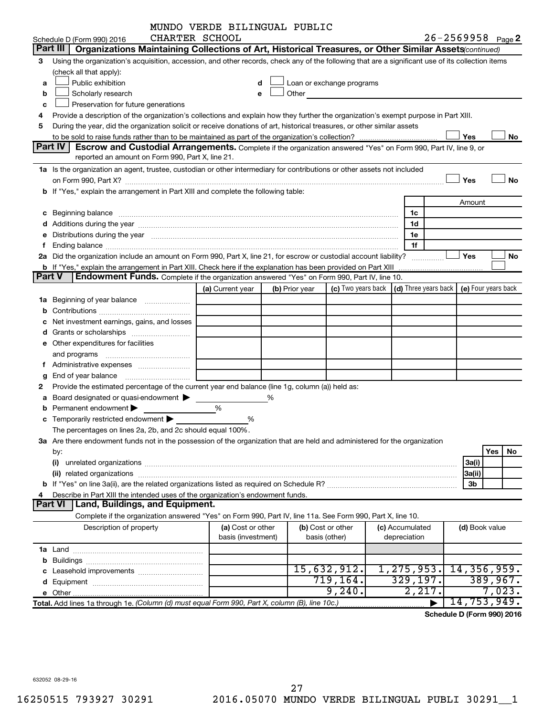| 26-2569958 Page 2<br>CHARTER SCHOOL<br>Schedule D (Form 990) 2016<br>Part III<br>Organizations Maintaining Collections of Art, Historical Treasures, or Other Similar Assets (continued)<br>Using the organization's acquisition, accession, and other records, check any of the following that are a significant use of its collection items<br>З<br>(check all that apply):<br>Public exhibition<br>Loan or exchange programs<br>d<br>a<br>Other and the control of the control of the control of the control of the control of the control of the control of the control of the control of the control of the control of the control of the control of the control of th<br>Scholarly research<br>b<br>е<br>Preservation for future generations<br>C<br>Provide a description of the organization's collections and explain how they further the organization's exempt purpose in Part XIII.<br>4<br>During the year, did the organization solicit or receive donations of art, historical treasures, or other similar assets<br>5<br>Yes<br>No<br><b>Part IV</b><br><b>Escrow and Custodial Arrangements.</b> Complete if the organization answered "Yes" on Form 990, Part IV, line 9, or<br>reported an amount on Form 990, Part X, line 21.<br>1a Is the organization an agent, trustee, custodian or other intermediary for contributions or other assets not included<br>Yes<br><b>No</b><br>b If "Yes," explain the arrangement in Part XIII and complete the following table:<br>Amount<br>1c<br>c Beginning balance measurements and the contract of the contract of the contract of the contract of the contract of the contract of the contract of the contract of the contract of the contract of the contract of the contr<br>1d<br>1e<br>e Distributions during the year manufactured and continuum and the year manufactured and the year manufactured and the year manufactured and the year manufactured and the year manufactured and the year manufactured and the<br>1f<br>f<br>Yes<br>2a Did the organization include an amount on Form 990, Part X, line 21, for escrow or custodial account liability?<br>No<br>b If "Yes," explain the arrangement in Part XIII. Check here if the explanation has been provided on Part XIII<br>Part V<br><b>Endowment Funds.</b> Complete if the organization answered "Yes" on Form 990, Part IV, line 10.<br>(c) Two years back $\vert$ (d) Three years back $\vert$ (e) Four years back<br>(a) Current year<br>(b) Prior year<br>b<br>Net investment earnings, gains, and losses<br>e Other expenditures for facilities<br>and programs<br>Ť.<br>End of year balance<br>g<br>Provide the estimated percentage of the current year end balance (line 1g, column (a)) held as:<br>2<br>Board designated or quasi-endowment<br>℅<br>а<br>%<br>Permanent endowment<br>b<br><b>c</b> Temporarily restricted endowment $\blacktriangleright$<br>%<br>The percentages on lines 2a, 2b, and 2c should equal 100%.<br>3a Are there endowment funds not in the possession of the organization that are held and administered for the organization<br>Yes<br>No<br>by:<br>3a(i)<br>(i)<br>3a(ii)<br>3 <sub>b</sub><br>Describe in Part XIII the intended uses of the organization's endowment funds.<br>Part VI<br>Land, Buildings, and Equipment.<br>Complete if the organization answered "Yes" on Form 990, Part IV, line 11a. See Form 990, Part X, line 10.<br>Description of property<br>(a) Cost or other<br>(b) Cost or other<br>(c) Accumulated<br>(d) Book value<br>basis (investment)<br>basis (other)<br>depreciation<br>14, 356, 959.<br>15,632,912.<br>1, 275, 953.<br>719, 164.<br>329, 197.<br>389,967.<br>7,023.<br>9,240.<br>2,217.<br>14,753,949.<br>Total. Add lines 1a through 1e. (Column (d) must equal Form 990, Part X, column (B), line 10c.) |  | MUNDO VERDE BILINGUAL PUBLIC |  |  |  |  |
|------------------------------------------------------------------------------------------------------------------------------------------------------------------------------------------------------------------------------------------------------------------------------------------------------------------------------------------------------------------------------------------------------------------------------------------------------------------------------------------------------------------------------------------------------------------------------------------------------------------------------------------------------------------------------------------------------------------------------------------------------------------------------------------------------------------------------------------------------------------------------------------------------------------------------------------------------------------------------------------------------------------------------------------------------------------------------------------------------------------------------------------------------------------------------------------------------------------------------------------------------------------------------------------------------------------------------------------------------------------------------------------------------------------------------------------------------------------------------------------------------------------------------------------------------------------------------------------------------------------------------------------------------------------------------------------------------------------------------------------------------------------------------------------------------------------------------------------------------------------------------------------------------------------------------------------------------------------------------------------------------------------------------------------------------------------------------------------------------------------------------------------------------------------------------------------------------------------------------------------------------------------------------------------------------------------------------------------------------------------------------------------------------------------------------------------------------------------------------------------------------------------------------------------------------------------------------------------------------------------------------------------------------------------------------------------------------------------------------------------------------------------------------------------------------------------------------------------------------------------------------------------------------------------------------------------------------------------------------------------------------------------------------------------------------------------------------------------------------------------------------------------------------------------------------------------------------------------------------------------------------------------------------------------------------------------------------------------------------------------------------------------------------------------------------------------------------------------------------------------------------------------------------------------------------------------------------------------------------------------------------------------------------------------------------------------------------------------------------------------------------------------------------------------------------------------------------|--|------------------------------|--|--|--|--|
|                                                                                                                                                                                                                                                                                                                                                                                                                                                                                                                                                                                                                                                                                                                                                                                                                                                                                                                                                                                                                                                                                                                                                                                                                                                                                                                                                                                                                                                                                                                                                                                                                                                                                                                                                                                                                                                                                                                                                                                                                                                                                                                                                                                                                                                                                                                                                                                                                                                                                                                                                                                                                                                                                                                                                                                                                                                                                                                                                                                                                                                                                                                                                                                                                                                                                                                                                                                                                                                                                                                                                                                                                                                                                                                                                                                                                              |  |                              |  |  |  |  |
|                                                                                                                                                                                                                                                                                                                                                                                                                                                                                                                                                                                                                                                                                                                                                                                                                                                                                                                                                                                                                                                                                                                                                                                                                                                                                                                                                                                                                                                                                                                                                                                                                                                                                                                                                                                                                                                                                                                                                                                                                                                                                                                                                                                                                                                                                                                                                                                                                                                                                                                                                                                                                                                                                                                                                                                                                                                                                                                                                                                                                                                                                                                                                                                                                                                                                                                                                                                                                                                                                                                                                                                                                                                                                                                                                                                                                              |  |                              |  |  |  |  |
|                                                                                                                                                                                                                                                                                                                                                                                                                                                                                                                                                                                                                                                                                                                                                                                                                                                                                                                                                                                                                                                                                                                                                                                                                                                                                                                                                                                                                                                                                                                                                                                                                                                                                                                                                                                                                                                                                                                                                                                                                                                                                                                                                                                                                                                                                                                                                                                                                                                                                                                                                                                                                                                                                                                                                                                                                                                                                                                                                                                                                                                                                                                                                                                                                                                                                                                                                                                                                                                                                                                                                                                                                                                                                                                                                                                                                              |  |                              |  |  |  |  |
|                                                                                                                                                                                                                                                                                                                                                                                                                                                                                                                                                                                                                                                                                                                                                                                                                                                                                                                                                                                                                                                                                                                                                                                                                                                                                                                                                                                                                                                                                                                                                                                                                                                                                                                                                                                                                                                                                                                                                                                                                                                                                                                                                                                                                                                                                                                                                                                                                                                                                                                                                                                                                                                                                                                                                                                                                                                                                                                                                                                                                                                                                                                                                                                                                                                                                                                                                                                                                                                                                                                                                                                                                                                                                                                                                                                                                              |  |                              |  |  |  |  |
|                                                                                                                                                                                                                                                                                                                                                                                                                                                                                                                                                                                                                                                                                                                                                                                                                                                                                                                                                                                                                                                                                                                                                                                                                                                                                                                                                                                                                                                                                                                                                                                                                                                                                                                                                                                                                                                                                                                                                                                                                                                                                                                                                                                                                                                                                                                                                                                                                                                                                                                                                                                                                                                                                                                                                                                                                                                                                                                                                                                                                                                                                                                                                                                                                                                                                                                                                                                                                                                                                                                                                                                                                                                                                                                                                                                                                              |  |                              |  |  |  |  |
|                                                                                                                                                                                                                                                                                                                                                                                                                                                                                                                                                                                                                                                                                                                                                                                                                                                                                                                                                                                                                                                                                                                                                                                                                                                                                                                                                                                                                                                                                                                                                                                                                                                                                                                                                                                                                                                                                                                                                                                                                                                                                                                                                                                                                                                                                                                                                                                                                                                                                                                                                                                                                                                                                                                                                                                                                                                                                                                                                                                                                                                                                                                                                                                                                                                                                                                                                                                                                                                                                                                                                                                                                                                                                                                                                                                                                              |  |                              |  |  |  |  |
|                                                                                                                                                                                                                                                                                                                                                                                                                                                                                                                                                                                                                                                                                                                                                                                                                                                                                                                                                                                                                                                                                                                                                                                                                                                                                                                                                                                                                                                                                                                                                                                                                                                                                                                                                                                                                                                                                                                                                                                                                                                                                                                                                                                                                                                                                                                                                                                                                                                                                                                                                                                                                                                                                                                                                                                                                                                                                                                                                                                                                                                                                                                                                                                                                                                                                                                                                                                                                                                                                                                                                                                                                                                                                                                                                                                                                              |  |                              |  |  |  |  |
|                                                                                                                                                                                                                                                                                                                                                                                                                                                                                                                                                                                                                                                                                                                                                                                                                                                                                                                                                                                                                                                                                                                                                                                                                                                                                                                                                                                                                                                                                                                                                                                                                                                                                                                                                                                                                                                                                                                                                                                                                                                                                                                                                                                                                                                                                                                                                                                                                                                                                                                                                                                                                                                                                                                                                                                                                                                                                                                                                                                                                                                                                                                                                                                                                                                                                                                                                                                                                                                                                                                                                                                                                                                                                                                                                                                                                              |  |                              |  |  |  |  |
|                                                                                                                                                                                                                                                                                                                                                                                                                                                                                                                                                                                                                                                                                                                                                                                                                                                                                                                                                                                                                                                                                                                                                                                                                                                                                                                                                                                                                                                                                                                                                                                                                                                                                                                                                                                                                                                                                                                                                                                                                                                                                                                                                                                                                                                                                                                                                                                                                                                                                                                                                                                                                                                                                                                                                                                                                                                                                                                                                                                                                                                                                                                                                                                                                                                                                                                                                                                                                                                                                                                                                                                                                                                                                                                                                                                                                              |  |                              |  |  |  |  |
|                                                                                                                                                                                                                                                                                                                                                                                                                                                                                                                                                                                                                                                                                                                                                                                                                                                                                                                                                                                                                                                                                                                                                                                                                                                                                                                                                                                                                                                                                                                                                                                                                                                                                                                                                                                                                                                                                                                                                                                                                                                                                                                                                                                                                                                                                                                                                                                                                                                                                                                                                                                                                                                                                                                                                                                                                                                                                                                                                                                                                                                                                                                                                                                                                                                                                                                                                                                                                                                                                                                                                                                                                                                                                                                                                                                                                              |  |                              |  |  |  |  |
|                                                                                                                                                                                                                                                                                                                                                                                                                                                                                                                                                                                                                                                                                                                                                                                                                                                                                                                                                                                                                                                                                                                                                                                                                                                                                                                                                                                                                                                                                                                                                                                                                                                                                                                                                                                                                                                                                                                                                                                                                                                                                                                                                                                                                                                                                                                                                                                                                                                                                                                                                                                                                                                                                                                                                                                                                                                                                                                                                                                                                                                                                                                                                                                                                                                                                                                                                                                                                                                                                                                                                                                                                                                                                                                                                                                                                              |  |                              |  |  |  |  |
|                                                                                                                                                                                                                                                                                                                                                                                                                                                                                                                                                                                                                                                                                                                                                                                                                                                                                                                                                                                                                                                                                                                                                                                                                                                                                                                                                                                                                                                                                                                                                                                                                                                                                                                                                                                                                                                                                                                                                                                                                                                                                                                                                                                                                                                                                                                                                                                                                                                                                                                                                                                                                                                                                                                                                                                                                                                                                                                                                                                                                                                                                                                                                                                                                                                                                                                                                                                                                                                                                                                                                                                                                                                                                                                                                                                                                              |  |                              |  |  |  |  |
|                                                                                                                                                                                                                                                                                                                                                                                                                                                                                                                                                                                                                                                                                                                                                                                                                                                                                                                                                                                                                                                                                                                                                                                                                                                                                                                                                                                                                                                                                                                                                                                                                                                                                                                                                                                                                                                                                                                                                                                                                                                                                                                                                                                                                                                                                                                                                                                                                                                                                                                                                                                                                                                                                                                                                                                                                                                                                                                                                                                                                                                                                                                                                                                                                                                                                                                                                                                                                                                                                                                                                                                                                                                                                                                                                                                                                              |  |                              |  |  |  |  |
|                                                                                                                                                                                                                                                                                                                                                                                                                                                                                                                                                                                                                                                                                                                                                                                                                                                                                                                                                                                                                                                                                                                                                                                                                                                                                                                                                                                                                                                                                                                                                                                                                                                                                                                                                                                                                                                                                                                                                                                                                                                                                                                                                                                                                                                                                                                                                                                                                                                                                                                                                                                                                                                                                                                                                                                                                                                                                                                                                                                                                                                                                                                                                                                                                                                                                                                                                                                                                                                                                                                                                                                                                                                                                                                                                                                                                              |  |                              |  |  |  |  |
|                                                                                                                                                                                                                                                                                                                                                                                                                                                                                                                                                                                                                                                                                                                                                                                                                                                                                                                                                                                                                                                                                                                                                                                                                                                                                                                                                                                                                                                                                                                                                                                                                                                                                                                                                                                                                                                                                                                                                                                                                                                                                                                                                                                                                                                                                                                                                                                                                                                                                                                                                                                                                                                                                                                                                                                                                                                                                                                                                                                                                                                                                                                                                                                                                                                                                                                                                                                                                                                                                                                                                                                                                                                                                                                                                                                                                              |  |                              |  |  |  |  |
|                                                                                                                                                                                                                                                                                                                                                                                                                                                                                                                                                                                                                                                                                                                                                                                                                                                                                                                                                                                                                                                                                                                                                                                                                                                                                                                                                                                                                                                                                                                                                                                                                                                                                                                                                                                                                                                                                                                                                                                                                                                                                                                                                                                                                                                                                                                                                                                                                                                                                                                                                                                                                                                                                                                                                                                                                                                                                                                                                                                                                                                                                                                                                                                                                                                                                                                                                                                                                                                                                                                                                                                                                                                                                                                                                                                                                              |  |                              |  |  |  |  |
|                                                                                                                                                                                                                                                                                                                                                                                                                                                                                                                                                                                                                                                                                                                                                                                                                                                                                                                                                                                                                                                                                                                                                                                                                                                                                                                                                                                                                                                                                                                                                                                                                                                                                                                                                                                                                                                                                                                                                                                                                                                                                                                                                                                                                                                                                                                                                                                                                                                                                                                                                                                                                                                                                                                                                                                                                                                                                                                                                                                                                                                                                                                                                                                                                                                                                                                                                                                                                                                                                                                                                                                                                                                                                                                                                                                                                              |  |                              |  |  |  |  |
|                                                                                                                                                                                                                                                                                                                                                                                                                                                                                                                                                                                                                                                                                                                                                                                                                                                                                                                                                                                                                                                                                                                                                                                                                                                                                                                                                                                                                                                                                                                                                                                                                                                                                                                                                                                                                                                                                                                                                                                                                                                                                                                                                                                                                                                                                                                                                                                                                                                                                                                                                                                                                                                                                                                                                                                                                                                                                                                                                                                                                                                                                                                                                                                                                                                                                                                                                                                                                                                                                                                                                                                                                                                                                                                                                                                                                              |  |                              |  |  |  |  |
|                                                                                                                                                                                                                                                                                                                                                                                                                                                                                                                                                                                                                                                                                                                                                                                                                                                                                                                                                                                                                                                                                                                                                                                                                                                                                                                                                                                                                                                                                                                                                                                                                                                                                                                                                                                                                                                                                                                                                                                                                                                                                                                                                                                                                                                                                                                                                                                                                                                                                                                                                                                                                                                                                                                                                                                                                                                                                                                                                                                                                                                                                                                                                                                                                                                                                                                                                                                                                                                                                                                                                                                                                                                                                                                                                                                                                              |  |                              |  |  |  |  |
|                                                                                                                                                                                                                                                                                                                                                                                                                                                                                                                                                                                                                                                                                                                                                                                                                                                                                                                                                                                                                                                                                                                                                                                                                                                                                                                                                                                                                                                                                                                                                                                                                                                                                                                                                                                                                                                                                                                                                                                                                                                                                                                                                                                                                                                                                                                                                                                                                                                                                                                                                                                                                                                                                                                                                                                                                                                                                                                                                                                                                                                                                                                                                                                                                                                                                                                                                                                                                                                                                                                                                                                                                                                                                                                                                                                                                              |  |                              |  |  |  |  |
|                                                                                                                                                                                                                                                                                                                                                                                                                                                                                                                                                                                                                                                                                                                                                                                                                                                                                                                                                                                                                                                                                                                                                                                                                                                                                                                                                                                                                                                                                                                                                                                                                                                                                                                                                                                                                                                                                                                                                                                                                                                                                                                                                                                                                                                                                                                                                                                                                                                                                                                                                                                                                                                                                                                                                                                                                                                                                                                                                                                                                                                                                                                                                                                                                                                                                                                                                                                                                                                                                                                                                                                                                                                                                                                                                                                                                              |  |                              |  |  |  |  |
|                                                                                                                                                                                                                                                                                                                                                                                                                                                                                                                                                                                                                                                                                                                                                                                                                                                                                                                                                                                                                                                                                                                                                                                                                                                                                                                                                                                                                                                                                                                                                                                                                                                                                                                                                                                                                                                                                                                                                                                                                                                                                                                                                                                                                                                                                                                                                                                                                                                                                                                                                                                                                                                                                                                                                                                                                                                                                                                                                                                                                                                                                                                                                                                                                                                                                                                                                                                                                                                                                                                                                                                                                                                                                                                                                                                                                              |  |                              |  |  |  |  |
|                                                                                                                                                                                                                                                                                                                                                                                                                                                                                                                                                                                                                                                                                                                                                                                                                                                                                                                                                                                                                                                                                                                                                                                                                                                                                                                                                                                                                                                                                                                                                                                                                                                                                                                                                                                                                                                                                                                                                                                                                                                                                                                                                                                                                                                                                                                                                                                                                                                                                                                                                                                                                                                                                                                                                                                                                                                                                                                                                                                                                                                                                                                                                                                                                                                                                                                                                                                                                                                                                                                                                                                                                                                                                                                                                                                                                              |  |                              |  |  |  |  |
|                                                                                                                                                                                                                                                                                                                                                                                                                                                                                                                                                                                                                                                                                                                                                                                                                                                                                                                                                                                                                                                                                                                                                                                                                                                                                                                                                                                                                                                                                                                                                                                                                                                                                                                                                                                                                                                                                                                                                                                                                                                                                                                                                                                                                                                                                                                                                                                                                                                                                                                                                                                                                                                                                                                                                                                                                                                                                                                                                                                                                                                                                                                                                                                                                                                                                                                                                                                                                                                                                                                                                                                                                                                                                                                                                                                                                              |  |                              |  |  |  |  |
|                                                                                                                                                                                                                                                                                                                                                                                                                                                                                                                                                                                                                                                                                                                                                                                                                                                                                                                                                                                                                                                                                                                                                                                                                                                                                                                                                                                                                                                                                                                                                                                                                                                                                                                                                                                                                                                                                                                                                                                                                                                                                                                                                                                                                                                                                                                                                                                                                                                                                                                                                                                                                                                                                                                                                                                                                                                                                                                                                                                                                                                                                                                                                                                                                                                                                                                                                                                                                                                                                                                                                                                                                                                                                                                                                                                                                              |  |                              |  |  |  |  |
|                                                                                                                                                                                                                                                                                                                                                                                                                                                                                                                                                                                                                                                                                                                                                                                                                                                                                                                                                                                                                                                                                                                                                                                                                                                                                                                                                                                                                                                                                                                                                                                                                                                                                                                                                                                                                                                                                                                                                                                                                                                                                                                                                                                                                                                                                                                                                                                                                                                                                                                                                                                                                                                                                                                                                                                                                                                                                                                                                                                                                                                                                                                                                                                                                                                                                                                                                                                                                                                                                                                                                                                                                                                                                                                                                                                                                              |  |                              |  |  |  |  |
|                                                                                                                                                                                                                                                                                                                                                                                                                                                                                                                                                                                                                                                                                                                                                                                                                                                                                                                                                                                                                                                                                                                                                                                                                                                                                                                                                                                                                                                                                                                                                                                                                                                                                                                                                                                                                                                                                                                                                                                                                                                                                                                                                                                                                                                                                                                                                                                                                                                                                                                                                                                                                                                                                                                                                                                                                                                                                                                                                                                                                                                                                                                                                                                                                                                                                                                                                                                                                                                                                                                                                                                                                                                                                                                                                                                                                              |  |                              |  |  |  |  |
|                                                                                                                                                                                                                                                                                                                                                                                                                                                                                                                                                                                                                                                                                                                                                                                                                                                                                                                                                                                                                                                                                                                                                                                                                                                                                                                                                                                                                                                                                                                                                                                                                                                                                                                                                                                                                                                                                                                                                                                                                                                                                                                                                                                                                                                                                                                                                                                                                                                                                                                                                                                                                                                                                                                                                                                                                                                                                                                                                                                                                                                                                                                                                                                                                                                                                                                                                                                                                                                                                                                                                                                                                                                                                                                                                                                                                              |  |                              |  |  |  |  |
|                                                                                                                                                                                                                                                                                                                                                                                                                                                                                                                                                                                                                                                                                                                                                                                                                                                                                                                                                                                                                                                                                                                                                                                                                                                                                                                                                                                                                                                                                                                                                                                                                                                                                                                                                                                                                                                                                                                                                                                                                                                                                                                                                                                                                                                                                                                                                                                                                                                                                                                                                                                                                                                                                                                                                                                                                                                                                                                                                                                                                                                                                                                                                                                                                                                                                                                                                                                                                                                                                                                                                                                                                                                                                                                                                                                                                              |  |                              |  |  |  |  |
|                                                                                                                                                                                                                                                                                                                                                                                                                                                                                                                                                                                                                                                                                                                                                                                                                                                                                                                                                                                                                                                                                                                                                                                                                                                                                                                                                                                                                                                                                                                                                                                                                                                                                                                                                                                                                                                                                                                                                                                                                                                                                                                                                                                                                                                                                                                                                                                                                                                                                                                                                                                                                                                                                                                                                                                                                                                                                                                                                                                                                                                                                                                                                                                                                                                                                                                                                                                                                                                                                                                                                                                                                                                                                                                                                                                                                              |  |                              |  |  |  |  |
|                                                                                                                                                                                                                                                                                                                                                                                                                                                                                                                                                                                                                                                                                                                                                                                                                                                                                                                                                                                                                                                                                                                                                                                                                                                                                                                                                                                                                                                                                                                                                                                                                                                                                                                                                                                                                                                                                                                                                                                                                                                                                                                                                                                                                                                                                                                                                                                                                                                                                                                                                                                                                                                                                                                                                                                                                                                                                                                                                                                                                                                                                                                                                                                                                                                                                                                                                                                                                                                                                                                                                                                                                                                                                                                                                                                                                              |  |                              |  |  |  |  |
|                                                                                                                                                                                                                                                                                                                                                                                                                                                                                                                                                                                                                                                                                                                                                                                                                                                                                                                                                                                                                                                                                                                                                                                                                                                                                                                                                                                                                                                                                                                                                                                                                                                                                                                                                                                                                                                                                                                                                                                                                                                                                                                                                                                                                                                                                                                                                                                                                                                                                                                                                                                                                                                                                                                                                                                                                                                                                                                                                                                                                                                                                                                                                                                                                                                                                                                                                                                                                                                                                                                                                                                                                                                                                                                                                                                                                              |  |                              |  |  |  |  |
|                                                                                                                                                                                                                                                                                                                                                                                                                                                                                                                                                                                                                                                                                                                                                                                                                                                                                                                                                                                                                                                                                                                                                                                                                                                                                                                                                                                                                                                                                                                                                                                                                                                                                                                                                                                                                                                                                                                                                                                                                                                                                                                                                                                                                                                                                                                                                                                                                                                                                                                                                                                                                                                                                                                                                                                                                                                                                                                                                                                                                                                                                                                                                                                                                                                                                                                                                                                                                                                                                                                                                                                                                                                                                                                                                                                                                              |  |                              |  |  |  |  |
|                                                                                                                                                                                                                                                                                                                                                                                                                                                                                                                                                                                                                                                                                                                                                                                                                                                                                                                                                                                                                                                                                                                                                                                                                                                                                                                                                                                                                                                                                                                                                                                                                                                                                                                                                                                                                                                                                                                                                                                                                                                                                                                                                                                                                                                                                                                                                                                                                                                                                                                                                                                                                                                                                                                                                                                                                                                                                                                                                                                                                                                                                                                                                                                                                                                                                                                                                                                                                                                                                                                                                                                                                                                                                                                                                                                                                              |  |                              |  |  |  |  |
|                                                                                                                                                                                                                                                                                                                                                                                                                                                                                                                                                                                                                                                                                                                                                                                                                                                                                                                                                                                                                                                                                                                                                                                                                                                                                                                                                                                                                                                                                                                                                                                                                                                                                                                                                                                                                                                                                                                                                                                                                                                                                                                                                                                                                                                                                                                                                                                                                                                                                                                                                                                                                                                                                                                                                                                                                                                                                                                                                                                                                                                                                                                                                                                                                                                                                                                                                                                                                                                                                                                                                                                                                                                                                                                                                                                                                              |  |                              |  |  |  |  |
|                                                                                                                                                                                                                                                                                                                                                                                                                                                                                                                                                                                                                                                                                                                                                                                                                                                                                                                                                                                                                                                                                                                                                                                                                                                                                                                                                                                                                                                                                                                                                                                                                                                                                                                                                                                                                                                                                                                                                                                                                                                                                                                                                                                                                                                                                                                                                                                                                                                                                                                                                                                                                                                                                                                                                                                                                                                                                                                                                                                                                                                                                                                                                                                                                                                                                                                                                                                                                                                                                                                                                                                                                                                                                                                                                                                                                              |  |                              |  |  |  |  |
|                                                                                                                                                                                                                                                                                                                                                                                                                                                                                                                                                                                                                                                                                                                                                                                                                                                                                                                                                                                                                                                                                                                                                                                                                                                                                                                                                                                                                                                                                                                                                                                                                                                                                                                                                                                                                                                                                                                                                                                                                                                                                                                                                                                                                                                                                                                                                                                                                                                                                                                                                                                                                                                                                                                                                                                                                                                                                                                                                                                                                                                                                                                                                                                                                                                                                                                                                                                                                                                                                                                                                                                                                                                                                                                                                                                                                              |  |                              |  |  |  |  |
|                                                                                                                                                                                                                                                                                                                                                                                                                                                                                                                                                                                                                                                                                                                                                                                                                                                                                                                                                                                                                                                                                                                                                                                                                                                                                                                                                                                                                                                                                                                                                                                                                                                                                                                                                                                                                                                                                                                                                                                                                                                                                                                                                                                                                                                                                                                                                                                                                                                                                                                                                                                                                                                                                                                                                                                                                                                                                                                                                                                                                                                                                                                                                                                                                                                                                                                                                                                                                                                                                                                                                                                                                                                                                                                                                                                                                              |  |                              |  |  |  |  |
|                                                                                                                                                                                                                                                                                                                                                                                                                                                                                                                                                                                                                                                                                                                                                                                                                                                                                                                                                                                                                                                                                                                                                                                                                                                                                                                                                                                                                                                                                                                                                                                                                                                                                                                                                                                                                                                                                                                                                                                                                                                                                                                                                                                                                                                                                                                                                                                                                                                                                                                                                                                                                                                                                                                                                                                                                                                                                                                                                                                                                                                                                                                                                                                                                                                                                                                                                                                                                                                                                                                                                                                                                                                                                                                                                                                                                              |  |                              |  |  |  |  |
|                                                                                                                                                                                                                                                                                                                                                                                                                                                                                                                                                                                                                                                                                                                                                                                                                                                                                                                                                                                                                                                                                                                                                                                                                                                                                                                                                                                                                                                                                                                                                                                                                                                                                                                                                                                                                                                                                                                                                                                                                                                                                                                                                                                                                                                                                                                                                                                                                                                                                                                                                                                                                                                                                                                                                                                                                                                                                                                                                                                                                                                                                                                                                                                                                                                                                                                                                                                                                                                                                                                                                                                                                                                                                                                                                                                                                              |  |                              |  |  |  |  |
|                                                                                                                                                                                                                                                                                                                                                                                                                                                                                                                                                                                                                                                                                                                                                                                                                                                                                                                                                                                                                                                                                                                                                                                                                                                                                                                                                                                                                                                                                                                                                                                                                                                                                                                                                                                                                                                                                                                                                                                                                                                                                                                                                                                                                                                                                                                                                                                                                                                                                                                                                                                                                                                                                                                                                                                                                                                                                                                                                                                                                                                                                                                                                                                                                                                                                                                                                                                                                                                                                                                                                                                                                                                                                                                                                                                                                              |  |                              |  |  |  |  |
|                                                                                                                                                                                                                                                                                                                                                                                                                                                                                                                                                                                                                                                                                                                                                                                                                                                                                                                                                                                                                                                                                                                                                                                                                                                                                                                                                                                                                                                                                                                                                                                                                                                                                                                                                                                                                                                                                                                                                                                                                                                                                                                                                                                                                                                                                                                                                                                                                                                                                                                                                                                                                                                                                                                                                                                                                                                                                                                                                                                                                                                                                                                                                                                                                                                                                                                                                                                                                                                                                                                                                                                                                                                                                                                                                                                                                              |  |                              |  |  |  |  |
|                                                                                                                                                                                                                                                                                                                                                                                                                                                                                                                                                                                                                                                                                                                                                                                                                                                                                                                                                                                                                                                                                                                                                                                                                                                                                                                                                                                                                                                                                                                                                                                                                                                                                                                                                                                                                                                                                                                                                                                                                                                                                                                                                                                                                                                                                                                                                                                                                                                                                                                                                                                                                                                                                                                                                                                                                                                                                                                                                                                                                                                                                                                                                                                                                                                                                                                                                                                                                                                                                                                                                                                                                                                                                                                                                                                                                              |  |                              |  |  |  |  |
|                                                                                                                                                                                                                                                                                                                                                                                                                                                                                                                                                                                                                                                                                                                                                                                                                                                                                                                                                                                                                                                                                                                                                                                                                                                                                                                                                                                                                                                                                                                                                                                                                                                                                                                                                                                                                                                                                                                                                                                                                                                                                                                                                                                                                                                                                                                                                                                                                                                                                                                                                                                                                                                                                                                                                                                                                                                                                                                                                                                                                                                                                                                                                                                                                                                                                                                                                                                                                                                                                                                                                                                                                                                                                                                                                                                                                              |  |                              |  |  |  |  |
|                                                                                                                                                                                                                                                                                                                                                                                                                                                                                                                                                                                                                                                                                                                                                                                                                                                                                                                                                                                                                                                                                                                                                                                                                                                                                                                                                                                                                                                                                                                                                                                                                                                                                                                                                                                                                                                                                                                                                                                                                                                                                                                                                                                                                                                                                                                                                                                                                                                                                                                                                                                                                                                                                                                                                                                                                                                                                                                                                                                                                                                                                                                                                                                                                                                                                                                                                                                                                                                                                                                                                                                                                                                                                                                                                                                                                              |  |                              |  |  |  |  |
|                                                                                                                                                                                                                                                                                                                                                                                                                                                                                                                                                                                                                                                                                                                                                                                                                                                                                                                                                                                                                                                                                                                                                                                                                                                                                                                                                                                                                                                                                                                                                                                                                                                                                                                                                                                                                                                                                                                                                                                                                                                                                                                                                                                                                                                                                                                                                                                                                                                                                                                                                                                                                                                                                                                                                                                                                                                                                                                                                                                                                                                                                                                                                                                                                                                                                                                                                                                                                                                                                                                                                                                                                                                                                                                                                                                                                              |  |                              |  |  |  |  |
|                                                                                                                                                                                                                                                                                                                                                                                                                                                                                                                                                                                                                                                                                                                                                                                                                                                                                                                                                                                                                                                                                                                                                                                                                                                                                                                                                                                                                                                                                                                                                                                                                                                                                                                                                                                                                                                                                                                                                                                                                                                                                                                                                                                                                                                                                                                                                                                                                                                                                                                                                                                                                                                                                                                                                                                                                                                                                                                                                                                                                                                                                                                                                                                                                                                                                                                                                                                                                                                                                                                                                                                                                                                                                                                                                                                                                              |  |                              |  |  |  |  |
|                                                                                                                                                                                                                                                                                                                                                                                                                                                                                                                                                                                                                                                                                                                                                                                                                                                                                                                                                                                                                                                                                                                                                                                                                                                                                                                                                                                                                                                                                                                                                                                                                                                                                                                                                                                                                                                                                                                                                                                                                                                                                                                                                                                                                                                                                                                                                                                                                                                                                                                                                                                                                                                                                                                                                                                                                                                                                                                                                                                                                                                                                                                                                                                                                                                                                                                                                                                                                                                                                                                                                                                                                                                                                                                                                                                                                              |  |                              |  |  |  |  |
|                                                                                                                                                                                                                                                                                                                                                                                                                                                                                                                                                                                                                                                                                                                                                                                                                                                                                                                                                                                                                                                                                                                                                                                                                                                                                                                                                                                                                                                                                                                                                                                                                                                                                                                                                                                                                                                                                                                                                                                                                                                                                                                                                                                                                                                                                                                                                                                                                                                                                                                                                                                                                                                                                                                                                                                                                                                                                                                                                                                                                                                                                                                                                                                                                                                                                                                                                                                                                                                                                                                                                                                                                                                                                                                                                                                                                              |  |                              |  |  |  |  |
|                                                                                                                                                                                                                                                                                                                                                                                                                                                                                                                                                                                                                                                                                                                                                                                                                                                                                                                                                                                                                                                                                                                                                                                                                                                                                                                                                                                                                                                                                                                                                                                                                                                                                                                                                                                                                                                                                                                                                                                                                                                                                                                                                                                                                                                                                                                                                                                                                                                                                                                                                                                                                                                                                                                                                                                                                                                                                                                                                                                                                                                                                                                                                                                                                                                                                                                                                                                                                                                                                                                                                                                                                                                                                                                                                                                                                              |  |                              |  |  |  |  |
|                                                                                                                                                                                                                                                                                                                                                                                                                                                                                                                                                                                                                                                                                                                                                                                                                                                                                                                                                                                                                                                                                                                                                                                                                                                                                                                                                                                                                                                                                                                                                                                                                                                                                                                                                                                                                                                                                                                                                                                                                                                                                                                                                                                                                                                                                                                                                                                                                                                                                                                                                                                                                                                                                                                                                                                                                                                                                                                                                                                                                                                                                                                                                                                                                                                                                                                                                                                                                                                                                                                                                                                                                                                                                                                                                                                                                              |  |                              |  |  |  |  |
|                                                                                                                                                                                                                                                                                                                                                                                                                                                                                                                                                                                                                                                                                                                                                                                                                                                                                                                                                                                                                                                                                                                                                                                                                                                                                                                                                                                                                                                                                                                                                                                                                                                                                                                                                                                                                                                                                                                                                                                                                                                                                                                                                                                                                                                                                                                                                                                                                                                                                                                                                                                                                                                                                                                                                                                                                                                                                                                                                                                                                                                                                                                                                                                                                                                                                                                                                                                                                                                                                                                                                                                                                                                                                                                                                                                                                              |  |                              |  |  |  |  |
|                                                                                                                                                                                                                                                                                                                                                                                                                                                                                                                                                                                                                                                                                                                                                                                                                                                                                                                                                                                                                                                                                                                                                                                                                                                                                                                                                                                                                                                                                                                                                                                                                                                                                                                                                                                                                                                                                                                                                                                                                                                                                                                                                                                                                                                                                                                                                                                                                                                                                                                                                                                                                                                                                                                                                                                                                                                                                                                                                                                                                                                                                                                                                                                                                                                                                                                                                                                                                                                                                                                                                                                                                                                                                                                                                                                                                              |  |                              |  |  |  |  |

**Schedule D (Form 990) 2016**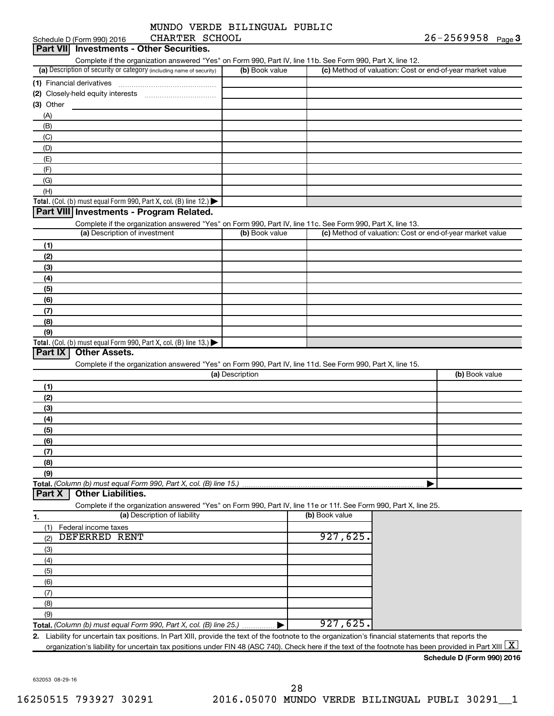|                | MUNDO VERDE BILINGUAL PUBLIC |  |
|----------------|------------------------------|--|
| CHARTER SCHOOL |                              |  |

| Schedule D (Form 990) 2016<br>CHARTER SCHOOL                                                                                                                                    |                 |                | 20-2569958<br>Page 3                                      |
|---------------------------------------------------------------------------------------------------------------------------------------------------------------------------------|-----------------|----------------|-----------------------------------------------------------|
| Part VII Investments - Other Securities.                                                                                                                                        |                 |                |                                                           |
| Complete if the organization answered "Yes" on Form 990, Part IV, line 11b. See Form 990, Part X, line 12.                                                                      |                 |                |                                                           |
| (a) Description of security or category (including name of security)                                                                                                            | (b) Book value  |                | (c) Method of valuation: Cost or end-of-year market value |
| (1) Financial derivatives                                                                                                                                                       |                 |                |                                                           |
|                                                                                                                                                                                 |                 |                |                                                           |
| (3) Other                                                                                                                                                                       |                 |                |                                                           |
| (A)                                                                                                                                                                             |                 |                |                                                           |
| (B)                                                                                                                                                                             |                 |                |                                                           |
| (C)                                                                                                                                                                             |                 |                |                                                           |
| (D)                                                                                                                                                                             |                 |                |                                                           |
| (E)                                                                                                                                                                             |                 |                |                                                           |
| (F)                                                                                                                                                                             |                 |                |                                                           |
| (G)                                                                                                                                                                             |                 |                |                                                           |
| (H)                                                                                                                                                                             |                 |                |                                                           |
| Total. (Col. (b) must equal Form 990, Part X, col. (B) line 12.) $\blacktriangleright$                                                                                          |                 |                |                                                           |
| Part VIII Investments - Program Related.                                                                                                                                        |                 |                |                                                           |
| Complete if the organization answered "Yes" on Form 990, Part IV, line 11c. See Form 990, Part X, line 13.                                                                      |                 |                |                                                           |
| (a) Description of investment                                                                                                                                                   | (b) Book value  |                | (c) Method of valuation: Cost or end-of-year market value |
| (1)                                                                                                                                                                             |                 |                |                                                           |
| (2)                                                                                                                                                                             |                 |                |                                                           |
| (3)                                                                                                                                                                             |                 |                |                                                           |
| (4)                                                                                                                                                                             |                 |                |                                                           |
| (5)                                                                                                                                                                             |                 |                |                                                           |
| (6)                                                                                                                                                                             |                 |                |                                                           |
| (7)                                                                                                                                                                             |                 |                |                                                           |
| (8)                                                                                                                                                                             |                 |                |                                                           |
| (9)                                                                                                                                                                             |                 |                |                                                           |
| Total. (Col. (b) must equal Form 990, Part X, col. (B) line 13.)                                                                                                                |                 |                |                                                           |
| <b>Other Assets.</b><br>Part IX                                                                                                                                                 |                 |                |                                                           |
| Complete if the organization answered "Yes" on Form 990, Part IV, line 11d. See Form 990, Part X, line 15.                                                                      |                 |                |                                                           |
|                                                                                                                                                                                 | (a) Description |                | (b) Book value                                            |
| (1)                                                                                                                                                                             |                 |                |                                                           |
| (2)                                                                                                                                                                             |                 |                |                                                           |
| (3)                                                                                                                                                                             |                 |                |                                                           |
| (4)                                                                                                                                                                             |                 |                |                                                           |
| (5)                                                                                                                                                                             |                 |                |                                                           |
| (6)                                                                                                                                                                             |                 |                |                                                           |
| (7)                                                                                                                                                                             |                 |                |                                                           |
| (8)                                                                                                                                                                             |                 |                |                                                           |
| (9)                                                                                                                                                                             |                 |                |                                                           |
| Total. (Column (b) must equal Form 990, Part X, col. (B) line 15.)                                                                                                              |                 |                |                                                           |
| Part X<br><b>Other Liabilities.</b>                                                                                                                                             |                 |                |                                                           |
| Complete if the organization answered "Yes" on Form 990, Part IV, line 11e or 11f. See Form 990, Part X, line 25.                                                               |                 |                |                                                           |
| (a) Description of liability                                                                                                                                                    |                 | (b) Book value |                                                           |
| 1.<br>Federal income taxes<br>(1)                                                                                                                                               |                 |                |                                                           |
| DEFERRED RENT                                                                                                                                                                   |                 | 927,625.       |                                                           |
| (2)                                                                                                                                                                             |                 |                |                                                           |
| (3)                                                                                                                                                                             |                 |                |                                                           |
| (4)                                                                                                                                                                             |                 |                |                                                           |
| (5)                                                                                                                                                                             |                 |                |                                                           |
| (6)                                                                                                                                                                             |                 |                |                                                           |
| (7)                                                                                                                                                                             |                 |                |                                                           |
| (8)                                                                                                                                                                             |                 |                |                                                           |
| (9)                                                                                                                                                                             |                 |                |                                                           |
| Total. (Column (b) must equal Form 990, Part X, col. (B) line 25.)                                                                                                              |                 | 927,625.       |                                                           |
| Liability for uncertain tax positions. In Part XIII, provide the text of the footnote to the organization's financial statements that reports the<br>2.                         |                 |                |                                                           |
| organization's liability for uncertain tax positions under FIN 48 (ASC 740). Check here if the text of the footnote has been provided in Part XIII $\lfloor \texttt{X} \rfloor$ |                 |                |                                                           |
|                                                                                                                                                                                 |                 |                | Schedule D (Form 990) 2016                                |

632053 08-29-16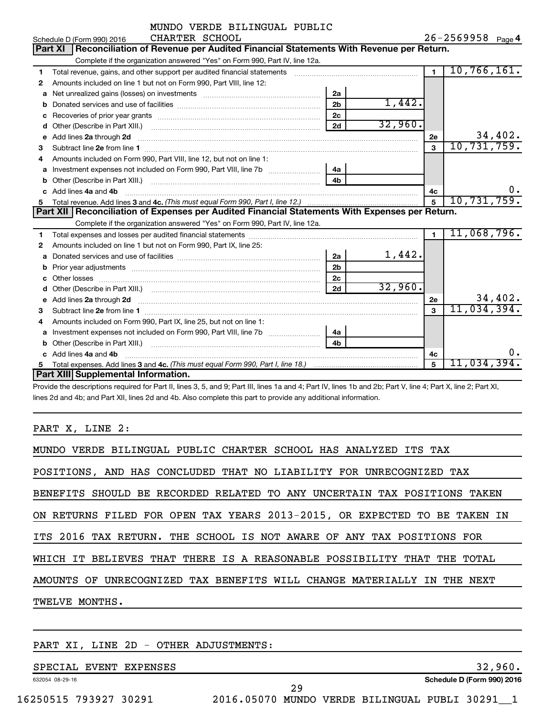|   | MUNDO VERDE BILINGUAL PUBLIC                                                                                                                                                                                                       |                |                       |                |               |  |  |  |
|---|------------------------------------------------------------------------------------------------------------------------------------------------------------------------------------------------------------------------------------|----------------|-----------------------|----------------|---------------|--|--|--|
|   | CHARTER SCHOOL<br>Schedule D (Form 990) 2016                                                                                                                                                                                       |                | $26 - 2569958$ Page 4 |                |               |  |  |  |
|   | Reconciliation of Revenue per Audited Financial Statements With Revenue per Return.<br><b>Part XI</b>                                                                                                                              |                |                       |                |               |  |  |  |
|   | Complete if the organization answered "Yes" on Form 990, Part IV, line 12a.                                                                                                                                                        |                |                       |                |               |  |  |  |
| 1 | Total revenue, gains, and other support per audited financial statements                                                                                                                                                           |                |                       | $\overline{1}$ | 10, 766, 161. |  |  |  |
| 2 | Amounts included on line 1 but not on Form 990, Part VIII, line 12:                                                                                                                                                                |                |                       |                |               |  |  |  |
| a |                                                                                                                                                                                                                                    | 2a             |                       |                |               |  |  |  |
| b |                                                                                                                                                                                                                                    | 2 <sub>b</sub> | 1,442.                |                |               |  |  |  |
|   |                                                                                                                                                                                                                                    | 2c             |                       |                |               |  |  |  |
| d |                                                                                                                                                                                                                                    | 2d             | 32,960.               |                |               |  |  |  |
|   | e Add lines 2a through 2d                                                                                                                                                                                                          |                |                       | 2e             | 34,402.       |  |  |  |
| 3 |                                                                                                                                                                                                                                    |                |                       | 3              | 10, 731, 759. |  |  |  |
| 4 | Amounts included on Form 990, Part VIII, line 12, but not on line 1:                                                                                                                                                               |                |                       |                |               |  |  |  |
| a | Investment expenses not included on Form 990, Part VIII, line 7b [11, 111, 111, 111]                                                                                                                                               | 4a             |                       |                |               |  |  |  |
|   |                                                                                                                                                                                                                                    | 4 <sub>h</sub> |                       |                |               |  |  |  |
|   | Add lines 4a and 4b                                                                                                                                                                                                                |                |                       | 4c             | $0 \cdot$     |  |  |  |
|   |                                                                                                                                                                                                                                    |                |                       |                | 10, 731, 759. |  |  |  |
|   | Part XII   Reconciliation of Expenses per Audited Financial Statements With Expenses per Return.                                                                                                                                   |                |                       |                |               |  |  |  |
|   | Complete if the organization answered "Yes" on Form 990, Part IV, line 12a.                                                                                                                                                        |                |                       |                |               |  |  |  |
| 1 |                                                                                                                                                                                                                                    |                |                       | $\blacksquare$ | 11,068,796.   |  |  |  |
| 2 | Amounts included on line 1 but not on Form 990, Part IX, line 25:                                                                                                                                                                  |                |                       |                |               |  |  |  |
| a |                                                                                                                                                                                                                                    | 2a             | 1,442.                |                |               |  |  |  |
| b |                                                                                                                                                                                                                                    | 2 <sub>b</sub> |                       |                |               |  |  |  |
|   |                                                                                                                                                                                                                                    | 2 <sub>c</sub> |                       |                |               |  |  |  |
|   |                                                                                                                                                                                                                                    | 2d             | 32,960.               |                |               |  |  |  |
| e | Add lines 2a through 2d <b>contained a contained a contained a contained a</b> contained a contained a contained a contained a contained a contact a contact a contact a contact a contact a contact a contact a contact a contact |                |                       | 2е             | 34,402.       |  |  |  |
| 3 |                                                                                                                                                                                                                                    |                |                       | $\mathbf{a}$   | 11,034,394.   |  |  |  |
| 4 | Amounts included on Form 990, Part IX, line 25, but not on line 1:                                                                                                                                                                 |                |                       |                |               |  |  |  |
|   |                                                                                                                                                                                                                                    | 4a             |                       |                |               |  |  |  |
|   |                                                                                                                                                                                                                                    | 4h             |                       |                |               |  |  |  |
|   | c Add lines 4a and 4b                                                                                                                                                                                                              |                |                       | 4c             |               |  |  |  |
|   |                                                                                                                                                                                                                                    |                |                       | 5              | 11,034,394.   |  |  |  |
|   | Part XIII Supplemental Information.                                                                                                                                                                                                |                |                       |                |               |  |  |  |

Provide the descriptions required for Part II, lines 3, 5, and 9; Part III, lines 1a and 4; Part IV, lines 1b and 2b; Part V, line 4; Part X, line 2; Part XI, lines 2d and 4b; and Part XII, lines 2d and 4b. Also complete this part to provide any additional information.

PART X, LINE 2:

| MUNDO VERDE BILINGUAL PUBLIC CHARTER SCHOOL HAS ANALYZED ITS TAX          |
|---------------------------------------------------------------------------|
| POSITIONS, AND HAS CONCLUDED THAT NO LIABILITY FOR UNRECOGNIZED TAX       |
| BENEFITS SHOULD BE RECORDED RELATED TO ANY UNCERTAIN TAX POSITIONS TAKEN  |
| ON RETURNS FILED FOR OPEN TAX YEARS 2013-2015, OR EXPECTED TO BE TAKEN IN |
| ITS 2016 TAX RETURN. THE SCHOOL IS NOT AWARE OF ANY TAX POSITIONS FOR     |
| WHICH IT BELIEVES THAT THERE IS A REASONABLE POSSIBILITY THAT THE TOTAL   |
| AMOUNTS OF UNRECOGNIZED TAX BENEFITS WILL CHANGE MATERIALLY IN THE NEXT   |
| TWELVE MONTHS.                                                            |
|                                                                           |

## PART XI, LINE 2D - OTHER ADJUSTMENTS:

| SPECIAL EVENT<br>EXPENSES | 960.                       |
|---------------------------|----------------------------|
| 632054 08-29-16           | Schedule D (Form 990) 2016 |
|                           | 47                         |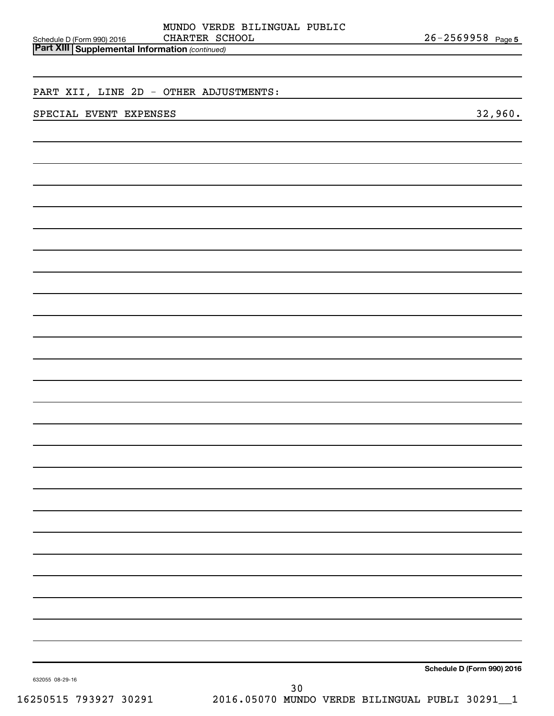|                                                                                                  | MUNDO VERDE BILINGUAL PUBLIC<br>CHARTER SCHOOL | $26 - 2569958$ Page 5      |
|--------------------------------------------------------------------------------------------------|------------------------------------------------|----------------------------|
| Schedule D (Form 990) 2016 CHARTER SC<br><b>Part XIII   Supplemental Information</b> (continued) |                                                |                            |
|                                                                                                  |                                                |                            |
|                                                                                                  | PART XII, LINE 2D - OTHER ADJUSTMENTS:         |                            |
| SPECIAL EVENT EXPENSES                                                                           |                                                | 32,960.                    |
|                                                                                                  |                                                |                            |
|                                                                                                  |                                                |                            |
|                                                                                                  |                                                |                            |
|                                                                                                  |                                                |                            |
|                                                                                                  |                                                |                            |
|                                                                                                  |                                                |                            |
|                                                                                                  |                                                |                            |
|                                                                                                  |                                                |                            |
|                                                                                                  |                                                |                            |
|                                                                                                  |                                                |                            |
|                                                                                                  |                                                |                            |
|                                                                                                  |                                                |                            |
|                                                                                                  |                                                |                            |
|                                                                                                  |                                                |                            |
|                                                                                                  |                                                |                            |
|                                                                                                  |                                                |                            |
|                                                                                                  |                                                |                            |
|                                                                                                  |                                                |                            |
|                                                                                                  |                                                |                            |
|                                                                                                  |                                                |                            |
|                                                                                                  |                                                |                            |
|                                                                                                  |                                                |                            |
|                                                                                                  |                                                |                            |
|                                                                                                  |                                                |                            |
|                                                                                                  |                                                |                            |
|                                                                                                  |                                                |                            |
|                                                                                                  |                                                |                            |
|                                                                                                  |                                                |                            |
|                                                                                                  |                                                |                            |
|                                                                                                  |                                                | Schedule D (Form 990) 2016 |
| 632055 08-29-16                                                                                  | ٩n                                             |                            |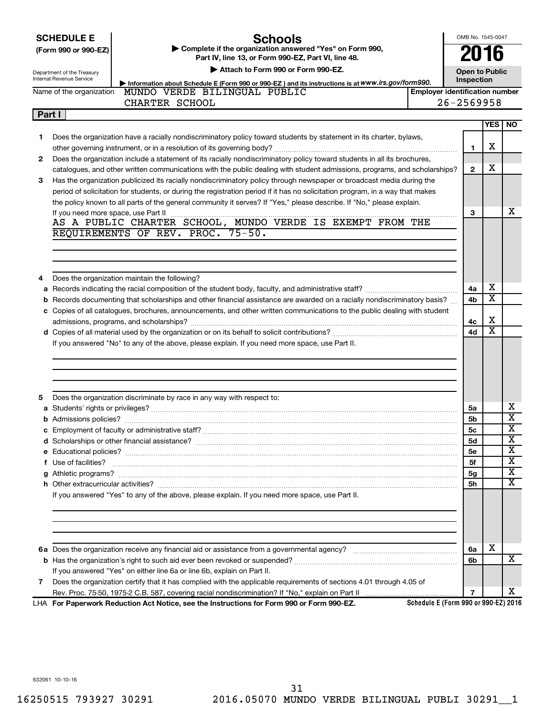| <b>SCHEDULE E</b> |  |  |
|-------------------|--|--|
|                   |  |  |

## **Schools**

**(Form 990 or 990-EZ) | Complete if the organization answered "Yes" on Form 990, Part IV, line 13, or Form 990-EZ, Part VI, line 48.**

|   | Department of the Treasury      | Attach to Form 990 or Form 990-EZ.                                                                                                                                                                                                 |                                       | <b>Open to Public</b> |                         |                              |
|---|---------------------------------|------------------------------------------------------------------------------------------------------------------------------------------------------------------------------------------------------------------------------------|---------------------------------------|-----------------------|-------------------------|------------------------------|
|   | <b>Internal Revenue Service</b> | Information about Schedule E (Form 990 or 990-EZ) and its instructions is at WWW.irs.gov/form990.                                                                                                                                  |                                       | Inspection            |                         |                              |
|   | Name of the organization        | MUNDO VERDE BILINGUAL PUBLIC                                                                                                                                                                                                       | <b>Employer identification number</b> |                       |                         |                              |
|   |                                 | CHARTER SCHOOL                                                                                                                                                                                                                     |                                       | 26-2569958            |                         |                              |
|   | Part I                          |                                                                                                                                                                                                                                    |                                       |                       |                         |                              |
|   |                                 |                                                                                                                                                                                                                                    |                                       |                       | <b>YES</b>              | NO.                          |
| 1 |                                 | Does the organization have a racially nondiscriminatory policy toward students by statement in its charter, bylaws,                                                                                                                |                                       |                       |                         |                              |
|   |                                 |                                                                                                                                                                                                                                    |                                       | $\mathbf{1}$          | х                       |                              |
| 2 |                                 | Does the organization include a statement of its racially nondiscriminatory policy toward students in all its brochures,                                                                                                           |                                       |                       |                         |                              |
|   |                                 | catalogues, and other written communications with the public dealing with student admissions, programs, and scholarships?                                                                                                          |                                       | $\mathbf{2}$          | X                       |                              |
| З |                                 | Has the organization publicized its racially nondiscriminatory policy through newspaper or broadcast media during the                                                                                                              |                                       |                       |                         |                              |
|   |                                 | period of solicitation for students, or during the registration period if it has no solicitation program, in a way that makes                                                                                                      |                                       |                       |                         |                              |
|   |                                 | the policy known to all parts of the general community it serves? If "Yes," please describe. If "No," please explain.                                                                                                              |                                       |                       |                         |                              |
|   |                                 |                                                                                                                                                                                                                                    |                                       | 3                     |                         | х                            |
|   |                                 | AS A PUBLIC CHARTER SCHOOL, MUNDO VERDE IS EXEMPT FROM THE                                                                                                                                                                         |                                       |                       |                         |                              |
|   |                                 | REQUIREMENTS OF REV. PROC. 75-50.                                                                                                                                                                                                  |                                       |                       |                         |                              |
|   |                                 |                                                                                                                                                                                                                                    |                                       |                       |                         |                              |
|   |                                 |                                                                                                                                                                                                                                    |                                       |                       |                         |                              |
|   |                                 |                                                                                                                                                                                                                                    |                                       |                       |                         |                              |
| 4 |                                 | Does the organization maintain the following?                                                                                                                                                                                      |                                       |                       |                         |                              |
|   |                                 |                                                                                                                                                                                                                                    |                                       | 4a                    | х                       |                              |
|   |                                 | b Records documenting that scholarships and other financial assistance are awarded on a racially nondiscriminatory basis?                                                                                                          |                                       | 4 <sub>b</sub>        | X                       |                              |
|   |                                 | c Copies of all catalogues, brochures, announcements, and other written communications to the public dealing with student                                                                                                          |                                       |                       |                         |                              |
|   |                                 |                                                                                                                                                                                                                                    |                                       | 4c                    | х                       |                              |
|   |                                 |                                                                                                                                                                                                                                    |                                       | 4d                    | $\overline{\textbf{x}}$ |                              |
|   |                                 | If you answered "No" to any of the above, please explain. If you need more space, use Part II.                                                                                                                                     |                                       |                       |                         |                              |
|   |                                 |                                                                                                                                                                                                                                    |                                       |                       |                         |                              |
|   |                                 |                                                                                                                                                                                                                                    |                                       |                       |                         |                              |
|   |                                 |                                                                                                                                                                                                                                    |                                       |                       |                         |                              |
|   |                                 |                                                                                                                                                                                                                                    |                                       |                       |                         |                              |
| 5 |                                 | Does the organization discriminate by race in any way with respect to:                                                                                                                                                             |                                       |                       |                         |                              |
|   |                                 |                                                                                                                                                                                                                                    |                                       | 5a                    |                         | х                            |
|   |                                 |                                                                                                                                                                                                                                    |                                       | 5b                    |                         | $\overline{\mathbf{X}}$      |
|   |                                 |                                                                                                                                                                                                                                    |                                       | 5с                    |                         | $\overline{\textbf{x}}$      |
|   |                                 |                                                                                                                                                                                                                                    |                                       | <b>5d</b>             |                         | $\overline{\textbf{x}}$      |
|   |                                 |                                                                                                                                                                                                                                    |                                       | 5e                    |                         | $\overline{\text{x}}$        |
|   |                                 | f Use of facilities? <b>www.communities.</b> We can be a series of the contract of the contract of the contract of the contract of the contract of the contract of the contract of the contract of the contract of the contract of |                                       | 5f                    |                         | $\overline{\text{x}}$        |
|   |                                 |                                                                                                                                                                                                                                    |                                       | 5g                    |                         | $\overline{\mathbf{v}}$<br>A |
|   |                                 |                                                                                                                                                                                                                                    |                                       | 5h                    |                         | $\overline{\textbf{x}}$      |
|   |                                 | If you answered "Yes" to any of the above, please explain. If you need more space, use Part II.                                                                                                                                    |                                       |                       |                         |                              |
|   |                                 |                                                                                                                                                                                                                                    |                                       |                       |                         |                              |
|   |                                 |                                                                                                                                                                                                                                    |                                       |                       |                         |                              |
|   |                                 |                                                                                                                                                                                                                                    |                                       |                       |                         |                              |
|   |                                 |                                                                                                                                                                                                                                    |                                       |                       |                         |                              |
|   |                                 |                                                                                                                                                                                                                                    |                                       | 6а                    | х                       |                              |
|   |                                 |                                                                                                                                                                                                                                    |                                       | 6b                    |                         | x                            |
|   |                                 | If you answered "Yes" on either line 6a or line 6b, explain on Part II.                                                                                                                                                            |                                       |                       |                         |                              |
| 7 |                                 | Does the organization certify that it has complied with the applicable requirements of sections 4.01 through 4.05 of                                                                                                               |                                       |                       |                         |                              |
|   |                                 |                                                                                                                                                                                                                                    |                                       | $\overline{7}$        |                         | х                            |
|   |                                 |                                                                                                                                                                                                                                    |                                       |                       |                         |                              |

**For Paperwork Reduction Act Notice, see the Instructions for Form 990 or Form 990-EZ.** LHA

**Schedule E (Form 990 or 990-EZ) 2016**

OMB No. 1545-0047

**2016**

632061 10-10-16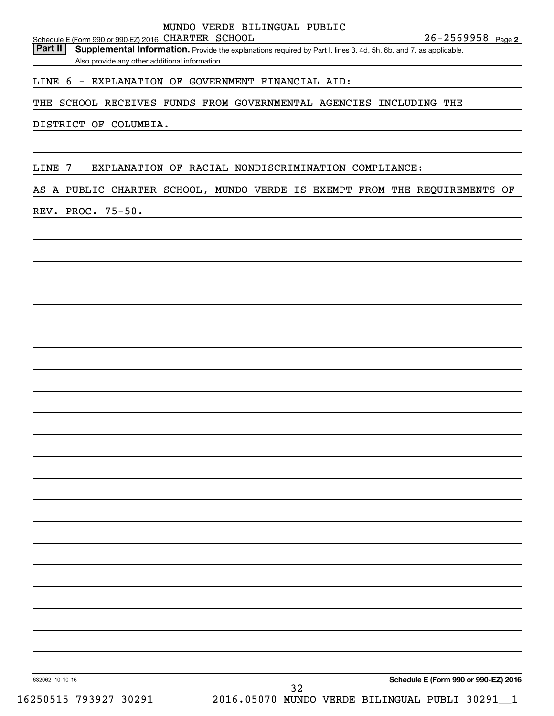26-2569958 Page 2 Schedule E (Form 990 or 990-EZ) 2016 CHARTER SCHOOL  $26-2569958$  Page

Part II | Supplemental Information. Provide the explanations required by Part I, lines 3, 4d, 5h, 6b, and 7, as applicable. Also provide any other additional information.

#### LINE 6 - EXPLANATION OF GOVERNMENT FINANCIAL AID:

#### THE SCHOOL RECEIVES FUNDS FROM GOVERNMENTAL AGENCIES INCLUDING THE

## DISTRICT OF COLUMBIA.

LINE 7 - EXPLANATION OF RACIAL NONDISCRIMINATION COMPLIANCE:

#### AS A PUBLIC CHARTER SCHOOL, MUNDO VERDE IS EXEMPT FROM THE REQUIREMENTS OF

## REV. PROC. 75-50.

**Schedule E (Form 990 or 990-EZ) 2016**

632062 10-10-16

32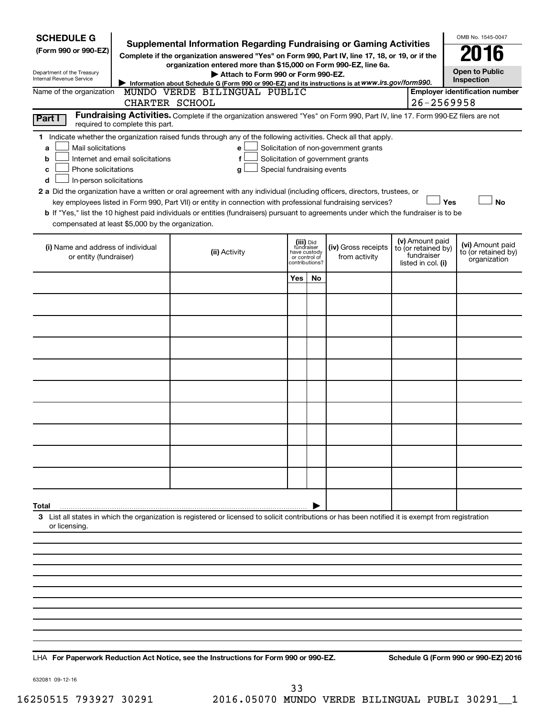| <b>SCHEDULE G</b><br><b>Supplemental Information Regarding Fundraising or Gaming Activities</b><br>(Form 990 or 990-EZ)<br>Complete if the organization answered "Yes" on Form 990, Part IV, line 17, 18, or 19, or if the<br>organization entered more than \$15,000 on Form 990-EZ, line 6a.<br>Department of the Treasury<br>Attach to Form 990 or Form 990-EZ.<br>Internal Revenue Service<br>Information about Schedule G (Form 990 or 990-EZ) and its instructions is at WWW.irs.gov/form990.                                                                                                                                                                                                                                                                                                                                       |                                                                                                                               |                                         |                                 |                                      |  |                                                                            | OMB No. 1545-0047<br><b>Open to Public</b><br>Inspection |
|-------------------------------------------------------------------------------------------------------------------------------------------------------------------------------------------------------------------------------------------------------------------------------------------------------------------------------------------------------------------------------------------------------------------------------------------------------------------------------------------------------------------------------------------------------------------------------------------------------------------------------------------------------------------------------------------------------------------------------------------------------------------------------------------------------------------------------------------|-------------------------------------------------------------------------------------------------------------------------------|-----------------------------------------|---------------------------------|--------------------------------------|--|----------------------------------------------------------------------------|----------------------------------------------------------|
| Name of the organization<br>MUNDO VERDE BILINGUAL PUBLIC<br>26-2569958<br>CHARTER SCHOOL                                                                                                                                                                                                                                                                                                                                                                                                                                                                                                                                                                                                                                                                                                                                                  |                                                                                                                               |                                         |                                 |                                      |  |                                                                            | <b>Employer identification number</b>                    |
| Part I<br>required to complete this part.                                                                                                                                                                                                                                                                                                                                                                                                                                                                                                                                                                                                                                                                                                                                                                                                 | Fundraising Activities. Complete if the organization answered "Yes" on Form 990, Part IV, line 17. Form 990-EZ filers are not |                                         |                                 |                                      |  |                                                                            |                                                          |
| 1 Indicate whether the organization raised funds through any of the following activities. Check all that apply.<br>Mail solicitations<br>Solicitation of non-government grants<br>a<br>е<br>Internet and email solicitations<br>Solicitation of government grants<br>b<br>f<br>Phone solicitations<br>Special fundraising events<br>с<br>g<br>In-person solicitations<br>d<br>2 a Did the organization have a written or oral agreement with any individual (including officers, directors, trustees, or<br><b>No</b><br>key employees listed in Form 990, Part VII) or entity in connection with professional fundraising services?<br>Yes<br>b If "Yes," list the 10 highest paid individuals or entities (fundraisers) pursuant to agreements under which the fundraiser is to be<br>compensated at least \$5,000 by the organization. |                                                                                                                               |                                         |                                 |                                      |  |                                                                            |                                                          |
| (i) Name and address of individual<br>or entity (fundraiser)                                                                                                                                                                                                                                                                                                                                                                                                                                                                                                                                                                                                                                                                                                                                                                              | (ii) Activity                                                                                                                 | (iii) Did<br>fundraiser<br>have custody | or control of<br>contributions? | (iv) Gross receipts<br>from activity |  | (v) Amount paid<br>to (or retained by)<br>fundraiser<br>listed in col. (i) | (vi) Amount paid<br>to (or retained by)<br>organization  |
|                                                                                                                                                                                                                                                                                                                                                                                                                                                                                                                                                                                                                                                                                                                                                                                                                                           |                                                                                                                               | Yes                                     | No                              |                                      |  |                                                                            |                                                          |
|                                                                                                                                                                                                                                                                                                                                                                                                                                                                                                                                                                                                                                                                                                                                                                                                                                           |                                                                                                                               |                                         |                                 |                                      |  |                                                                            |                                                          |
|                                                                                                                                                                                                                                                                                                                                                                                                                                                                                                                                                                                                                                                                                                                                                                                                                                           |                                                                                                                               |                                         |                                 |                                      |  |                                                                            |                                                          |
|                                                                                                                                                                                                                                                                                                                                                                                                                                                                                                                                                                                                                                                                                                                                                                                                                                           |                                                                                                                               |                                         |                                 |                                      |  |                                                                            |                                                          |
|                                                                                                                                                                                                                                                                                                                                                                                                                                                                                                                                                                                                                                                                                                                                                                                                                                           |                                                                                                                               |                                         |                                 |                                      |  |                                                                            |                                                          |
|                                                                                                                                                                                                                                                                                                                                                                                                                                                                                                                                                                                                                                                                                                                                                                                                                                           |                                                                                                                               |                                         |                                 |                                      |  |                                                                            |                                                          |
|                                                                                                                                                                                                                                                                                                                                                                                                                                                                                                                                                                                                                                                                                                                                                                                                                                           |                                                                                                                               |                                         |                                 |                                      |  |                                                                            |                                                          |
|                                                                                                                                                                                                                                                                                                                                                                                                                                                                                                                                                                                                                                                                                                                                                                                                                                           |                                                                                                                               |                                         |                                 |                                      |  |                                                                            |                                                          |
|                                                                                                                                                                                                                                                                                                                                                                                                                                                                                                                                                                                                                                                                                                                                                                                                                                           |                                                                                                                               |                                         |                                 |                                      |  |                                                                            |                                                          |
|                                                                                                                                                                                                                                                                                                                                                                                                                                                                                                                                                                                                                                                                                                                                                                                                                                           |                                                                                                                               |                                         |                                 |                                      |  |                                                                            |                                                          |
| Total                                                                                                                                                                                                                                                                                                                                                                                                                                                                                                                                                                                                                                                                                                                                                                                                                                     |                                                                                                                               |                                         |                                 |                                      |  |                                                                            |                                                          |
| 3 List all states in which the organization is registered or licensed to solicit contributions or has been notified it is exempt from registration<br>or licensing.                                                                                                                                                                                                                                                                                                                                                                                                                                                                                                                                                                                                                                                                       |                                                                                                                               |                                         |                                 |                                      |  |                                                                            |                                                          |
|                                                                                                                                                                                                                                                                                                                                                                                                                                                                                                                                                                                                                                                                                                                                                                                                                                           |                                                                                                                               |                                         |                                 |                                      |  |                                                                            |                                                          |
|                                                                                                                                                                                                                                                                                                                                                                                                                                                                                                                                                                                                                                                                                                                                                                                                                                           |                                                                                                                               |                                         |                                 |                                      |  |                                                                            |                                                          |
|                                                                                                                                                                                                                                                                                                                                                                                                                                                                                                                                                                                                                                                                                                                                                                                                                                           |                                                                                                                               |                                         |                                 |                                      |  |                                                                            |                                                          |
|                                                                                                                                                                                                                                                                                                                                                                                                                                                                                                                                                                                                                                                                                                                                                                                                                                           |                                                                                                                               |                                         |                                 |                                      |  |                                                                            |                                                          |
|                                                                                                                                                                                                                                                                                                                                                                                                                                                                                                                                                                                                                                                                                                                                                                                                                                           |                                                                                                                               |                                         |                                 |                                      |  |                                                                            |                                                          |
|                                                                                                                                                                                                                                                                                                                                                                                                                                                                                                                                                                                                                                                                                                                                                                                                                                           |                                                                                                                               |                                         |                                 |                                      |  |                                                                            |                                                          |

**For Paperwork Reduction Act Notice, see the Instructions for Form 990 or 990-EZ. Schedule G (Form 990 or 990-EZ) 2016** LHA

632081 09-12-16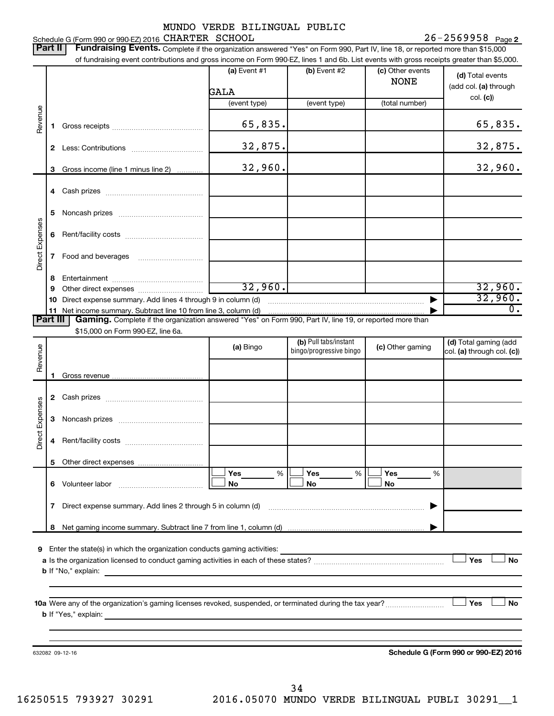26-2569958 Page 2 Schedule G (Form 990 or 990-EZ) 2016 CHARTER SCHOOL  $26-2569958$  Page

| <b>Part II</b>  |         | Fundraising Events. Complete if the organization answered "Yes" on Form 990, Part IV, line 18, or reported more than \$15,000                                                                                                                                                                                                                                                                                                                                     |                      |                         |                                 |                                           |
|-----------------|---------|-------------------------------------------------------------------------------------------------------------------------------------------------------------------------------------------------------------------------------------------------------------------------------------------------------------------------------------------------------------------------------------------------------------------------------------------------------------------|----------------------|-------------------------|---------------------------------|-------------------------------------------|
|                 |         | of fundraising event contributions and gross income on Form 990-EZ, lines 1 and 6b. List events with gross receipts greater than \$5,000.                                                                                                                                                                                                                                                                                                                         | (a) Event #1<br>GALA | $(b)$ Event #2          | (c) Other events<br><b>NONE</b> | (d) Total events<br>(add col. (a) through |
|                 |         |                                                                                                                                                                                                                                                                                                                                                                                                                                                                   | (event type)         | (event type)            | (total number)                  | col. (c)                                  |
| Revenue         | 1.      |                                                                                                                                                                                                                                                                                                                                                                                                                                                                   | 65,835.              |                         |                                 | 65,835.                                   |
|                 | 2       |                                                                                                                                                                                                                                                                                                                                                                                                                                                                   | 32,875.              |                         |                                 | 32,875.                                   |
|                 | 3       | Gross income (line 1 minus line 2)                                                                                                                                                                                                                                                                                                                                                                                                                                | 32,960.              |                         |                                 | 32,960.                                   |
|                 |         |                                                                                                                                                                                                                                                                                                                                                                                                                                                                   |                      |                         |                                 |                                           |
|                 | 5       |                                                                                                                                                                                                                                                                                                                                                                                                                                                                   |                      |                         |                                 |                                           |
| Direct Expenses | 6       |                                                                                                                                                                                                                                                                                                                                                                                                                                                                   |                      |                         |                                 |                                           |
|                 | 7       |                                                                                                                                                                                                                                                                                                                                                                                                                                                                   |                      |                         |                                 |                                           |
|                 | 8       |                                                                                                                                                                                                                                                                                                                                                                                                                                                                   | 32,960.              |                         |                                 | 32,960.                                   |
|                 | 9<br>10 | Other direct expenses <i>manually contained</i>                                                                                                                                                                                                                                                                                                                                                                                                                   |                      |                         |                                 | 32,960.                                   |
|                 |         | 11 Net income summary. Subtract line 10 from line 3, column (d)                                                                                                                                                                                                                                                                                                                                                                                                   |                      |                         |                                 | $\overline{0}$ .                          |
| <b>Part III</b> |         | Gaming. Complete if the organization answered "Yes" on Form 990, Part IV, line 19, or reported more than<br>\$15,000 on Form 990-EZ, line 6a.                                                                                                                                                                                                                                                                                                                     |                      |                         |                                 |                                           |
|                 |         |                                                                                                                                                                                                                                                                                                                                                                                                                                                                   |                      | (b) Pull tabs/instant   |                                 | (d) Total gaming (add                     |
| Revenue         |         |                                                                                                                                                                                                                                                                                                                                                                                                                                                                   | (a) Bingo            | bingo/progressive bingo | (c) Other gaming                | col. (a) through col. (c))                |
|                 | 1       |                                                                                                                                                                                                                                                                                                                                                                                                                                                                   |                      |                         |                                 |                                           |
|                 |         |                                                                                                                                                                                                                                                                                                                                                                                                                                                                   |                      |                         |                                 |                                           |
|                 | 3       |                                                                                                                                                                                                                                                                                                                                                                                                                                                                   |                      |                         |                                 |                                           |
| Direct Expenses | 4       |                                                                                                                                                                                                                                                                                                                                                                                                                                                                   |                      |                         |                                 |                                           |
|                 |         |                                                                                                                                                                                                                                                                                                                                                                                                                                                                   |                      |                         |                                 |                                           |
|                 |         |                                                                                                                                                                                                                                                                                                                                                                                                                                                                   | Yes<br>%<br>No       | Yes<br>%<br>No          | Yes<br>%<br>No                  |                                           |
|                 | 7       | Direct expense summary. Add lines 2 through 5 in column (d)                                                                                                                                                                                                                                                                                                                                                                                                       |                      |                         |                                 |                                           |
|                 | 8       |                                                                                                                                                                                                                                                                                                                                                                                                                                                                   |                      |                         |                                 |                                           |
| 9               |         | Enter the state(s) in which the organization conducts gaming activities:<br><b>b</b> If "No," explain: <u>contract and a set of the set of the set of the set of the set of the set of the set of the set of the set of the set of the set of the set of the set of the set of the set of the set of the set of t</u><br>10a Were any of the organization's gaming licenses revoked, suspended, or terminated during the tax year?<br><b>b</b> If "Yes," explain: |                      |                         |                                 | Yes<br><b>No</b><br><b>No</b><br>Yes      |
|                 |         |                                                                                                                                                                                                                                                                                                                                                                                                                                                                   |                      |                         |                                 |                                           |
|                 |         | 632082 09-12-16                                                                                                                                                                                                                                                                                                                                                                                                                                                   |                      |                         |                                 | Schedule G (Form 990 or 990-EZ) 2016      |

34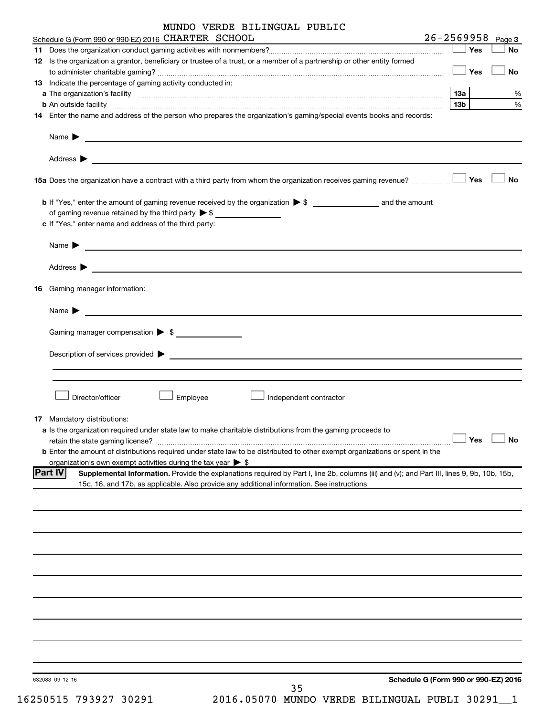| MUNDO VERDE BILINGUAL PUBLIC |  |  |  |  |
|------------------------------|--|--|--|--|
|------------------------------|--|--|--|--|

|     | Schedule G (Form 990 or 990-EZ) 2016 CHARTER SCHOOL                                                                                                                                                                                                                | $26 - 2569958$ Page 3                |           |
|-----|--------------------------------------------------------------------------------------------------------------------------------------------------------------------------------------------------------------------------------------------------------------------|--------------------------------------|-----------|
| 11. |                                                                                                                                                                                                                                                                    | <b>」Yes</b>                          | No        |
|     | 12 Is the organization a grantor, beneficiary or trustee of a trust, or a member of a partnership or other entity formed                                                                                                                                           | <b>」Yes</b>                          | No        |
|     | <b>13</b> Indicate the percentage of gaming activity conducted in:                                                                                                                                                                                                 |                                      |           |
|     |                                                                                                                                                                                                                                                                    | 13a                                  | %         |
|     |                                                                                                                                                                                                                                                                    | 13 <sub>b</sub>                      | $\%$      |
|     | 14 Enter the name and address of the person who prepares the organization's gaming/special events books and records:                                                                                                                                               |                                      |           |
|     | Name $\blacktriangleright$<br><u>and the state of the state of the state of the state of the state of the state of the state of the state of the state of the state of the state of the state of the state of the state of the state of the state of the state</u> |                                      |           |
|     |                                                                                                                                                                                                                                                                    |                                      |           |
|     |                                                                                                                                                                                                                                                                    |                                      | <b>No</b> |
|     | of gaming revenue retained by the third party $\triangleright$ \$                                                                                                                                                                                                  |                                      |           |
|     | c If "Yes," enter name and address of the third party:                                                                                                                                                                                                             |                                      |           |
|     | Name $\blacktriangleright$ $\blacksquare$                                                                                                                                                                                                                          |                                      |           |
|     |                                                                                                                                                                                                                                                                    |                                      |           |
| 16  | Gaming manager information:                                                                                                                                                                                                                                        |                                      |           |
|     | Name $\blacktriangleright$                                                                                                                                                                                                                                         |                                      |           |
|     | Gaming manager compensation > \$                                                                                                                                                                                                                                   |                                      |           |
|     | Description of services provided > example and the contract of the contract of the contract of the contract of                                                                                                                                                     |                                      |           |
|     |                                                                                                                                                                                                                                                                    |                                      |           |
|     | Director/officer<br>Employee<br>Independent contractor                                                                                                                                                                                                             |                                      |           |
|     | <b>17</b> Mandatory distributions:                                                                                                                                                                                                                                 |                                      |           |
|     | <b>a</b> Is the organization required under state law to make charitable distributions from the gaming proceeds to<br>retain the state gaming license?                                                                                                             | $\Box$ Yes $\quad \Box$              | $\Box$ No |
|     | <b>b</b> Enter the amount of distributions required under state law to be distributed to other exempt organizations or spent in the<br>organization's own exempt activities during the tax year $\triangleright$ \$                                                |                                      |           |
|     | Part IV<br>Supplemental Information. Provide the explanations required by Part I, line 2b, columns (iii) and (v); and Part III, lines 9, 9b, 10b, 15b,<br>15c, 16, and 17b, as applicable. Also provide any additional information. See instructions               |                                      |           |
|     |                                                                                                                                                                                                                                                                    |                                      |           |
|     |                                                                                                                                                                                                                                                                    |                                      |           |
|     |                                                                                                                                                                                                                                                                    |                                      |           |
|     |                                                                                                                                                                                                                                                                    |                                      |           |
|     |                                                                                                                                                                                                                                                                    |                                      |           |
|     |                                                                                                                                                                                                                                                                    |                                      |           |
|     |                                                                                                                                                                                                                                                                    |                                      |           |
|     |                                                                                                                                                                                                                                                                    |                                      |           |
|     |                                                                                                                                                                                                                                                                    |                                      |           |
|     | 632083 09-12-16                                                                                                                                                                                                                                                    | Schedule G (Form 990 or 990-EZ) 2016 |           |

16250515 793927 30291 2016.05070 MUNDO VERDE BILINGUAL PUBLI 30291\_\_1 35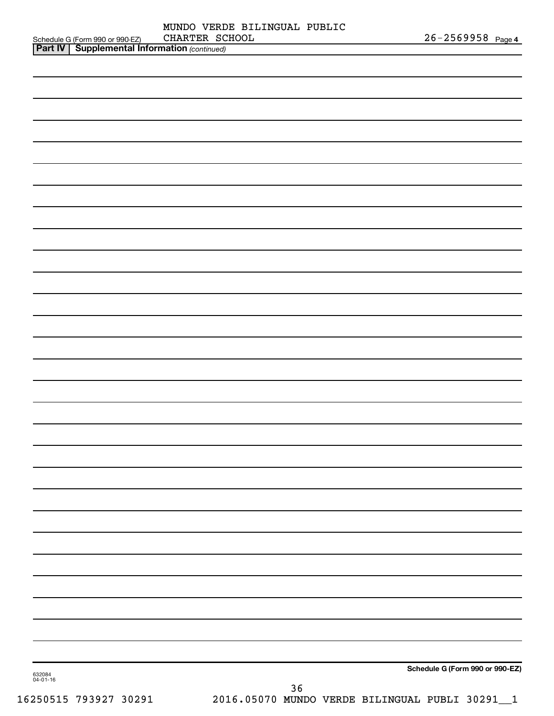|                                 | MUNDO VERDE BILINGUAL PUBLIC |                       |
|---------------------------------|------------------------------|-----------------------|
| Schedule G (Form 990 or 990-EZ) | CHARTER SCHOOL               | $26 - 2569958$ Page 4 |
|                                 |                              |                       |

|                    | <b>Part IV   Supplemental Information (continued)</b> |    |                                 |
|--------------------|-------------------------------------------------------|----|---------------------------------|
|                    |                                                       |    |                                 |
|                    |                                                       |    |                                 |
|                    |                                                       |    |                                 |
|                    |                                                       |    |                                 |
|                    |                                                       |    |                                 |
|                    |                                                       |    |                                 |
|                    |                                                       |    |                                 |
|                    |                                                       |    |                                 |
|                    |                                                       |    |                                 |
|                    |                                                       |    |                                 |
|                    |                                                       |    |                                 |
|                    |                                                       |    |                                 |
|                    |                                                       |    |                                 |
|                    |                                                       |    |                                 |
|                    |                                                       |    |                                 |
|                    |                                                       |    |                                 |
|                    |                                                       |    |                                 |
|                    |                                                       |    |                                 |
|                    |                                                       |    |                                 |
|                    |                                                       |    |                                 |
|                    |                                                       |    |                                 |
|                    |                                                       |    |                                 |
|                    |                                                       |    |                                 |
|                    |                                                       |    |                                 |
|                    |                                                       |    |                                 |
|                    |                                                       |    |                                 |
|                    |                                                       |    |                                 |
|                    |                                                       |    |                                 |
|                    |                                                       |    | Schedule G (Form 990 or 990-EZ) |
| 632084<br>04-01-16 |                                                       | 2C |                                 |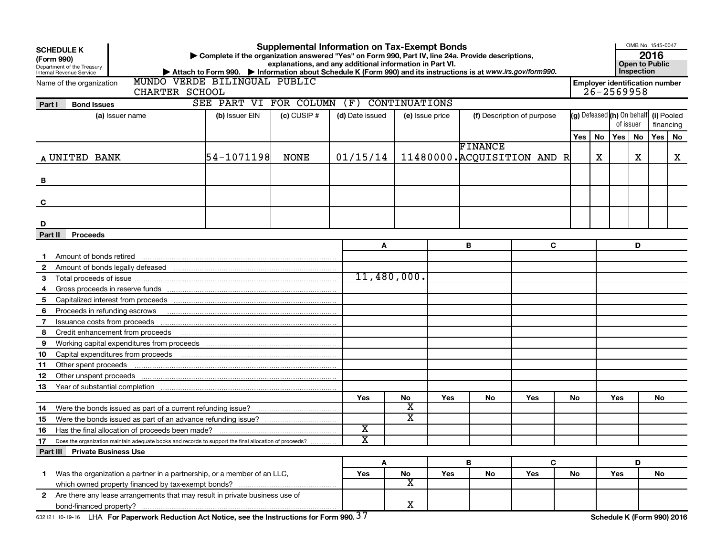| (Form 990)                  | <b>Supplemental Information on Tax-Exempt Bonds</b><br><b>SCHEDULE K</b><br>Complete if the organization answered "Yes" on Form 990, Part IV, line 24a. Provide descriptions,<br>explanations, and any additional information in Part VI.<br>Department of the Treasury<br>▶ Attach to Form 990. ▶ Information about Schedule K (Form 990) and its instructions is at www.irs.gov/form990.<br>Internal Revenue Service |                        |             |                       |               |                 |         |                             |           |          |                                                         | Inspection | OMB No. 1545-0047<br>2016<br><b>Open to Public</b> |    |
|-----------------------------|------------------------------------------------------------------------------------------------------------------------------------------------------------------------------------------------------------------------------------------------------------------------------------------------------------------------------------------------------------------------------------------------------------------------|------------------------|-------------|-----------------------|---------------|-----------------|---------|-----------------------------|-----------|----------|---------------------------------------------------------|------------|----------------------------------------------------|----|
|                             | MUNDO VERDE BILINGUAL PUBLIC<br>Name of the organization<br>CHARTER SCHOOL                                                                                                                                                                                                                                                                                                                                             |                        |             |                       |               |                 |         |                             |           |          | <b>Employer identification number</b><br>$26 - 2569958$ |            |                                                    |    |
| Part I                      | <b>Bond Issues</b>                                                                                                                                                                                                                                                                                                                                                                                                     | SEE PART VI FOR COLUMN |             | (F)                   | CONTINUATIONS |                 |         |                             |           |          |                                                         |            |                                                    |    |
|                             | $(c)$ CUSIP $#$<br>(a) Issuer name<br>(b) Issuer EIN                                                                                                                                                                                                                                                                                                                                                                   |                        |             |                       |               | (e) Issue price |         | (f) Description of purpose  |           |          | (g) Defeased (h) On behalf<br>of issuer                 |            | (i) Pooled<br>financing                            |    |
|                             |                                                                                                                                                                                                                                                                                                                                                                                                                        |                        |             |                       |               |                 |         |                             |           | Yes   No | Yes   No                                                |            | Yes                                                | No |
|                             |                                                                                                                                                                                                                                                                                                                                                                                                                        |                        |             |                       |               |                 | FINANCE |                             |           |          |                                                         |            |                                                    |    |
|                             | A UNITED BANK                                                                                                                                                                                                                                                                                                                                                                                                          | 54-1071198             | <b>NONE</b> | 01/15/14              |               |                 |         | 11480000. ACQUISITION AND R |           | х        |                                                         | x          |                                                    | X  |
| в                           |                                                                                                                                                                                                                                                                                                                                                                                                                        |                        |             |                       |               |                 |         |                             |           |          |                                                         |            |                                                    |    |
|                             |                                                                                                                                                                                                                                                                                                                                                                                                                        |                        |             |                       |               |                 |         |                             |           |          |                                                         |            |                                                    |    |
| C                           |                                                                                                                                                                                                                                                                                                                                                                                                                        |                        |             |                       |               |                 |         |                             |           |          |                                                         |            |                                                    |    |
|                             |                                                                                                                                                                                                                                                                                                                                                                                                                        |                        |             |                       |               |                 |         |                             |           |          |                                                         |            |                                                    |    |
| D                           |                                                                                                                                                                                                                                                                                                                                                                                                                        |                        |             |                       |               |                 |         |                             |           |          |                                                         |            |                                                    |    |
| Part II                     | Proceeds                                                                                                                                                                                                                                                                                                                                                                                                               |                        |             |                       |               |                 |         |                             |           |          |                                                         |            |                                                    |    |
|                             |                                                                                                                                                                                                                                                                                                                                                                                                                        |                        |             | Α                     |               |                 | В       | C                           |           |          |                                                         | D          |                                                    |    |
| $\mathbf 1$<br>$\mathbf{2}$ | Amount of bonds retired                                                                                                                                                                                                                                                                                                                                                                                                |                        |             |                       |               |                 |         |                             |           |          |                                                         |            |                                                    |    |
| 3                           |                                                                                                                                                                                                                                                                                                                                                                                                                        |                        |             |                       | 11,480,000.   |                 |         |                             |           |          |                                                         |            |                                                    |    |
| 4                           |                                                                                                                                                                                                                                                                                                                                                                                                                        |                        |             |                       |               |                 |         |                             |           |          |                                                         |            |                                                    |    |
| 5                           |                                                                                                                                                                                                                                                                                                                                                                                                                        |                        |             |                       |               |                 |         |                             |           |          |                                                         |            |                                                    |    |
| 6                           | Proceeds in refunding escrows                                                                                                                                                                                                                                                                                                                                                                                          |                        |             |                       |               |                 |         |                             |           |          |                                                         |            |                                                    |    |
| 7                           | Issuance costs from proceeds                                                                                                                                                                                                                                                                                                                                                                                           |                        |             |                       |               |                 |         |                             |           |          |                                                         |            |                                                    |    |
| 8                           | Credit enhancement from proceeds                                                                                                                                                                                                                                                                                                                                                                                       |                        |             |                       |               |                 |         |                             |           |          |                                                         |            |                                                    |    |
| 9                           |                                                                                                                                                                                                                                                                                                                                                                                                                        |                        |             |                       |               |                 |         |                             |           |          |                                                         |            |                                                    |    |
| 10                          |                                                                                                                                                                                                                                                                                                                                                                                                                        |                        |             |                       |               |                 |         |                             |           |          |                                                         |            |                                                    |    |
| 11                          | Other spent proceeds                                                                                                                                                                                                                                                                                                                                                                                                   |                        |             |                       |               |                 |         |                             |           |          |                                                         |            |                                                    |    |
| 12                          |                                                                                                                                                                                                                                                                                                                                                                                                                        |                        |             |                       |               |                 |         |                             |           |          |                                                         |            |                                                    |    |
| 13                          |                                                                                                                                                                                                                                                                                                                                                                                                                        |                        |             |                       |               |                 |         |                             |           |          |                                                         |            |                                                    |    |
|                             |                                                                                                                                                                                                                                                                                                                                                                                                                        |                        |             | Yes                   | No            | Yes             | No      | Yes                         | <b>No</b> |          | Yes                                                     |            | No                                                 |    |
| 14                          |                                                                                                                                                                                                                                                                                                                                                                                                                        |                        |             |                       | х             |                 |         |                             |           |          |                                                         |            |                                                    |    |
| 15                          |                                                                                                                                                                                                                                                                                                                                                                                                                        |                        |             |                       | X             |                 |         |                             |           |          |                                                         |            |                                                    |    |
| 16                          |                                                                                                                                                                                                                                                                                                                                                                                                                        | х                      |             |                       |               |                 |         |                             |           |          |                                                         |            |                                                    |    |
| 17                          | Does the organization maintain adequate books and records to support the final allocation of proceeds?                                                                                                                                                                                                                                                                                                                 |                        |             | $\overline{\text{x}}$ |               |                 |         |                             |           |          |                                                         |            |                                                    |    |
|                             | <b>Part III Private Business Use</b>                                                                                                                                                                                                                                                                                                                                                                                   |                        |             |                       |               |                 |         |                             |           |          |                                                         |            |                                                    |    |
|                             |                                                                                                                                                                                                                                                                                                                                                                                                                        |                        |             | A                     |               |                 | B       | C                           |           |          |                                                         | D          |                                                    |    |
| 1.                          | Was the organization a partner in a partnership, or a member of an LLC,                                                                                                                                                                                                                                                                                                                                                |                        |             | Yes                   | No            | Yes             | No      | Yes                         | No        |          | Yes                                                     |            | No                                                 |    |
|                             |                                                                                                                                                                                                                                                                                                                                                                                                                        |                        |             |                       | х             |                 |         |                             |           |          |                                                         |            |                                                    |    |
|                             | 2 Are there any lease arrangements that may result in private business use of                                                                                                                                                                                                                                                                                                                                          |                        |             |                       |               |                 |         |                             |           |          |                                                         |            |                                                    |    |
|                             |                                                                                                                                                                                                                                                                                                                                                                                                                        |                        |             |                       | X             |                 |         |                             |           |          |                                                         |            |                                                    |    |
|                             | 632121 10-19-16 LHA For Paperwork Reduction Act Notice, see the Instructions for Form 990. 37                                                                                                                                                                                                                                                                                                                          |                        |             |                       |               |                 |         |                             |           |          | Schedule K (Form 990) 2016                              |            |                                                    |    |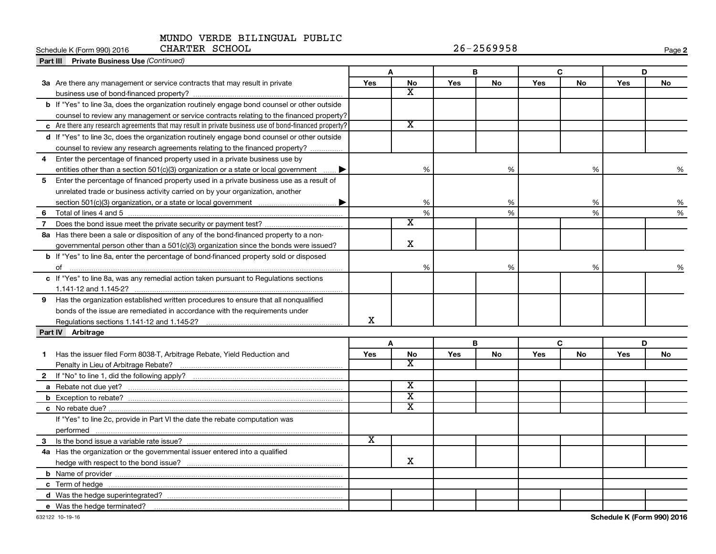#### MUNDO VERDE BILINGUAL PUBLIC CHARTER SCHOOL 26-2569958

| CHARTER SCHOOL<br>Schedule K (Form 990) 2016                                                           |                         |                         |     | $26 - 2569958$ |     |    |     | Page 2    |
|--------------------------------------------------------------------------------------------------------|-------------------------|-------------------------|-----|----------------|-----|----|-----|-----------|
| Part III Private Business Use (Continued)                                                              |                         |                         |     |                |     |    |     |           |
|                                                                                                        |                         | A                       |     | в              | C   |    |     | D         |
| 3a Are there any management or service contracts that may result in private                            | Yes                     | <b>No</b>               | Yes | <b>No</b>      | Yes | No | Yes | <b>No</b> |
|                                                                                                        |                         | $\overline{\mathbf{X}}$ |     |                |     |    |     |           |
| b If "Yes" to line 3a, does the organization routinely engage bond counsel or other outside            |                         |                         |     |                |     |    |     |           |
| counsel to review any management or service contracts relating to the financed property?               |                         |                         |     |                |     |    |     |           |
| c Are there any research agreements that may result in private business use of bond-financed property? |                         | X                       |     |                |     |    |     |           |
| d If "Yes" to line 3c, does the organization routinely engage bond counsel or other outside            |                         |                         |     |                |     |    |     |           |
| counsel to review any research agreements relating to the financed property?                           |                         |                         |     |                |     |    |     |           |
| Enter the percentage of financed property used in a private business use by<br>4                       |                         |                         |     |                |     |    |     |           |
| entities other than a section 501(c)(3) organization or a state or local government $\ldots$ .         |                         | %                       |     | %              |     | %  |     | %         |
| Enter the percentage of financed property used in a private business use as a result of<br>5           |                         |                         |     |                |     |    |     |           |
| unrelated trade or business activity carried on by your organization, another                          |                         |                         |     |                |     |    |     |           |
|                                                                                                        |                         | %                       |     | %              |     | %  |     | %         |
|                                                                                                        |                         | $\%$                    |     | %              |     | %  |     | %         |
| 7                                                                                                      |                         | $\overline{\mathtt{x}}$ |     |                |     |    |     |           |
| 8a Has there been a sale or disposition of any of the bond-financed property to a non-                 |                         |                         |     |                |     |    |     |           |
| governmental person other than a 501(c)(3) organization since the bonds were issued?                   |                         | $\mathbf X$             |     |                |     |    |     |           |
| <b>b</b> If "Yes" to line 8a, enter the percentage of bond-financed property sold or disposed          |                         |                         |     |                |     |    |     |           |
|                                                                                                        |                         | %                       |     | %              |     | %  |     | %         |
| c If "Yes" to line 8a, was any remedial action taken pursuant to Regulations sections                  |                         |                         |     |                |     |    |     |           |
|                                                                                                        |                         |                         |     |                |     |    |     |           |
| 9 Has the organization established written procedures to ensure that all nonqualified                  |                         |                         |     |                |     |    |     |           |
| bonds of the issue are remediated in accordance with the requirements under                            |                         |                         |     |                |     |    |     |           |
| Regulations sections 1.141-12 and 1.145-2?                                                             | X                       |                         |     |                |     |    |     |           |
| Part IV Arbitrage                                                                                      |                         |                         |     |                |     |    |     |           |
|                                                                                                        |                         | A                       |     | B              |     | C  | D   |           |
| Has the issuer filed Form 8038-T, Arbitrage Rebate, Yield Reduction and                                | Yes                     | No                      | Yes | <b>No</b>      | Yes | No | Yes | No        |
|                                                                                                        |                         | x                       |     |                |     |    |     |           |
|                                                                                                        |                         |                         |     |                |     |    |     |           |
|                                                                                                        |                         | $\overline{\text{x}}$   |     |                |     |    |     |           |
|                                                                                                        |                         | $\overline{\mathbf{X}}$ |     |                |     |    |     |           |
|                                                                                                        |                         | x                       |     |                |     |    |     |           |
| If "Yes" to line 2c, provide in Part VI the date the rebate computation was                            |                         |                         |     |                |     |    |     |           |
|                                                                                                        |                         |                         |     |                |     |    |     |           |
| 3                                                                                                      | $\overline{\textbf{x}}$ |                         |     |                |     |    |     |           |
| 4a Has the organization or the governmental issuer entered into a qualified                            |                         |                         |     |                |     |    |     |           |
|                                                                                                        |                         | X.                      |     |                |     |    |     |           |
|                                                                                                        |                         |                         |     |                |     |    |     |           |
|                                                                                                        |                         |                         |     |                |     |    |     |           |
|                                                                                                        |                         |                         |     |                |     |    |     |           |
| e Was the hedge terminated?                                                                            |                         |                         |     |                |     |    |     |           |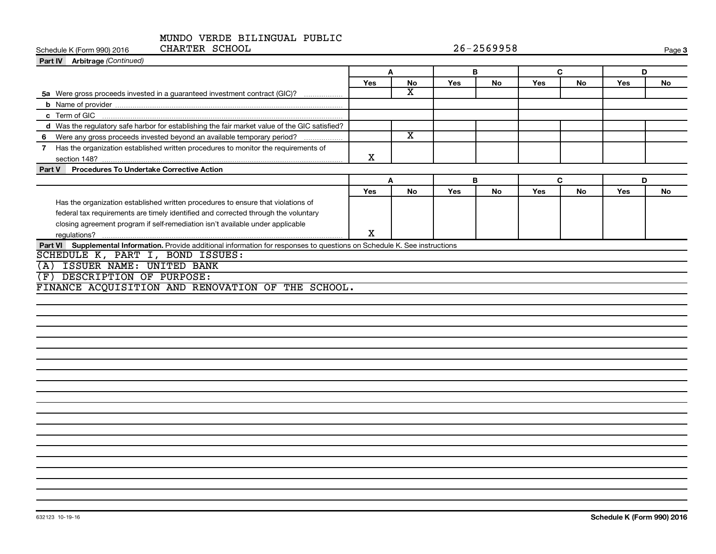| CHARTER SCHOOL<br>Schedule K (Form 990) 2016                                                  |                                                                                                                                                                                                                                                                                                                                                                                                                                                                                                                                                                                                    |    |     |    |     |    |     | Page 3 |
|-----------------------------------------------------------------------------------------------|----------------------------------------------------------------------------------------------------------------------------------------------------------------------------------------------------------------------------------------------------------------------------------------------------------------------------------------------------------------------------------------------------------------------------------------------------------------------------------------------------------------------------------------------------------------------------------------------------|----|-----|----|-----|----|-----|--------|
| Part IV Arbitrage (Continued)                                                                 |                                                                                                                                                                                                                                                                                                                                                                                                                                                                                                                                                                                                    |    |     |    |     |    |     |        |
|                                                                                               |                                                                                                                                                                                                                                                                                                                                                                                                                                                                                                                                                                                                    |    |     |    |     |    |     | D      |
|                                                                                               | Yes                                                                                                                                                                                                                                                                                                                                                                                                                                                                                                                                                                                                | No | Yes | No | Yes | No | Yes | No     |
| 5a Were gross proceeds invested in a guaranteed investment contract (GIC)?                    |                                                                                                                                                                                                                                                                                                                                                                                                                                                                                                                                                                                                    |    |     |    |     |    |     |        |
|                                                                                               |                                                                                                                                                                                                                                                                                                                                                                                                                                                                                                                                                                                                    |    |     |    |     |    |     |        |
|                                                                                               |                                                                                                                                                                                                                                                                                                                                                                                                                                                                                                                                                                                                    |    |     |    |     |    |     |        |
| d Was the regulatory safe harbor for establishing the fair market value of the GIC satisfied? |                                                                                                                                                                                                                                                                                                                                                                                                                                                                                                                                                                                                    |    |     |    |     |    |     |        |
| 6 Were any gross proceeds invested beyond an available temporary period?                      |                                                                                                                                                                                                                                                                                                                                                                                                                                                                                                                                                                                                    |    |     |    |     |    |     |        |
| 7 Has the organization established written procedures to monitor the requirements of          |                                                                                                                                                                                                                                                                                                                                                                                                                                                                                                                                                                                                    |    |     |    |     |    |     |        |
| Part V                                                                                        | $26 - 2569958$<br>B<br>C<br>Α<br>$\overline{\texttt{x}}$<br>$\overline{\texttt{x}}$<br>X<br><b>Procedures To Undertake Corrective Action</b><br>B<br>C<br>A<br>Yes<br>No<br>Yes<br>Yes<br>No<br>No<br>Has the organization established written procedures to ensure that violations of<br>federal tax requirements are timely identified and corrected through the voluntary<br>closing agreement program if self-remediation isn't available under applicable<br>X<br>Part VI Supplemental Information. Provide additional information for responses to questions on Schedule K. See instructions |    |     |    |     |    |     |        |
|                                                                                               |                                                                                                                                                                                                                                                                                                                                                                                                                                                                                                                                                                                                    |    |     |    |     |    |     | D      |
|                                                                                               |                                                                                                                                                                                                                                                                                                                                                                                                                                                                                                                                                                                                    |    |     |    |     |    | Yes | No     |
|                                                                                               |                                                                                                                                                                                                                                                                                                                                                                                                                                                                                                                                                                                                    |    |     |    |     |    |     |        |
|                                                                                               |                                                                                                                                                                                                                                                                                                                                                                                                                                                                                                                                                                                                    |    |     |    |     |    |     |        |
|                                                                                               |                                                                                                                                                                                                                                                                                                                                                                                                                                                                                                                                                                                                    |    |     |    |     |    |     |        |
|                                                                                               |                                                                                                                                                                                                                                                                                                                                                                                                                                                                                                                                                                                                    |    |     |    |     |    |     |        |
|                                                                                               |                                                                                                                                                                                                                                                                                                                                                                                                                                                                                                                                                                                                    |    |     |    |     |    |     |        |
| SCHEDULE K, PART I, BOND ISSUES:                                                              |                                                                                                                                                                                                                                                                                                                                                                                                                                                                                                                                                                                                    |    |     |    |     |    |     |        |
| ISSUER NAME: UNITED BANK<br>(A)                                                               |                                                                                                                                                                                                                                                                                                                                                                                                                                                                                                                                                                                                    |    |     |    |     |    |     |        |
| DESCRIPTION OF PURPOSE:<br>(F)                                                                |                                                                                                                                                                                                                                                                                                                                                                                                                                                                                                                                                                                                    |    |     |    |     |    |     |        |
| FINANCE ACQUISITION AND RENOVATION OF THE SCHOOL.                                             |                                                                                                                                                                                                                                                                                                                                                                                                                                                                                                                                                                                                    |    |     |    |     |    |     |        |
|                                                                                               |                                                                                                                                                                                                                                                                                                                                                                                                                                                                                                                                                                                                    |    |     |    |     |    |     |        |
|                                                                                               |                                                                                                                                                                                                                                                                                                                                                                                                                                                                                                                                                                                                    |    |     |    |     |    |     |        |
|                                                                                               |                                                                                                                                                                                                                                                                                                                                                                                                                                                                                                                                                                                                    |    |     |    |     |    |     |        |
|                                                                                               |                                                                                                                                                                                                                                                                                                                                                                                                                                                                                                                                                                                                    |    |     |    |     |    |     |        |
|                                                                                               |                                                                                                                                                                                                                                                                                                                                                                                                                                                                                                                                                                                                    |    |     |    |     |    |     |        |
|                                                                                               |                                                                                                                                                                                                                                                                                                                                                                                                                                                                                                                                                                                                    |    |     |    |     |    |     |        |
|                                                                                               |                                                                                                                                                                                                                                                                                                                                                                                                                                                                                                                                                                                                    |    |     |    |     |    |     |        |
|                                                                                               |                                                                                                                                                                                                                                                                                                                                                                                                                                                                                                                                                                                                    |    |     |    |     |    |     |        |
|                                                                                               |                                                                                                                                                                                                                                                                                                                                                                                                                                                                                                                                                                                                    |    |     |    |     |    |     |        |
|                                                                                               |                                                                                                                                                                                                                                                                                                                                                                                                                                                                                                                                                                                                    |    |     |    |     |    |     |        |
|                                                                                               |                                                                                                                                                                                                                                                                                                                                                                                                                                                                                                                                                                                                    |    |     |    |     |    |     |        |
|                                                                                               |                                                                                                                                                                                                                                                                                                                                                                                                                                                                                                                                                                                                    |    |     |    |     |    |     |        |
|                                                                                               |                                                                                                                                                                                                                                                                                                                                                                                                                                                                                                                                                                                                    |    |     |    |     |    |     |        |
|                                                                                               |                                                                                                                                                                                                                                                                                                                                                                                                                                                                                                                                                                                                    |    |     |    |     |    |     |        |
|                                                                                               |                                                                                                                                                                                                                                                                                                                                                                                                                                                                                                                                                                                                    |    |     |    |     |    |     |        |
|                                                                                               |                                                                                                                                                                                                                                                                                                                                                                                                                                                                                                                                                                                                    |    |     |    |     |    |     |        |
|                                                                                               |                                                                                                                                                                                                                                                                                                                                                                                                                                                                                                                                                                                                    |    |     |    |     |    |     |        |
|                                                                                               |                                                                                                                                                                                                                                                                                                                                                                                                                                                                                                                                                                                                    |    |     |    |     |    |     |        |
|                                                                                               |                                                                                                                                                                                                                                                                                                                                                                                                                                                                                                                                                                                                    |    |     |    |     |    |     |        |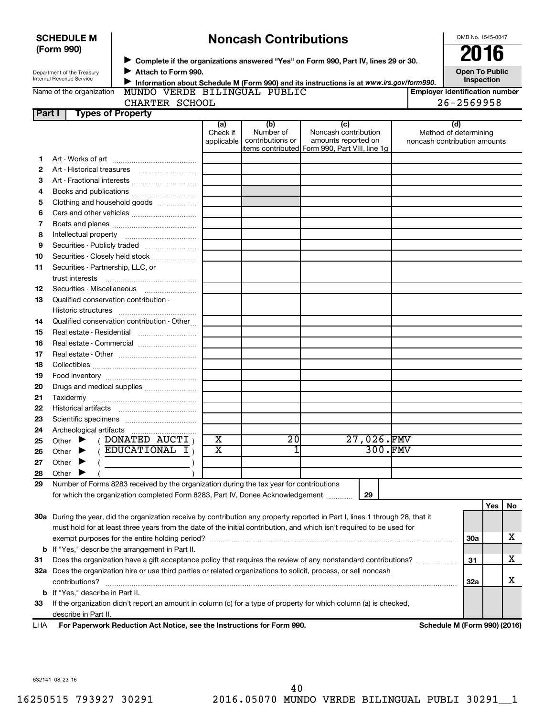| <b>SCHEDULE M</b> |  |
|-------------------|--|
| (Form 990)        |  |

# **Noncash Contributions**

OMB No. 1545-0047

Department of the Treasury Internal Revenue Service

◆ Complete if the organizations answered "Yes" on Form 990, Part IV, lines 29 or 30.<br>● Complete if the organizations answered "Yes" on Form 990, Part IV, lines 29 or 30. **Attach to Form 990.** J

**Open To Public Inspection**

Name of the organization

**Information about Schedule M (Form 990) and its instructions is at www.irs.gov/form990.** MUNDO VERDE BILINGUAL PUBLIC

**Employer identification number** CHARTER SCHOOL 26-2569958

**Part I Types of Property**

|    |                                                                                                                                | (a)                     | (b)                           | (c)                                            |         | (d)                          |            |     |    |
|----|--------------------------------------------------------------------------------------------------------------------------------|-------------------------|-------------------------------|------------------------------------------------|---------|------------------------------|------------|-----|----|
|    |                                                                                                                                | Check if                | Number of<br>contributions or | Noncash contribution<br>amounts reported on    |         | Method of determining        |            |     |    |
|    |                                                                                                                                | applicable              |                               | items contributed Form 990, Part VIII, line 1g |         | noncash contribution amounts |            |     |    |
| 1  |                                                                                                                                |                         |                               |                                                |         |                              |            |     |    |
| 2  |                                                                                                                                |                         |                               |                                                |         |                              |            |     |    |
| з  |                                                                                                                                |                         |                               |                                                |         |                              |            |     |    |
| 4  |                                                                                                                                |                         |                               |                                                |         |                              |            |     |    |
| 5  | Clothing and household goods                                                                                                   |                         |                               |                                                |         |                              |            |     |    |
| 6  |                                                                                                                                |                         |                               |                                                |         |                              |            |     |    |
| 7  |                                                                                                                                |                         |                               |                                                |         |                              |            |     |    |
| 8  |                                                                                                                                |                         |                               |                                                |         |                              |            |     |    |
| 9  | Securities - Publicly traded                                                                                                   |                         |                               |                                                |         |                              |            |     |    |
| 10 | Securities - Closely held stock                                                                                                |                         |                               |                                                |         |                              |            |     |    |
| 11 | Securities - Partnership, LLC, or                                                                                              |                         |                               |                                                |         |                              |            |     |    |
|    | trust interests                                                                                                                |                         |                               |                                                |         |                              |            |     |    |
| 12 | Securities - Miscellaneous                                                                                                     |                         |                               |                                                |         |                              |            |     |    |
| 13 | Qualified conservation contribution -                                                                                          |                         |                               |                                                |         |                              |            |     |    |
|    |                                                                                                                                |                         |                               |                                                |         |                              |            |     |    |
| 14 | Qualified conservation contribution - Other                                                                                    |                         |                               |                                                |         |                              |            |     |    |
| 15 | Real estate - Residential                                                                                                      |                         |                               |                                                |         |                              |            |     |    |
| 16 |                                                                                                                                |                         |                               |                                                |         |                              |            |     |    |
| 17 |                                                                                                                                |                         |                               |                                                |         |                              |            |     |    |
| 18 |                                                                                                                                |                         |                               |                                                |         |                              |            |     |    |
| 19 |                                                                                                                                |                         |                               |                                                |         |                              |            |     |    |
| 20 | Drugs and medical supplies                                                                                                     |                         |                               |                                                |         |                              |            |     |    |
| 21 |                                                                                                                                |                         |                               |                                                |         |                              |            |     |    |
| 22 |                                                                                                                                |                         |                               |                                                |         |                              |            |     |    |
| 23 |                                                                                                                                |                         |                               |                                                |         |                              |            |     |    |
| 24 |                                                                                                                                |                         |                               |                                                |         |                              |            |     |    |
| 25 | (DONATED AUCTI)<br>Other $\blacktriangleright$                                                                                 | $\overline{\textbf{x}}$ | 20                            | 27,026.FMV                                     |         |                              |            |     |    |
| 26 | EDUCATIONAL I)<br>Other $\blacktriangleright$                                                                                  | $\overline{\textbf{x}}$ | 1                             |                                                | 300.FMV |                              |            |     |    |
| 27 | Other<br>▶                                                                                                                     |                         |                               |                                                |         |                              |            |     |    |
| 28 | Other                                                                                                                          |                         |                               |                                                |         |                              |            |     |    |
| 29 | Number of Forms 8283 received by the organization during the tax year for contributions                                        |                         |                               |                                                |         |                              |            |     |    |
|    | for which the organization completed Form 8283, Part IV, Donee Acknowledgement                                                 |                         |                               | 29                                             |         |                              |            |     |    |
|    |                                                                                                                                |                         |                               |                                                |         |                              |            | Yes | No |
|    | 30a During the year, did the organization receive by contribution any property reported in Part I, lines 1 through 28, that it |                         |                               |                                                |         |                              |            |     |    |
|    | must hold for at least three years from the date of the initial contribution, and which isn't required to be used for          |                         |                               |                                                |         |                              |            |     |    |
|    | exempt purposes for the entire holding period?                                                                                 |                         |                               |                                                |         |                              | 30a        |     | х  |
| b  | If "Yes," describe the arrangement in Part II.                                                                                 |                         |                               |                                                |         |                              |            |     |    |
| 31 | Does the organization have a gift acceptance policy that requires the review of any nonstandard contributions?                 |                         |                               |                                                |         |                              |            |     | х  |
|    | 32a Does the organization hire or use third parties or related organizations to solicit, process, or sell noncash              |                         |                               |                                                |         |                              | 31         |     |    |
|    | contributions?                                                                                                                 |                         |                               |                                                |         |                              | <b>32a</b> |     | х  |
|    | <b>b</b> If "Yes," describe in Part II.                                                                                        |                         |                               |                                                |         |                              |            |     |    |
| 33 | If the organization didn't report an amount in column (c) for a type of property for which column (a) is checked,              |                         |                               |                                                |         |                              |            |     |    |
|    | describe in Part II.                                                                                                           |                         |                               |                                                |         |                              |            |     |    |
|    |                                                                                                                                |                         |                               |                                                |         |                              |            |     |    |

**For Paperwork Reduction Act Notice, see the Instructions for Form 990. Schedule M (Form 990) (2016)** LHA

632141 08-23-16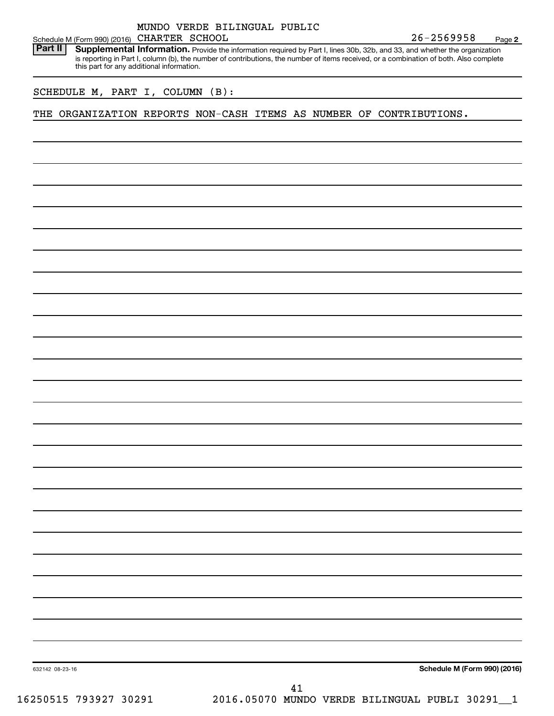|  | MUNDO VERDE BILINGUAL PUBLIC |  |
|--|------------------------------|--|
|  |                              |  |

**2** Schedule M (Form 990) (2016) CHARTER SCHOOL 26-2569958 Page

Part II | Supplemental Information. Provide the information required by Part I, lines 30b, 32b, and 33, and whether the organization is reporting in Part I, column (b), the number of contributions, the number of items received, or a combination of both. Also complete this part for any additional information.

SCHEDULE M, PART I, COLUMN (B):

THE ORGANIZATION REPORTS NON-CASH ITEMS AS NUMBER OF CONTRIBUTIONS.

**Schedule M (Form 990) (2016)**

632142 08-23-16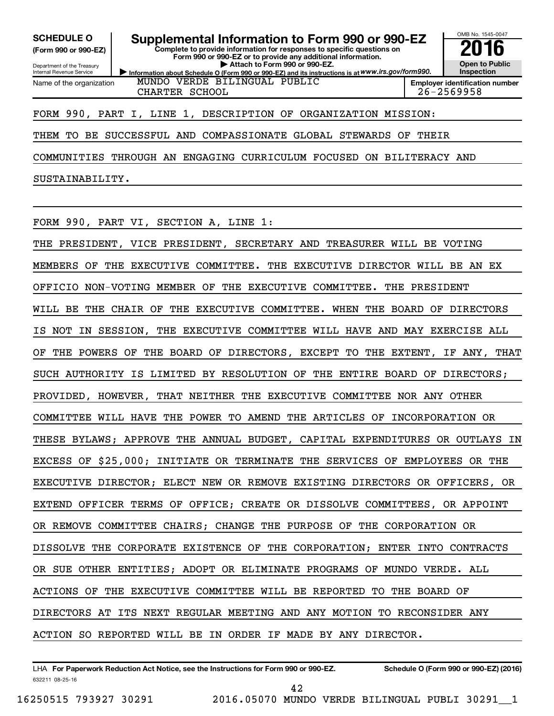Internal Revenue Service

Department of the Treasury **(Form 990 or 990-EZ)**

Name of the organization

**Complete to provide information for responses to specific questions on SCHEDULE O Supplemental Information to Form 990 or 990-EZ 2016**

**Information about Schedule O (Form 990 or 990-EZ) and its instructions is at WWW.irs.gov/form990. Form 990 or 990-EZ or to provide any additional information. | Attach to Form 990 or 990-EZ.**

**Open to Public Inspection Employer identification number**

OMB No. 1545-0047

MUNDO VERDE BILINGUAL PUBLIC CHARTER SCHOOL 26-2569958

## FORM 990, PART I, LINE 1, DESCRIPTION OF ORGANIZATION MISSION:

#### THEM TO BE SUCCESSFUL AND COMPASSIONATE GLOBAL STEWARDS OF THEIR

COMMUNITIES THROUGH AN ENGAGING CURRICULUM FOCUSED ON BILITERACY AND

SUSTAINABILITY.

FORM 990, PART VI, SECTION A, LINE 1:

THE PRESIDENT, VICE PRESIDENT, SECRETARY AND TREASURER WILL BE VOTING MEMBERS OF THE EXECUTIVE COMMITTEE. THE EXECUTIVE DIRECTOR WILL BE AN EX OFFICIO NON-VOTING MEMBER OF THE EXECUTIVE COMMITTEE. THE PRESIDENT WILL BE THE CHAIR OF THE EXECUTIVE COMMITTEE. WHEN THE BOARD OF DIRECTORS IS NOT IN SESSION, THE EXECUTIVE COMMITTEE WILL HAVE AND MAY EXERCISE ALL OF THE POWERS OF THE BOARD OF DIRECTORS, EXCEPT TO THE EXTENT, IF ANY, THAT SUCH AUTHORITY IS LIMITED BY RESOLUTION OF THE ENTIRE BOARD OF DIRECTORS; PROVIDED, HOWEVER, THAT NEITHER THE EXECUTIVE COMMITTEE NOR ANY OTHER COMMITTEE WILL HAVE THE POWER TO AMEND THE ARTICLES OF INCORPORATION OR THESE BYLAWS; APPROVE THE ANNUAL BUDGET, CAPITAL EXPENDITURES OR OUTLAYS IN EXCESS OF \$25,000; INITIATE OR TERMINATE THE SERVICES OF EMPLOYEES OR THE EXECUTIVE DIRECTOR; ELECT NEW OR REMOVE EXISTING DIRECTORS OR OFFICERS, OR EXTEND OFFICER TERMS OF OFFICE; CREATE OR DISSOLVE COMMITTEES, OR APPOINT OR REMOVE COMMITTEE CHAIRS; CHANGE THE PURPOSE OF THE CORPORATION OR DISSOLVE THE CORPORATE EXISTENCE OF THE CORPORATION; ENTER INTO CONTRACTS OR SUE OTHER ENTITIES; ADOPT OR ELIMINATE PROGRAMS OF MUNDO VERDE. ALL ACTIONS OF THE EXECUTIVE COMMITTEE WILL BE REPORTED TO THE BOARD OF DIRECTORS AT ITS NEXT REGULAR MEETING AND ANY MOTION TO RECONSIDER ANY ACTION SO REPORTED WILL BE IN ORDER IF MADE BY ANY DIRECTOR.

42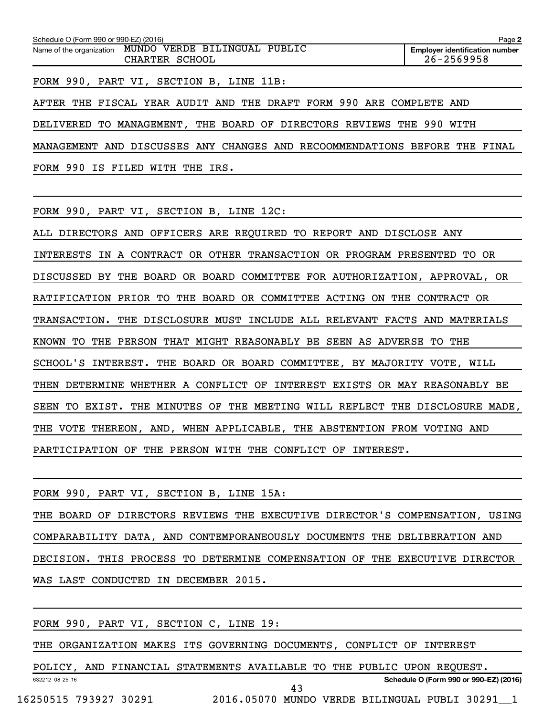| Schedule O (Form 990 or 990-EZ) (2016)                                  | Page 2                                              |
|-------------------------------------------------------------------------|-----------------------------------------------------|
| Name of the organization MUNDO VERDE BILINGUAL PUBLIC<br>CHARTER SCHOOL | <b>Employer identification number</b><br>26-2569958 |
| <b>DODM AOO</b><br>n n m 11<br>$ATAMTONL$ $T TNIR$ $11R$                |                                                     |

FORM 990, PART VI, SECTION B, LINE 11B:

AFTER THE FISCAL YEAR AUDIT AND THE DRAFT FORM 990 ARE COMPLETE AND

DELIVERED TO MANAGEMENT, THE BOARD OF DIRECTORS REVIEWS THE 990 WITH

MANAGEMENT AND DISCUSSES ANY CHANGES AND RECOOMMENDATIONS BEFORE THE FINAL

FORM 990 IS FILED WITH THE IRS.

FORM 990, PART VI, SECTION B, LINE 12C:

ALL DIRECTORS AND OFFICERS ARE REQUIRED TO REPORT AND DISCLOSE ANY INTERESTS IN A CONTRACT OR OTHER TRANSACTION OR PROGRAM PRESENTED TO OR DISCUSSED BY THE BOARD OR BOARD COMMITTEE FOR AUTHORIZATION, APPROVAL, OR RATIFICATION PRIOR TO THE BOARD OR COMMITTEE ACTING ON THE CONTRACT OR TRANSACTION. THE DISCLOSURE MUST INCLUDE ALL RELEVANT FACTS AND MATERIALS KNOWN TO THE PERSON THAT MIGHT REASONABLY BE SEEN AS ADVERSE TO THE SCHOOL'S INTEREST. THE BOARD OR BOARD COMMITTEE, BY MAJORITY VOTE, WILL THEN DETERMINE WHETHER A CONFLICT OF INTEREST EXISTS OR MAY REASONABLY BE SEEN TO EXIST. THE MINUTES OF THE MEETING WILL REFLECT THE DISCLOSURE MADE, THE VOTE THEREON, AND, WHEN APPLICABLE, THE ABSTENTION FROM VOTING AND PARTICIPATION OF THE PERSON WITH THE CONFLICT OF INTEREST.

|  | FORM 990, PART VI, SECTION B, LINE 15A: |  |  |  |  |                                                                             |  |
|--|-----------------------------------------|--|--|--|--|-----------------------------------------------------------------------------|--|
|  |                                         |  |  |  |  | THE BOARD OF DIRECTORS REVIEWS THE EXECUTIVE DIRECTOR'S COMPENSATION, USING |  |
|  |                                         |  |  |  |  | COMPARABILITY DATA, AND CONTEMPORANEOUSLY DOCUMENTS THE DELIBERATION AND    |  |
|  |                                         |  |  |  |  | DECISION. THIS PROCESS TO DETERMINE COMPENSATION OF THE EXECUTIVE DIRECTOR  |  |
|  | WAS LAST CONDUCTED IN DECEMBER 2015.    |  |  |  |  |                                                                             |  |

FORM 990, PART VI, SECTION C, LINE 19:

THE ORGANIZATION MAKES ITS GOVERNING DOCUMENTS, CONFLICT OF INTEREST

632212 08-25-16 **Schedule O (Form 990 or 990-EZ) (2016)** POLICY, AND FINANCIAL STATEMENTS AVAILABLE TO THE PUBLIC UPON REQUEST. 43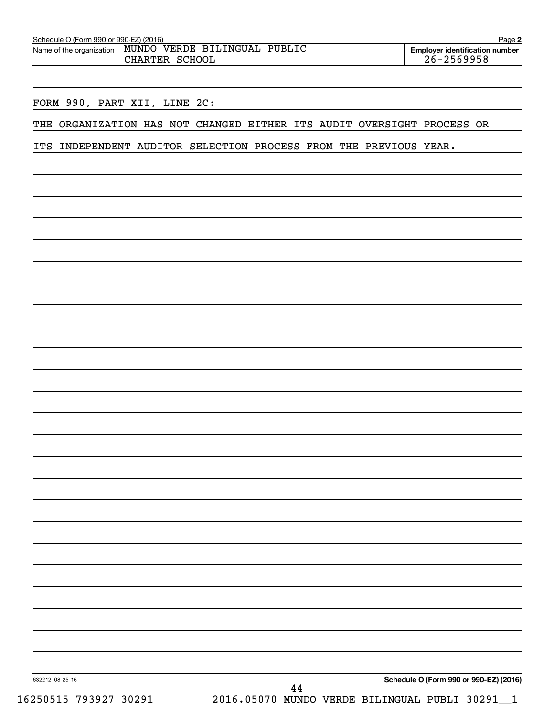| FORM 990, PART XII, LINE 2C:<br>THE ORGANIZATION HAS NOT CHANGED EITHER ITS AUDIT OVERSIGHT PROCESS OR<br>ITS INDEPENDENT AUDITOR SELECTION PROCESS FROM THE PREVIOUS YEAR. | Schedule O (Form 990 or 990-EZ) (2016)<br>MUNDO VERDE BILINGUAL PUBLIC<br>Name of the organization<br>CHARTER SCHOOL | <b>Employer identification number</b><br>$26 - 2569958$ |
|-----------------------------------------------------------------------------------------------------------------------------------------------------------------------------|----------------------------------------------------------------------------------------------------------------------|---------------------------------------------------------|
|                                                                                                                                                                             |                                                                                                                      |                                                         |
|                                                                                                                                                                             |                                                                                                                      |                                                         |
|                                                                                                                                                                             |                                                                                                                      |                                                         |
|                                                                                                                                                                             |                                                                                                                      |                                                         |
|                                                                                                                                                                             |                                                                                                                      |                                                         |
|                                                                                                                                                                             |                                                                                                                      |                                                         |
|                                                                                                                                                                             |                                                                                                                      |                                                         |
|                                                                                                                                                                             |                                                                                                                      |                                                         |
|                                                                                                                                                                             |                                                                                                                      |                                                         |
|                                                                                                                                                                             |                                                                                                                      |                                                         |
|                                                                                                                                                                             |                                                                                                                      |                                                         |
|                                                                                                                                                                             |                                                                                                                      |                                                         |
|                                                                                                                                                                             |                                                                                                                      |                                                         |
|                                                                                                                                                                             |                                                                                                                      |                                                         |
|                                                                                                                                                                             |                                                                                                                      |                                                         |
|                                                                                                                                                                             |                                                                                                                      |                                                         |
|                                                                                                                                                                             |                                                                                                                      |                                                         |